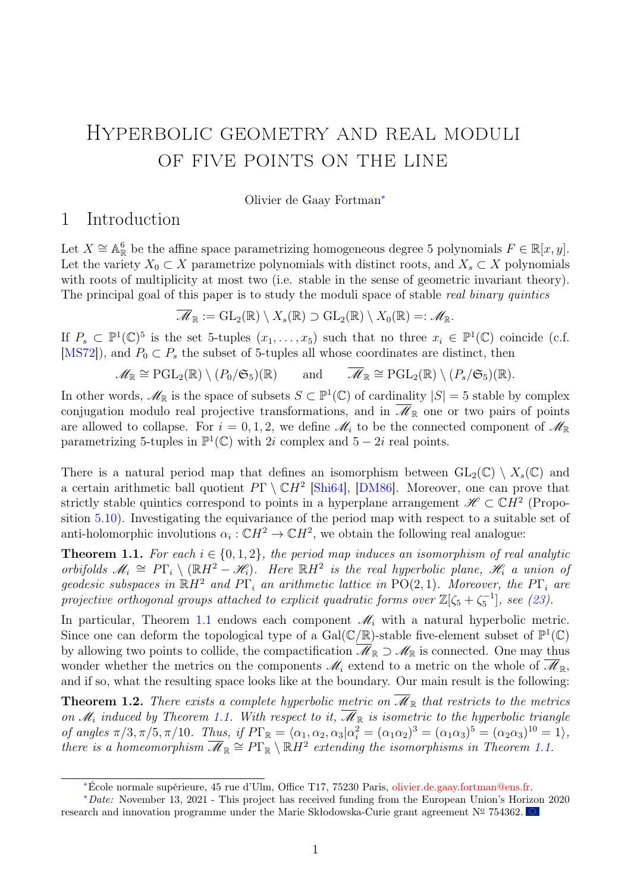# <span id="page-0-2"></span>Hyperbolic geometry and real moduli of five points on the line

Olivier de Gaay Fortman<sup>∗</sup>

### <span id="page-0-3"></span>1 Introduction

Let  $X \cong \mathbb{A}_{\mathbb{R}}^6$  be the affine space parametrizing homogeneous degree 5 polynomials  $F \in \mathbb{R}[x, y]$ . Let the variety  $X_0 \subset X$  parametrize polynomials with distinct roots, and  $X_s \subset X$  polynomials with roots of multiplicity at most two (i.e. stable in the sense of geometric invariant theory). The principal goal of this paper is to study the moduli space of stable real binary quintics

$$
\overline{\mathscr{M}}_{\mathbb{R}} := GL_2(\mathbb{R}) \setminus X_s(\mathbb{R}) \supset GL_2(\mathbb{R}) \setminus X_0(\mathbb{R}) =: \mathscr{M}_{\mathbb{R}}.
$$

If  $P_s \subset \mathbb{P}^1(\mathbb{C})^5$  is the set 5-tuples  $(x_1,\ldots,x_5)$  such that no three  $x_i \in \mathbb{P}^1(\mathbb{C})$  coincide (c.f. [\[MS72\]](#page-33-0)), and  $P_0 \subset P_s$  the subset of 5-tuples all whose coordinates are distinct, then

$$
\mathscr{M}_{\mathbb{R}} \cong \mathrm{PGL}_2(\mathbb{R}) \setminus (P_0/\mathfrak{S}_5)(\mathbb{R}) \quad \text{and} \quad \overline{\mathscr{M}}_{\mathbb{R}} \cong \mathrm{PGL}_2(\mathbb{R}) \setminus (P_s/\mathfrak{S}_5)(\mathbb{R}).
$$

In other words,  $\mathscr{M}_{\mathbb{R}}$  is the space of subsets  $S \subset \mathbb{P}^1(\mathbb{C})$  of cardinality  $|S| = 5$  stable by complex conjugation modulo real projective transformations, and in  $\overline{\mathscr{M}}_{\mathbb{R}}$  one or two pairs of points are allowed to collapse. For  $i = 0, 1, 2$ , we define  $\mathcal{M}_i$  to be the connected component of  $\mathcal{M}_{\mathbb{R}}$ parametrizing 5-tuples in  $\mathbb{P}^1(\mathbb{C})$  with 2i complex and 5 – 2i real points.

There is a natural period map that defines an isomorphism between  $GL_2(\mathbb{C}) \setminus X_s(\mathbb{C})$  and a certain arithmetic ball quotient  $P\Gamma \setminus \mathbb{C}H^2$  [\[Shi64\]](#page-33-1), [\[DM86\]](#page-32-0). Moreover, one can prove that strictly stable quintics correspond to points in a hyperplane arrangement  $\mathscr{H} \subset \mathbb{C}H^2$  (Proposition [5.10\)](#page-23-0). Investigating the equivariance of the period map with respect to a suitable set of anti-holomorphic involutions  $\alpha_i : \mathbb{C}H^2 \to \mathbb{C}H^2$ , we obtain the following real analogue:

<span id="page-0-0"></span>**Theorem 1.1.** For each  $i \in \{0, 1, 2\}$ , the period map induces an isomorphism of real analytic orbifolds  $\mathscr{M}_i \cong P\Gamma_i \setminus (\mathbb{R}H^2 - \mathscr{H}_i)$ . Here  $\mathbb{R}H^2$  is the real hyperbolic plane,  $\mathscr{H}_i$  a union of geodesic subspaces in  $\mathbb{R}H^2$  and  $\overrightarrow{PT}_i$  an arithmetic lattice in  $\overrightarrow{PO(2,1)}$ . Moreover, the  $\overrightarrow{PT}_i$  are projective orthogonal groups attached to explicit quadratic forms over  $\mathbb{Z}[\zeta_5 + \zeta_5^{-1}]$ , see [\(23\)](#page-30-0).

In particular, Theorem [1.1](#page-0-0) endows each component  $\mathcal{M}_i$  with a natural hyperbolic metric. Since one can deform the topological type of a  $Gal(\mathbb{C}/\mathbb{R})$ -stable five-element subset of  $\mathbb{P}^1(\mathbb{C})$ by allowing two points to collide, the compactification  $\overline{\mathscr{M}}_{\mathbb{R}} \supset \mathscr{M}_{\mathbb{R}}$  is connected. One may thus wonder whether the metrics on the components  $\mathcal{M}_i$  extend to a metric on the whole of  $\overline{\mathcal{M}}_{\mathbb{R}},$ and if so, what the resulting space looks like at the boundary. Our main result is the following:

<span id="page-0-1"></span>**Theorem 1.2.** There exists a complete hyperbolic metric on  $\overline{\mathcal{M}}_{\mathbb{R}}$  that restricts to the metrics on  $\mathcal{M}_i$  induced by Theorem [1.1.](#page-0-0) With respect to it,  $\mathcal{M}_{\mathbb{R}}$  is isometric to the hyperbolic triangle of angles  $\pi/3, \pi/5, \pi/10$ . Thus, if  $P\Gamma_{\mathbb{R}} = \langle \alpha_1, \alpha_2, \alpha_3 | \alpha_i^2 = (\alpha_1 \alpha_2)^3 = (\alpha_1 \alpha_3)^5 = (\alpha_2 \alpha_3)^{10} = 1 \rangle$ , there is a homeomorphism  $\overline{\mathcal{M}}_{\mathbb{R}} \cong P\Gamma_{\mathbb{R}} \setminus \mathbb{R}H^2$  extending the isomorphisms in Theorem [1.1.](#page-0-0)

<sup>∗</sup>École normale supérieure, 45 rue d'Ulm, Office T17, 75230 Paris, [olivier.de.gaay.fortman@ens.fr.](mailto:olivier.de.gaay.fortman@ens.fr)

<sup>∗</sup>Date: November 13, 2021 - This project has received funding from the European Union's Horizon 2020 research and innovation programme under the Marie Skłodowska-Curie grant agreement  $N^{\circ}$  754362.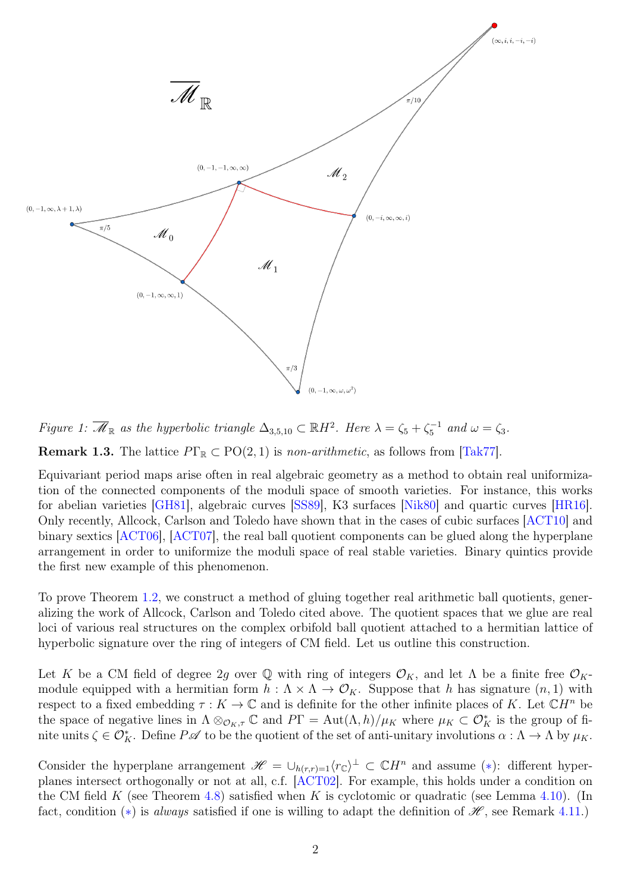

Figure 1:  $\overline{\mathscr{M}}_{\mathbb{R}}$  as the hyperbolic triangle  $\Delta_{3,5,10} \subset \mathbb{R}H^2$ . Here  $\lambda = \zeta_5 + \zeta_5^{-1}$  and  $\omega = \zeta_3$ .

<span id="page-1-0"></span>**Remark 1.3.** The lattice  $P\Gamma_{\mathbb{R}} \subset \text{PO}(2, 1)$  is non-arithmetic, as follows from [\[Tak77\]](#page-33-2).

Equivariant period maps arise often in real algebraic geometry as a method to obtain real uniformization of the connected components of the moduli space of smooth varieties. For instance, this works for abelian varieties [\[GH81\]](#page-32-1), algebraic curves [\[SS89\]](#page-33-3), K3 surfaces [\[Nik80\]](#page-33-4) and quartic curves [\[HR16\]](#page-32-2). Only recently, Allcock, Carlson and Toledo have shown that in the cases of cubic surfaces [\[ACT10\]](#page-32-3) and binary sextics [\[ACT06\]](#page-31-0), [\[ACT07\]](#page-31-1), the real ball quotient components can be glued along the hyperplane arrangement in order to uniformize the moduli space of real stable varieties. Binary quintics provide the first new example of this phenomenon.

To prove Theorem [1.2,](#page-0-1) we construct a method of gluing together real arithmetic ball quotients, generalizing the work of Allcock, Carlson and Toledo cited above. The quotient spaces that we glue are real loci of various real structures on the complex orbifold ball quotient attached to a hermitian lattice of hyperbolic signature over the ring of integers of CM field. Let us outline this construction.

Let K be a CM field of degree 2g over  $\mathbb Q$  with ring of integers  $\mathcal O_K$ , and let  $\Lambda$  be a finite free  $\mathcal O_K$ module equipped with a hermitian form  $h : \Lambda \times \Lambda \to \mathcal{O}_K$ . Suppose that h has signature  $(n, 1)$  with respect to a fixed embedding  $\tau : K \to \mathbb{C}$  and is definite for the other infinite places of K. Let  $\mathbb{C}H^n$  be the space of negative lines in  $\Lambda \otimes_{\mathcal{O}_K,\tau} \mathbb{C}$  and  $P\Gamma = \text{Aut}(\Lambda,h)/\mu_K$  where  $\mu_K \subset \mathcal{O}_K^*$  is the group of finite units  $\zeta \in \mathcal{O}_K^*$ . Define  $P\mathscr{A}$  to be the quotient of the set of anti-unitary involutions  $\alpha : \Lambda \to \Lambda$  by  $\mu_K$ .

Consider the hyperplane arrangement  $\mathscr{H} = \cup_{h(r,r)=1} \langle r_{\mathbb{C}} \rangle^{\perp} \subset \mathbb{C}H^{n}$  and assume (\*): different hyperplanes intersect orthogonally or not at all, c.f. [\[ACT02\]](#page-31-2). For example, this holds under a condition on the CM field K (see Theorem [4.8\)](#page-17-0) satisfied when K is cyclotomic or quadratic (see Lemma [4.10\)](#page-18-0). (In fact, condition (\*) is always satisfied if one is willing to adapt the definition of  $\mathscr{H}$ , see Remark [4.11.](#page-18-1))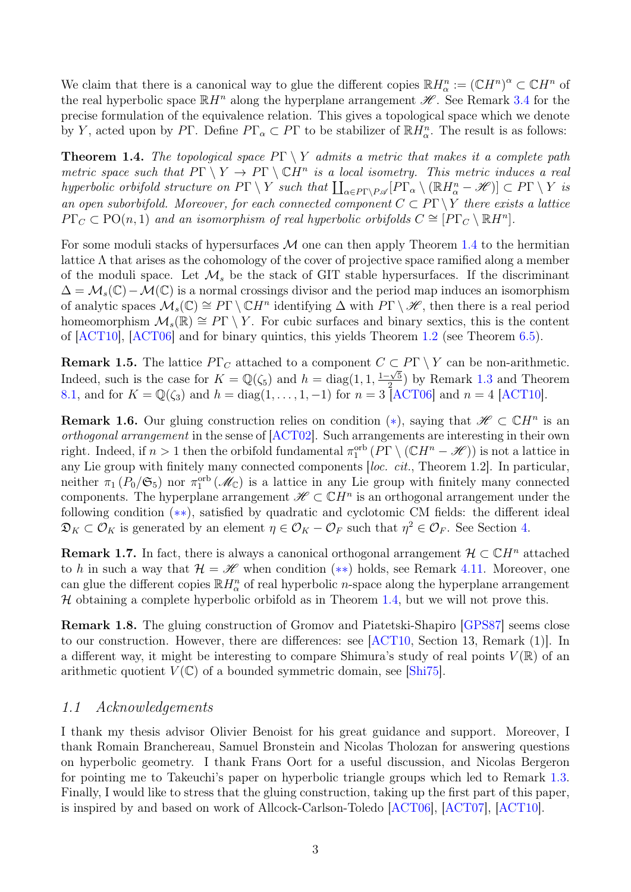We claim that there is a canonical way to glue the different copies  $\mathbb{R}H_{\alpha}^{n} := (\mathbb{C}H^{n})^{\alpha} \subset \mathbb{C}H^{n}$  of the real hyperbolic space  $\mathbb{R}H^n$  along the hyperplane arrangement  $\mathscr{H}$ . See Remark [3.4](#page-4-0) for the precise formulation of the equivalence relation. This gives a topological space which we denote by Y, acted upon by PΓ. Define  $P\Gamma_{\alpha} \subset P\Gamma$  to be stabilizer of  $\mathbb{R}H_{\alpha}^{n}$ . The result is as follows:

<span id="page-2-0"></span>**Theorem 1.4.** The topological space  $P\Gamma \setminus Y$  admits a metric that makes it a complete path metric space such that  $P\Gamma \setminus Y \to P\Gamma \setminus \mathbb{C}H^n$  is a local isometry. This metric induces a real hyperbolic orbifold structure on  $P\Gamma \setminus Y$  such that  $\coprod_{\alpha \in P\Gamma \setminus P\mathscr{A}}[P\Gamma_{\alpha} \setminus (\mathbb{R}H_{\alpha}^{n} - \mathscr{H})] \subset P\Gamma \setminus Y$  is an open suborbifold. Moreover, for each connected component  $C \subset P\Gamma \backslash Y$  there exists a lattice  $P\Gamma_C \subset \text{PO}(n,1)$  and an isomorphism of real hyperbolic orbifolds  $C \cong [P\Gamma_C \setminus \mathbb{R}H^n]$ .

For some moduli stacks of hypersurfaces  $\mathcal M$  one can then apply Theorem [1.4](#page-2-0) to the hermitian lattice  $\Lambda$  that arises as the cohomology of the cover of projective space ramified along a member of the moduli space. Let  $\mathcal{M}_s$  be the stack of GIT stable hypersurfaces. If the discriminant  $\Delta = \mathcal{M}_s(\mathbb{C}) - \mathcal{M}(\mathbb{C})$  is a normal crossings divisor and the period map induces an isomorphism of analytic spaces  $\mathcal{M}_s(\mathbb{C}) \cong P\Gamma \setminus \mathbb{C}H^n$  identifying  $\Delta$  with  $P\Gamma \setminus \mathscr{H}$ , then there is a real period homeomorphism  $\mathcal{M}_s(\mathbb{R}) \cong P\Gamma \setminus Y$ . For cubic surfaces and binary sextics, this is the content of [\[ACT10\]](#page-32-3), [\[ACT06\]](#page-31-0) and for binary quintics, this yields Theorem [1.2](#page-0-1) (see Theorem [6.5\)](#page-24-0).

**Remark 1.5.** The lattice  $P\Gamma_C$  attached to a component  $C \subset P\Gamma \setminus Y$  can be non-arithmetic. Indeed, such is the case for  $K = \mathbb{Q}(\zeta_5)$  and  $h = \text{diag}(1, 1, \frac{1-\sqrt{5}}{2})$  $\frac{-\sqrt{5}}{2}$ ) by Remark [1.3](#page-1-0) and Theorem [8.1,](#page-30-1) and for  $K = \mathbb{Q}(\zeta_3)$  and  $h = \text{diag}(1, \ldots, 1, -1)$  for  $n = 3$  [\[ACT06\]](#page-31-0) and  $n = 4$  [\[ACT10\]](#page-32-3).

**Remark 1.6.** Our gluing construction relies on condition  $(*)$ , saying that  $\mathscr{H} \subset \mathbb{C}H^n$  is an orthogonal arrangement in the sense of [\[ACT02\]](#page-31-2). Such arrangements are interesting in their own right. Indeed, if  $n > 1$  then the orbifold fundamental  $\pi_1^{\text{orb}}(P\Gamma \setminus (\mathbb{C}H^n - \mathscr{H}))$  is not a lattice in any Lie group with finitely many connected components [loc. cit., Theorem 1.2]. In particular, neither  $\pi_1(P_0/\mathfrak{S}_5)$  nor  $\pi_1^{\text{orb}}(\mathcal{M}_{\mathbb{C}})$  is a lattice in any Lie group with finitely many connected components. The hyperplane arrangement  $\mathscr{H} \subset \mathbb{C}H^n$  is an orthogonal arrangement under the following condition (∗∗), satisfied by quadratic and cyclotomic CM fields: the different ideal  $\mathfrak{D}_K \subset \mathcal{O}_K$  is generated by an element  $\eta \in \mathcal{O}_K - \mathcal{O}_F$  such that  $\eta^2 \in \mathcal{O}_F$ . See Section [4.](#page-14-0)

**Remark 1.7.** In fact, there is always a canonical orthogonal arrangement  $\mathcal{H} \subset \mathbb{C}H^n$  attached to h in such a way that  $\mathcal{H} = \mathcal{H}$  when condition (\*\*) holds, see Remark [4.11.](#page-18-1) Moreover, one can glue the different copies  $\mathbb{R}H_{\alpha}^n$  of real hyperbolic *n*-space along the hyperplane arrangement  $H$  obtaining a complete hyperbolic orbifold as in Theorem [1.4,](#page-2-0) but we will not prove this.

Remark 1.8. The gluing construction of Gromov and Piatetski-Shapiro [\[GPS87\]](#page-32-4) seems close to our construction. However, there are differences: see [\[ACT10,](#page-32-3) Section 13, Remark (1)]. In a different way, it might be interesting to compare Shimura's study of real points  $V(\mathbb{R})$  of an arithmetic quotient  $V(\mathbb{C})$  of a bounded symmetric domain, see [\[Shi75\]](#page-33-5).

#### 1.1 Acknowledgements

I thank my thesis advisor Olivier Benoist for his great guidance and support. Moreover, I thank Romain Branchereau, Samuel Bronstein and Nicolas Tholozan for answering questions on hyperbolic geometry. I thank Frans Oort for a useful discussion, and Nicolas Bergeron for pointing me to Takeuchi's paper on hyperbolic triangle groups which led to Remark [1.3.](#page-1-0) Finally, I would like to stress that the gluing construction, taking up the first part of this paper, is inspired by and based on work of Allcock-Carlson-Toledo [\[ACT06\]](#page-31-0), [\[ACT07\]](#page-31-1), [\[ACT10\]](#page-32-3).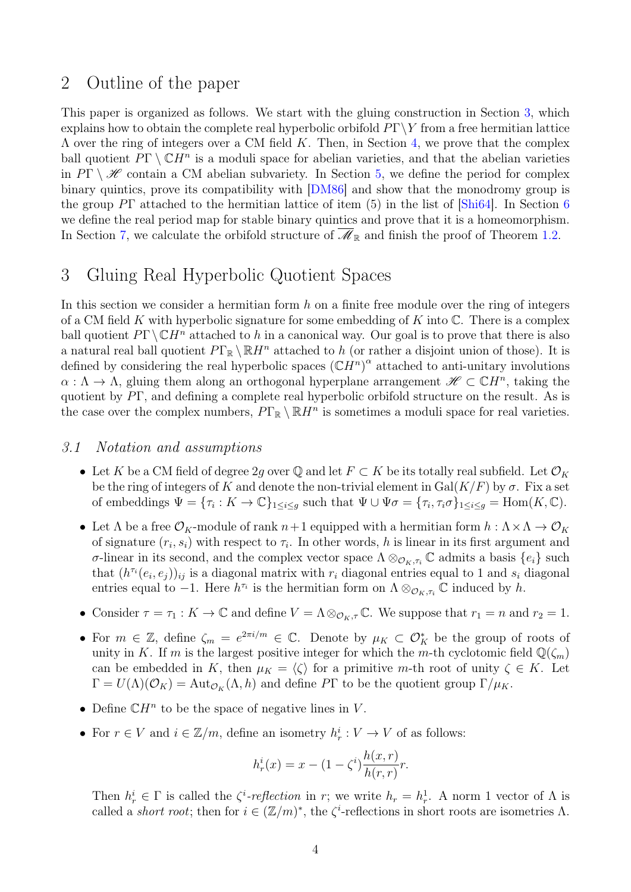### 2 Outline of the paper

This paper is organized as follows. We start with the gluing construction in Section [3,](#page-3-0) which explains how to obtain the complete real hyperbolic orbifold  $P\Gamma\Y$  from a free hermitian lattice  $\Lambda$  over the ring of integers over a CM field K. Then, in Section [4,](#page-14-0) we prove that the complex ball quotient  $P\Gamma \setminus \mathbb{C}H^n$  is a moduli space for abelian varieties, and that the abelian varieties in  $P\Gamma \setminus \mathscr{H}$  contain a CM abelian subvariety. In Section [5,](#page-19-0) we define the period for complex binary quintics, prove its compatibility with [\[DM86\]](#page-32-0) and show that the monodromy group is the group  $P\Gamma$  attached to the hermitian lattice of item (5) in the list of  $\lvert$ Shi[6](#page-23-1)4. In Section 6 we define the real period map for stable binary quintics and prove that it is a homeomorphism. In Section [7,](#page-25-0) we calculate the orbifold structure of  $\mathscr{M}_{\mathbb{R}}$  and finish the proof of Theorem [1.2.](#page-0-1)

# <span id="page-3-0"></span>3 Gluing Real Hyperbolic Quotient Spaces

In this section we consider a hermitian form  $h$  on a finite free module over the ring of integers of a CM field K with hyperbolic signature for some embedding of K into  $\mathbb C$ . There is a complex ball quotient  $P\Gamma \backslash \mathbb{C}H^n$  attached to h in a canonical way. Our goal is to prove that there is also a natural real ball quotient  $P\Gamma_{\mathbb{R}} \setminus \mathbb{R}H^n$  attached to h (or rather a disjoint union of those). It is defined by considering the real hyperbolic spaces  $(\mathbb{C}H^n)^\alpha$  attached to anti-unitary involutions  $\alpha: \Lambda \to \Lambda$ , gluing them along an orthogonal hyperplane arrangement  $\mathscr{H} \subset \mathbb{C}H^n$ , taking the quotient by PΓ, and defining a complete real hyperbolic orbifold structure on the result. As is the case over the complex numbers,  $P\Gamma_{\mathbb{R}} \setminus \mathbb{R}H^n$  is sometimes a moduli space for real varieties.

#### 3.1 Notation and assumptions

- Let K be a CM field of degree 2g over Q and let  $F \subset K$  be its totally real subfield. Let  $\mathcal{O}_K$ be the ring of integers of K and denote the non-trivial element in  $Gal(K/F)$  by  $\sigma$ . Fix a set of embeddings  $\Psi = {\tau_i : K \to \mathbb{C}}_{1 \leq i \leq g}$  such that  $\Psi \cup \Psi \sigma = {\tau_i, \tau_i \sigma}_{1 \leq i \leq g} = \text{Hom}(K, \mathbb{C})$ .
- Let  $\Lambda$  be a free  $\mathcal{O}_K$ -module of rank  $n+1$  equipped with a hermitian form  $h : \Lambda \times \Lambda \to \mathcal{O}_K$ of signature  $(r_i, s_i)$  with respect to  $\tau_i$ . In other words, h is linear in its first argument and σ-linear in its second, and the complex vector space  $\Lambda \otimes_{\mathcal{O}_K, \tau_i} \mathbb{C}$  admits a basis  $\{e_i\}$  such that  $(h^{\tau_i}(e_i, e_j))_{ij}$  is a diagonal matrix with  $r_i$  diagonal entries equal to 1 and  $s_i$  diagonal entries equal to -1. Here  $h^{\tau_i}$  is the hermitian form on  $\Lambda \otimes_{\mathcal{O}_K, \tau_i} \mathbb{C}$  induced by h.
- Consider  $\tau = \tau_1 : K \to \mathbb{C}$  and define  $V = \Lambda \otimes_{\mathcal{O}_K, \tau} \mathbb{C}$ . We suppose that  $r_1 = n$  and  $r_2 = 1$ .
- For  $m \in \mathbb{Z}$ , define  $\zeta_m = e^{2\pi i/m} \in \mathbb{C}$ . Denote by  $\mu_K \subset \mathcal{O}_K^*$  be the group of roots of unity in K. If m is the largest positive integer for which the m-th cyclotomic field  $\mathbb{Q}(\zeta_m)$ can be embedded in K, then  $\mu_K = \langle \zeta \rangle$  for a primitive m-th root of unity  $\zeta \in K$ . Let  $\Gamma = U(\Lambda)(\mathcal{O}_K) = \text{Aut}_{\mathcal{O}_K}(\Lambda, h)$  and define PT to be the quotient group  $\Gamma/\mu_K$ .
- Define  $\mathbb{C}H^n$  to be the space of negative lines in V.
- For  $r \in V$  and  $i \in \mathbb{Z}/m$ , define an isometry  $h_r^i : V \to V$  of as follows:

$$
h_r^{i}(x) = x - (1 - \zeta^{i}) \frac{h(x, r)}{h(r, r)} r.
$$

Then  $h_r^i \in \Gamma$  is called the  $\zeta^i$ -reflection in r; we write  $h_r = h_r^1$ . A norm 1 vector of  $\Lambda$  is called a *short root*; then for  $i \in (\mathbb{Z}/m)^*$ , the  $\zeta^i$ -reflections in short roots are isometries  $\Lambda$ .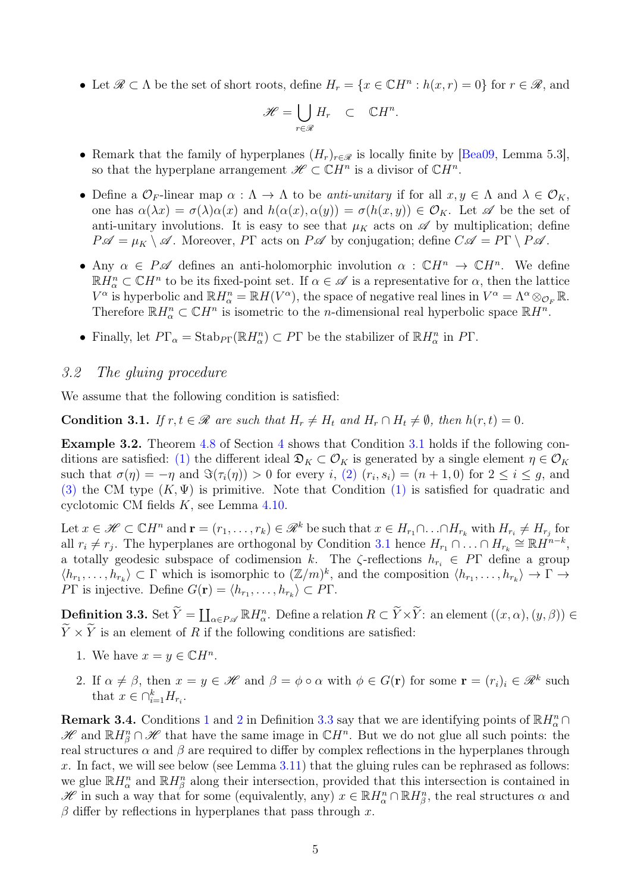• Let  $\mathscr{R} \subset \Lambda$  be the set of short roots, define  $H_r = \{x \in \mathbb{C}H^n : h(x,r) = 0\}$  for  $r \in \mathscr{R}$ , and

$$
\mathscr{H} = \bigcup_{r \in \mathscr{R}} H_r \quad \subset \quad \mathbb{C}H^n.
$$

- Remark that the family of hyperplanes  $(H_r)_{r \in \mathcal{R}}$  is locally finite by [\[Bea09,](#page-32-5) Lemma 5.3], so that the hyperplane arrangement  $\mathscr{H} \subset \mathbb{C}H^n$  is a divisor of  $\mathbb{C}H^n$ .
- Define a  $\mathcal{O}_F$ -linear map  $\alpha : \Lambda \to \Lambda$  to be anti-unitary if for all  $x, y \in \Lambda$  and  $\lambda \in \mathcal{O}_K$ , one has  $\alpha(\lambda x) = \sigma(\lambda)\alpha(x)$  and  $h(\alpha(x), \alpha(y)) = \sigma(h(x, y)) \in \mathcal{O}_K$ . Let  $\mathscr A$  be the set of anti-unitary involutions. It is easy to see that  $\mu_K$  acts on  $\mathscr A$  by multiplication; define  $P\mathscr{A} = \mu_K \setminus \mathscr{A}$ . Moreover, PΓ acts on  $P\mathscr{A}$  by conjugation; define  $C\mathscr{A} = P\Gamma \setminus P\mathscr{A}$ .
- Any  $\alpha \in P\mathscr{A}$  defines an anti-holomorphic involution  $\alpha : \mathbb{C}H^n \to \mathbb{C}H^n$ . We define  $\mathbb{R}H^n_\alpha\subset\mathbb{C}H^n$  to be its fixed-point set. If  $\alpha\in\mathscr{A}$  is a representative for  $\alpha$ , then the lattice  $V^{\alpha}$  is hyperbolic and  $\mathbb{R}H_{\alpha}^{n} = \mathbb{R}H(V^{\alpha})$ , the space of negative real lines in  $V^{\alpha} = \Lambda^{\alpha} \otimes_{\mathcal{O}_{F}} \mathbb{R}$ . Therefore  $\mathbb{R}H_{\alpha}^{n} \subset \mathbb{C}H^{n}$  is isometric to the *n*-dimensional real hyperbolic space  $\mathbb{R}H^{n}$ .
- Finally, let  $P\Gamma_{\alpha} = \text{Stab}_{P\Gamma}(\mathbb{R}H_{\alpha}^{n}) \subset P\Gamma$  be the stabilizer of  $\mathbb{R}H_{\alpha}^{n}$  in  $P\Gamma$ .

#### 3.2 The gluing procedure

We assume that the following condition is satisfied:

<span id="page-4-1"></span>**Condition 3.1.** If  $r, t \in \mathcal{R}$  are such that  $H_r \neq H_t$  and  $H_r \cap H_t \neq \emptyset$ , then  $h(r, t) = 0$ .

Example 3.2. Theorem [4.8](#page-17-0) of Section [4](#page-14-0) shows that Condition [3.1](#page-4-1) holds if the following conditions are satisfied: (1) the different ideal  $\mathfrak{D}_K \subset \mathcal{O}_K$  is generated by a single element  $\eta \in \mathcal{O}_K$ such that  $\sigma(\eta) = -\eta$  and  $\Im(\tau_i(\eta)) > 0$  for every i, (2)  $(r_i, s_i) = (n + 1, 0)$  for  $2 \le i \le g$ , and (3) the CM type  $(K, \Psi)$  is primitive. Note that Condition (1) is satisfied for quadratic and cyclotomic CM fields K, see Lemma [4.10.](#page-18-0)

Let  $x \in \mathcal{H} \subset \mathbb{C}H^n$  and  $\mathbf{r} = (r_1, \ldots, r_k) \in \mathcal{R}^k$  be such that  $x \in H_{r_1} \cap \ldots \cap H_{r_k}$  with  $H_{r_i} \neq H_{r_j}$  for all  $r_i \neq r_j$ . The hyperplanes are orthogonal by Condition [3.1](#page-4-1) hence  $H_{r_1} \cap \ldots \cap H_{r_k} \cong \mathbb{R}H^{n-k}$ , a totally geodesic subspace of codimension k. The  $\zeta$ -reflections  $h_{r_i} \in P\Gamma$  define a group  $\langle h_{r_1},\ldots,h_{r_k}\rangle\subset \Gamma$  which is isomorphic to  $(\mathbb{Z}/m)^k$ , and the composition  $\langle h_{r_1},\ldots,h_{r_k}\rangle\to \Gamma\to$ PT is injective. Define  $G(\mathbf{r}) = \langle h_{r_1}, \ldots, h_{r_k} \rangle \subset P\Gamma$ .

<span id="page-4-4"></span> $\begin{aligned} \mathbf{Definition \ 3.3.}\ \mathbf{Set}\ \widetilde{Y} &= \coprod_{\alpha\in P\mathscr{A}} \mathbb{R}H^n_\alpha. \ \mathbf{Define\ a\ relation}\ R\subset \widetilde{Y}\times \widetilde{Y}: \ \text{an\ element}\ ((x,\alpha),(y,\beta))\in \widetilde{Y} \end{aligned}$  $\widetilde{Y}\times\widetilde{Y}$  is an element of R if the following conditions are satisfied:

- <span id="page-4-2"></span>1. We have  $x = y \in \mathbb{C}H^n$ .
- <span id="page-4-3"></span>2. If  $\alpha \neq \beta$ , then  $x = y \in \mathcal{H}$  and  $\beta = \phi \circ \alpha$  with  $\phi \in G(\mathbf{r})$  for some  $\mathbf{r} = (r_i)_i \in \mathcal{R}^k$  such that  $x \in \bigcap_{i=1}^k H_{r_i}$ .

<span id="page-4-0"></span>**Remark 3.4.** Conditions [1](#page-4-2) and [2](#page-4-3) in Definition [3.3](#page-4-4) say that we are identifying points of  $\mathbb{R}H_{\alpha}^{n}\cap$ H and  $\mathbb{R}H^n_\beta\cap\mathscr{H}$  that have the same image in  $\mathbb{C}H^n$ . But we do not glue all such points: the real structures  $\alpha$  and  $\beta$  are required to differ by complex reflections in the hyperplanes through x. In fact, we will see below (see Lemma  $3.11$ ) that the gluing rules can be rephrased as follows: we glue  $\mathbb{R}H_{\alpha}^{n}$  and  $\mathbb{R}H_{\beta}^{n}$  along their intersection, provided that this intersection is contained in H in such a way that for some (equivalently, any)  $x \in \mathbb{R}$   $H^n_\alpha \cap \mathbb{R}$   $H^n_\beta$ , the real structures  $\alpha$  and  $\beta$  differ by reflections in hyperplanes that pass through x.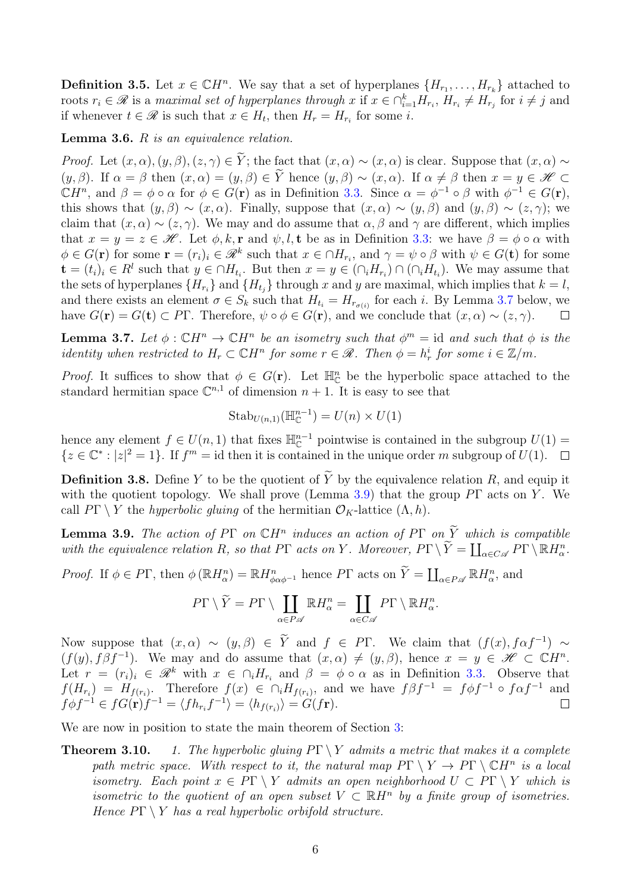**Definition 3.5.** Let  $x \in \mathbb{C}H^n$ . We say that a set of hyperplanes  $\{H_{r_1}, \ldots, H_{r_k}\}$  attached to roots  $r_i \in \mathscr{R}$  is a maximal set of hyperplanes through x if  $x \in \bigcap_{i=1}^k H_{r_i}$ ,  $H_{r_i} \neq H_{r_j}$  for  $i \neq j$  and if whenever  $t \in \mathcal{R}$  is such that  $x \in H_t$ , then  $H_r = H_{r_i}$  for some *i*.

<span id="page-5-2"></span>**Lemma 3.6.**  $R$  is an equivalence relation.

*Proof.* Let  $(x, \alpha), (y, \beta), (z, \gamma) \in \tilde{Y}$ ; the fact that  $(x, \alpha) \sim (x, \alpha)$  is clear. Suppose that  $(x, \alpha) \sim$  $(y, \beta)$ . If  $\alpha = \beta$  then  $(x, \alpha) = (y, \beta) \in \tilde{Y}$  hence  $(y, \beta) \sim (x, \alpha)$ . If  $\alpha \neq \beta$  then  $x = y \in \mathscr{H} \subset$  $\mathbb{C}H^n$ , and  $\beta = \phi \circ \alpha$  for  $\phi \in G(\mathbf{r})$  as in Definition [3.3.](#page-4-4) Since  $\alpha = \phi^{-1} \circ \beta$  with  $\phi^{-1} \in G(\mathbf{r})$ , this shows that  $(y, \beta) \sim (x, \alpha)$ . Finally, suppose that  $(x, \alpha) \sim (y, \beta)$  and  $(y, \beta) \sim (z, \gamma)$ ; we claim that  $(x, \alpha) \sim (z, \gamma)$ . We may and do assume that  $\alpha, \beta$  and  $\gamma$  are different, which implies that  $x = y = z \in \mathcal{H}$ . Let  $\phi, k, r$  and  $\psi, l, t$  be as in Definition [3.3:](#page-4-4) we have  $\beta = \phi \circ \alpha$  with  $\phi \in G(\mathbf{r})$  for some  $\mathbf{r} = (r_i)_i \in \mathcal{R}^k$  such that  $x \in \cap H_{r_i}$ , and  $\gamma = \psi \circ \beta$  with  $\psi \in G(\mathbf{t})$  for some  $\mathbf{t} = (t_i)_i \in R^l$  such that  $y \in \cap H_{t_i}$ . But then  $x = y \in (\cap_i H_{r_i}) \cap (\cap_i H_{t_i})$ . We may assume that the sets of hyperplanes  $\{H_{r_i}\}$  and  $\{H_{t_j}\}$  through x and y are maximal, which implies that  $k = l$ , and there exists an element  $\sigma \in S_k$  such that  $H_{t_i} = H_{r_{\sigma(i)}}$  for each i. By Lemma [3.7](#page-5-0) below, we have  $G(\mathbf{r}) = G(\mathbf{t}) \subset P\Gamma$ . Therefore,  $\psi \circ \phi \in G(\mathbf{r})$ , and we conclude that  $(x, \alpha) \sim (z, \gamma)$ .  $\Box$ 

<span id="page-5-0"></span>**Lemma 3.7.** Let  $\phi : \mathbb{C}H^n \to \mathbb{C}H^n$  be an isometry such that  $\phi^m = id$  and such that  $\phi$  is the identity when restricted to  $H_r \subset \mathbb{C}H^n$  for some  $r \in \mathcal{R}$ . Then  $\phi = h_r^i$  for some  $i \in \mathbb{Z}/m$ .

*Proof.* It suffices to show that  $\phi \in G(\mathbf{r})$ . Let  $\mathbb{H}_{\mathbb{C}}^n$  be the hyperbolic space attached to the standard hermitian space  $\mathbb{C}^{n,1}$  of dimension  $n+1$ . It is easy to see that

$$
Stab_{U(n,1)}(\mathbb{H}^{n-1}_{\mathbb{C}})=U(n)\times U(1)
$$

hence any element  $f \in U(n, 1)$  that fixes  $\mathbb{H}_{\mathbb{C}}^{n-1}$  pointwise is contained in the subgroup  $U(1)$  $\{z \in \mathbb{C}^* : |z|^2 = 1\}$ . If  $f^m = id$  then it is contained in the unique order m subgroup of  $U(1)$ .

**Definition 3.8.** Define Y to be the quotient of  $\widetilde{Y}$  by the equivalence relation R, and equip it with the quotient topology. We shall prove (Lemma [3.9\)](#page-5-1) that the group  $P\Gamma$  acts on Y. We call  $P\Gamma \setminus Y$  the *hyperbolic gluing* of the hermitian  $\mathcal{O}_K$ -lattice  $(\Lambda, h)$ .

<span id="page-5-1"></span>**Lemma 3.9.** The action of PΓ on  $\mathbb{C}H^n$  induces an action of PΓ on  $\widetilde{Y}$  which is compatible with the equivalence relation R, so that P $\Gamma$  acts on Y. Moreover,  $P\Gamma \setminus \widetilde{Y} = \coprod_{\alpha \in C \mathscr{A}} P\Gamma \setminus \mathbb{R} H_{\alpha}^{n}$ .

Proof. If  $\phi \in P\Gamma$ , then  $\phi (\mathbb{R}H_{\alpha}^n) = \mathbb{R}H_{\phi \alpha \phi^{-1}}^n$  hence  $P\Gamma$  acts on  $\widetilde{Y} = \coprod_{\alpha \in P \mathscr{A}} \mathbb{R}H_{\alpha}^n$ , and

$$
P\Gamma \setminus \widetilde{Y} = P\Gamma \setminus \coprod_{\alpha \in P\mathscr{A}} \mathbb{R} H_{\alpha}^n = \coprod_{\alpha \in C\mathscr{A}} P\Gamma \setminus \mathbb{R} H_{\alpha}^n
$$

.

Now suppose that  $(x, \alpha) \sim (y, \beta) \in Y$  and  $f \in P\Gamma$ . We claim that  $(f(x), f \alpha f^{-1}) \sim$  $(f(y), f\beta f^{-1})$ . We may and do assume that  $(x, \alpha) \neq (y, \beta)$ , hence  $x = y \in \mathcal{H} \subset \mathbb{C}H^n$ . Let  $r = (r_i)_i \in \mathcal{R}^k$  with  $x \in \bigcap_i H_{r_i}$  and  $\beta = \phi \circ \alpha$  as in Definition [3.3.](#page-4-4) Observe that  $f(H_{r_i}) = H_{f(r_i)}$ . Therefore  $f(x) \in \bigcap_i H_{f(r_i)}$ , and we have  $f\beta f^{-1} = f\phi f^{-1} \circ f\alpha f^{-1}$  and  $f \phi f^{-1} \in f G(\mathbf{r}) f^{-1} = \langle f h_{r_i} f^{-1} \rangle = \langle h_{f(r_i)} \rangle = G(f\mathbf{r}).$ 

We are now in position to state the main theorem of Section [3:](#page-12-0)

**Theorem 3.10.** 1. The hyperbolic gluing  $P\Gamma \setminus Y$  admits a metric that makes it a complete path metric space. With respect to it, the natural map  $P\Gamma \setminus Y \to P\Gamma \setminus \mathbb{C}H^n$  is a local isometry. Each point  $x \in P\Gamma \setminus Y$  admits an open neighborhood  $U \subset P\Gamma \setminus Y$  which is isometric to the quotient of an open subset  $V \subset \mathbb{R}$ H<sup>n</sup> by a finite group of isometries. Hence  $P\Gamma \setminus Y$  has a real hyperbolic orbifold structure.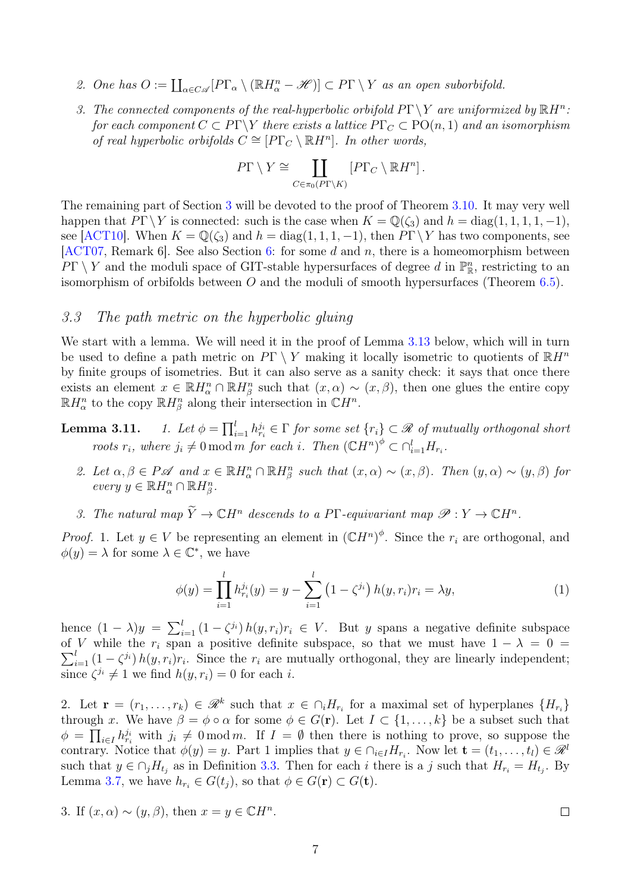- 2. One has  $O := \coprod_{\alpha \in C \mathscr{A}} [P\Gamma_{\alpha} \setminus (\mathbb{R}H_{\alpha}^n \mathscr{H})] \subset P\Gamma \setminus Y$  as an open suborbifold.
- 3. The connected components of the real-hyperbolic orbifold  $P\Gamma \backslash Y$  are uniformized by  $\mathbb{R}H^n$ . for each component  $C \subset P\Gamma \backslash Y$  there exists a lattice  $P\Gamma_C \subset \mathrm{PO}(n,1)$  and an isomorphism of real hyperbolic orbifolds  $C \cong [P\Gamma_C \setminus \mathbb{R}H^n]$ . In other words,

$$
P\Gamma \setminus Y \cong \coprod_{C \in \pi_0(P\Gamma \setminus K)} \left[ P\Gamma_C \setminus \mathbb{R}H^n \right].
$$

The remaining part of Section [3](#page-3-0) will be devoted to the proof of Theorem [3.10.](#page-0-2) It may very well happen that  $P\Gamma \backslash Y$  is connected: such is the case when  $K = \mathbb{Q}(\zeta_3)$  and  $h = \text{diag}(1, 1, 1, 1, -1)$ , see [\[ACT10\]](#page-32-3). When  $K = \mathbb{Q}(\zeta_3)$  and  $h = \text{diag}(1, 1, 1, -1)$ , then  $P\Gamma \backslash Y$  has two components, see [\[ACT07,](#page-31-1) Remark 6]. See also Section [6:](#page-23-1) for some  $d$  and  $n$ , there is a homeomorphism between  $PT \setminus Y$  and the moduli space of GIT-stable hypersurfaces of degree d in  $\mathbb{P}^n_{\mathbb{R}}$ , restricting to an isomorphism of orbifolds between  $O$  and the moduli of smooth hypersurfaces (Theorem [6.5\)](#page-24-0).

#### 3.3 The path metric on the hyperbolic gluing

We start with a lemma. We will need it in the proof of Lemma [3.13](#page-0-2) below, which will in turn be used to define a path metric on  $P\Gamma \setminus Y$  making it locally isometric to quotients of  $\mathbb{R}H^n$ by finite groups of isometries. But it can also serve as a sanity check: it says that once there exists an element  $x \in \mathbb{R}$   $H_{\alpha}^{n} \cap \mathbb{R}$   $H_{\beta}^{n}$  such that  $(x, \alpha) \sim (x, \beta)$ , then one glues the entire copy  $\mathbb{R}H_{\alpha}^{n}$  to the copy  $\mathbb{R}H_{\beta}^{n}$  along their intersection in  $\mathbb{C}H^{n}$ .

Lemma  $3.11.$  $\prod_{i=1}^{l} h_{r_i}^{j_i} \in \Gamma$  for some set  $\{r_i\} \subset \mathscr{R}$  of mutually orthogonal short roots  $r_i$ , where  $j_i \neq 0 \mod m$  for each i. Then  $(\mathbb{C}H^n)^{\phi} \subset \bigcap_{i=1}^l H_{r_i}$ .

- 2. Let  $\alpha, \beta \in P\mathscr{A}$  and  $x \in \mathbb{R}H_{\alpha}^n \cap \mathbb{R}H_{\beta}^n$  such that  $(x, \alpha) \sim (x, \beta)$ . Then  $(y, \alpha) \sim (y, \beta)$  for every  $y \in \mathbb{R} H_{\alpha}^n \cap \mathbb{R} H_{\beta}^n$ .
- 3. The natural map  $\widetilde{Y} \to \mathbb{C}H^n$  descends to a P<sub>I</sub>-equivariant map  $\mathscr{P}: Y \to \mathbb{C}H^n$ .

*Proof.* 1. Let  $y \in V$  be representing an element in  $({\mathbb{C}}H^n)^{\phi}$ . Since the  $r_i$  are orthogonal, and  $\phi(y) = \lambda$  for some  $\lambda \in \mathbb{C}^*$ , we have

$$
\phi(y) = \prod_{i=1}^{l} h_{r_i}^{j_i}(y) = y - \sum_{i=1}^{l} (1 - \zeta^{j_i}) h(y, r_i) r_i = \lambda y,
$$
\n(1)

hence  $(1 - \lambda)y = \sum_{i=1}^{l} (1 - \zeta^{i}) h(y, r_i)r_i \in V$ . But y spans a negative definite subspace  $\sum_{i=1}^{l} (1 - \zeta^{j_i}) h(y, r_i) r_i$ . Since the  $r_i$  are mutually orthogonal, they are linearly independent; of V while the  $r_i$  span a positive definite subspace, so that we must have  $1 - \lambda = 0$ since  $\zeta^{j_i} \neq 1$  we find  $h(y, r_i) = 0$  for each i.

2. Let  $\mathbf{r} = (r_1, \ldots, r_k) \in \mathcal{R}^k$  such that  $x \in \bigcap_i H_{r_i}$  for a maximal set of hyperplanes  $\{H_{r_i}\}\$ through x. We have  $\beta = \phi \circ \alpha$  for some  $\phi \in G(\mathbf{r})$ . Let  $I \subset \{1, \ldots, k\}$  be a subset such that  $\phi = \prod_{i \in I} h_{r_i}^{j_i}$  with  $j_i \neq 0 \mod m$ . If  $I = \emptyset$  then there is nothing to prove, so suppose the contrary. Notice that  $\phi(y) = y$ . Part 1 implies that  $y \in \bigcap_{i \in I} H_{r_i}$ . Now let  $\mathbf{t} = (t_1, \ldots, t_l) \in \mathcal{R}^l$ such that  $y \in \bigcap_j H_{t_j}$  as in Definition [3.3.](#page-4-4) Then for each i there is a j such that  $H_{r_i} = H_{t_j}$ . By Lemma [3.7,](#page-5-0) we have  $h_{r_i} \in G(t_j)$ , so that  $\phi \in G(\mathbf{r}) \subset G(\mathbf{t})$ .

3. If 
$$
(x, \alpha) \sim (y, \beta)
$$
, then  $x = y \in \mathbb{C}H^n$ .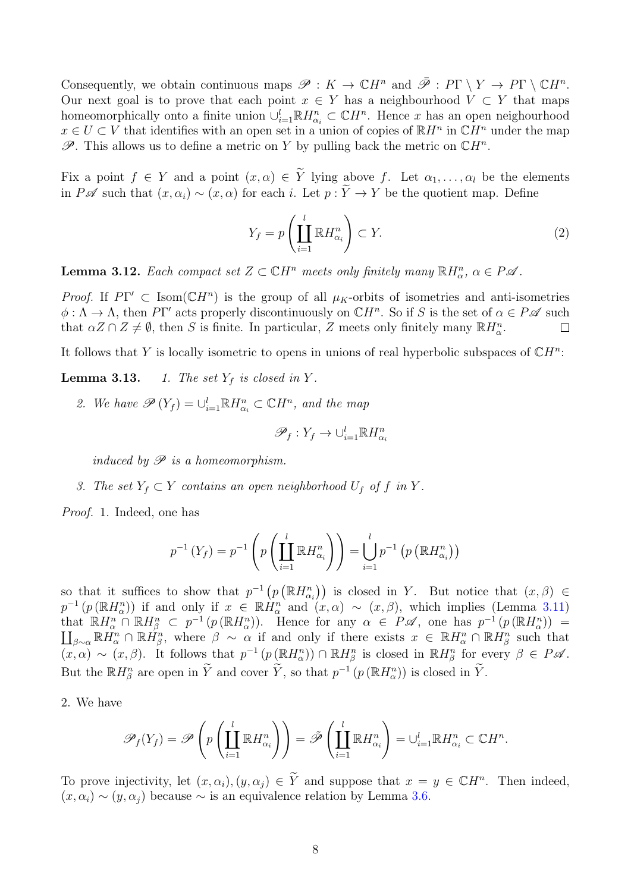Consequently, we obtain continuous maps  $\mathscr{P}: K \to \mathbb{C}H^n$  and  $\overline{\mathscr{P}}: P\Gamma \setminus Y \to P\Gamma \setminus \mathbb{C}H^n$ . Our next goal is to prove that each point  $x \in Y$  has a neighbourhood  $V \subset Y$  that maps homeomorphically onto a finite union  $\cup_{i=1}^{l} \mathbb{R} H_{\alpha_i}^{n} \subset \mathbb{C} H^n$ . Hence x has an open neighourhood  $x \in U \subset V$  that identifies with an open set in a union of copies of  $\mathbb{R}H^n$  in  $\mathbb{C}H^n$  under the map  $\mathscr{P}$ . This allows us to define a metric on Y by pulling back the metric on  $\mathbb{C}H^n$ .

Fix a point  $f \in Y$  and a point  $(x, \alpha) \in \tilde{Y}$  lying above f. Let  $\alpha_1, \ldots, \alpha_l$  be the elements in P  $\mathscr A$  such that  $(x, \alpha_i) \sim (x, \alpha)$  for each i. Let  $p : \widetilde{Y} \to Y$  be the quotient map. Define

<span id="page-7-1"></span>
$$
Y_f = p\left(\coprod_{i=1}^l \mathbb{R}H_{\alpha_i}^n\right) \subset Y. \tag{2}
$$

<span id="page-7-0"></span>**Lemma 3.12.** Each compact set  $Z \subset \mathbb{C}H^n$  meets only finitely many  $\mathbb{R}H^n_\alpha$ ,  $\alpha \in P\mathscr{A}$ .

Proof. If  $PT' \subset \text{Isom}(\mathbb{C}H^n)$  is the group of all  $\mu_K$ -orbits of isometries and anti-isometries  $\phi: \Lambda \to \Lambda$ , then PT' acts properly discontinuously on  $\mathbb{C}H^n$ . So if S is the set of  $\alpha \in P\mathscr{A}$  such that  $\alpha Z \cap Z \neq \emptyset$ , then S is finite. In particular, Z meets only finitely many  $\mathbb{R}H_{\alpha}^{n}$ .  $\Box$ 

It follows that Y is locally isometric to opens in unions of real hyperbolic subspaces of  $\mathbb{C}H^n$ :

**Lemma 3.13.** 1. The set  $Y_f$  is closed in Y.

2. We have  $\mathscr{P}(Y_f) = \bigcup_{i=1}^l \mathbb{R} H_{\alpha_i}^n \subset \mathbb{C} H^n$ , and the map

$$
\mathscr{P}_f: Y_f \to \cup_{i=1}^l \mathbb{R} H^n_{\alpha_i}
$$

induced by  $\mathscr P$  is a homeomorphism.

3. The set  $Y_f \subset Y$  contains an open neighborhood  $U_f$  of f in Y.

Proof. 1. Indeed, one has

$$
p^{-1}(Y_f) = p^{-1}\left(p\left(\coprod_{i=1}^l \mathbb{R}H_{\alpha_i}^n\right)\right) = \bigcup_{i=1}^l p^{-1}\left(p\left(\mathbb{R}H_{\alpha_i}^n\right)\right)
$$

so that it suffices to show that  $p^{-1}(p(\mathbb{R}H_{\alpha_i}^n))$  is closed in Y. But notice that  $(x,\beta) \in$  $p^{-1}(p(\mathbb{R}H_{\alpha}^{n}))$  if and only if  $x \in \mathbb{R}H_{\alpha}^{n}$  and  $(x,\alpha) \sim (x,\beta)$ , which implies (Lemma [3.11\)](#page-0-2) that  $\mathbb{R}H_{\alpha}^n \cap \mathbb{R}H_{\beta}^n \subset p^{-1}(p(\mathbb{R}H_{\alpha}^n)).$  Hence for any  $\alpha \in P\mathscr{A}$ , one has  $p^{-1}(p(\mathbb{R}H_{\alpha}^n)) =$  $\prod_{\beta\sim\alpha}\mathbb{R}H_{\alpha}^n\cap\mathbb{R}H_{\beta}^n$ , where  $\beta \sim \alpha$  if and only if there exists  $x \in \mathbb{R}H_{\alpha}^n\cap\mathbb{R}H_{\beta}^n$  such that  $(x, \alpha) \sim (x, \beta)$ . It follows that  $p^{-1}(p(\mathbb{R}H_{\alpha}^{n})) \cap \mathbb{R}H_{\beta}^{n}$  is closed in  $\mathbb{R}H_{\beta}^{n}$  for every  $\beta \in P\mathscr{A}$ . But the  $\mathbb{R}H^n_\beta$  are open in  $\widetilde{Y}$  and cover  $\widetilde{Y}$ , so that  $p^{-1}(p(\mathbb{R}H^n_\alpha))$  is closed in  $\widetilde{Y}$ .

2. We have

$$
\mathscr{P}_f(Y_f) = \mathscr{P}\left(p\left(\coprod_{i=1}^l \mathbb{R} H_{\alpha_i}^n\right)\right) = \tilde{\mathscr{P}}\left(\coprod_{i=1}^l \mathbb{R} H_{\alpha_i}^n\right) = \bigcup_{i=1}^l \mathbb{R} H_{\alpha_i}^n \subset \mathbb{C} H^n.
$$

To prove injectivity, let  $(x, \alpha_i), (y, \alpha_j) \in \widetilde{Y}$  and suppose that  $x = y \in \mathbb{C}H^n$ . Then indeed,  $(x, \alpha_i) \sim (y, \alpha_i)$  because  $\sim$  is an equivalence relation by Lemma [3.6.](#page-5-2)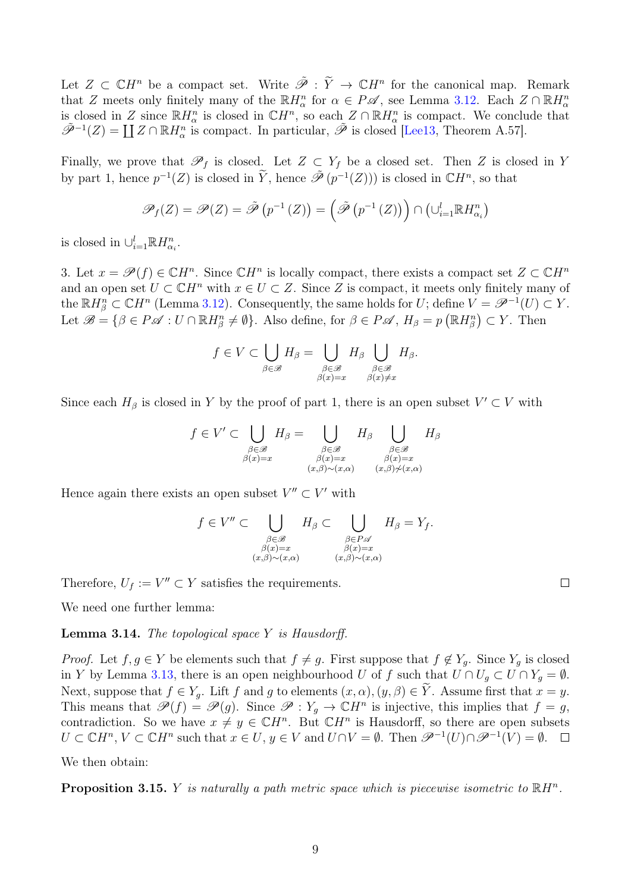Let  $Z \subset \mathbb{C}H^n$  be a compact set. Write  $\tilde{\mathscr{P}} : \tilde{Y} \to \mathbb{C}H^n$  for the canonical map. Remark that Z meets only finitely many of the  $\mathbb{R}H^n_\alpha$  for  $\alpha \in P\mathscr{A}$ , see Lemma [3.12.](#page-7-0) Each  $Z \cap \mathbb{R}H^n_\alpha$ is closed in Z since  $\mathbb{R}H^n_\alpha$  is closed in  $\mathbb{C}H^n$ , so each  $Z \cap \mathbb{R}H^n_\alpha$  is compact. We conclude that  $\tilde{\mathscr{P}}^{-1}(Z) = \coprod Z \cap \mathbb{R}H_{\alpha}^{n}$  is compact. In particular,  $\tilde{\mathscr{P}}$  is closed [\[Lee13,](#page-33-6) Theorem A.57].

Finally, we prove that  $\mathscr{P}_f$  is closed. Let  $Z \subset Y_f$  be a closed set. Then Z is closed in Y by part 1, hence  $p^{-1}(Z)$  is closed in  $\widetilde{Y}$ , hence  $\tilde{\mathscr{P}}(p^{-1}(Z))$  is closed in  $\mathbb{C}H^n$ , so that

$$
\mathscr{P}_f(Z) = \mathscr{P}(Z) = \tilde{\mathscr{P}}(p^{-1}(Z)) = \left(\tilde{\mathscr{P}}(p^{-1}(Z))\right) \cap \left(\bigcup_{i=1}^l \mathbb{R}H^n_{\alpha_i}\right)
$$

is closed in  $\cup_{i=1}^{l} \mathbb{R} H_{\alpha_i}^n$ .

3. Let  $x = \mathscr{P}(f) \in \mathbb{C}H^n$ . Since  $\mathbb{C}H^n$  is locally compact, there exists a compact set  $Z \subset \mathbb{C}H^n$ and an open set  $U \subset \mathbb{C}H^n$  with  $x \in U \subset Z$ . Since Z is compact, it meets only finitely many of the  $\mathbb{R}H_{\beta}^{n} \subset \mathbb{C}H^{n}$  (Lemma [3.12\)](#page-7-0). Consequently, the same holds for U; define  $V = \mathscr{P}^{-1}(U) \subset Y$ . Let  $\mathscr{B} = \{ \beta \in P \mathscr{A} : U \cap \mathbb{R}H^n_{\beta} \neq \emptyset \}$ . Also define, for  $\beta \in P \mathscr{A}$ ,  $H_{\beta} = p (\mathbb{R}H^n_{\beta}) \subset Y$ . Then

$$
f \in V \subset \bigcup_{\beta \in \mathscr{B}} H_{\beta} = \bigcup_{\substack{\beta \in \mathscr{B} \\ \beta(x) = x}} H_{\beta} \bigcup_{\substack{\beta \in \mathscr{B} \\ \beta(x) \neq x}} H_{\beta}.
$$

Since each  $H_\beta$  is closed in Y by the proof of part 1, there is an open subset  $V' \subset V$  with

$$
f \in V' \subset \bigcup_{\substack{\beta \in \mathcal{B} \\ \beta(x)=x}} H_{\beta} = \bigcup_{\substack{\beta \in \mathcal{B} \\ \beta(x)=x \\ (x,\beta) \sim (x,\alpha)}} H_{\beta} \bigcup_{\substack{\beta \in \mathcal{B} \\ \beta(x)=x \\ (x,\beta) \neq (x,\alpha)}} H_{\beta}
$$

Hence again there exists an open subset  $V'' \subset V'$  with

$$
f \in V'' \subset \bigcup_{\substack{\beta \in \mathcal{B} \\ \beta(x)=x \\ (x,\beta)\sim(x,\alpha)}} H_{\beta} \subset \bigcup_{\substack{\beta \in P \mathcal{A} \\ \beta(x)=x \\ (x,\beta)\sim(x,\alpha)}} H_{\beta} = Y_f.
$$

 $\Box$ 

Therefore,  $U_f := V'' \subset Y$  satisfies the requirements.

We need one further lemma:

**Lemma 3.14.** The topological space  $Y$  is Hausdorff.

*Proof.* Let  $f, g \in Y$  be elements such that  $f \neq g$ . First suppose that  $f \notin Y_g$ . Since  $Y_g$  is closed in Y by Lemma [3.13,](#page-0-2) there is an open neighbourhood U of f such that  $U \cap U_g \subset U \cap Y_g = \emptyset$ . Next, suppose that  $f \in Y_g$ . Lift f and g to elements  $(x, \alpha), (y, \beta) \in \tilde{Y}$ . Assume first that  $x = y$ . This means that  $\mathscr{P}(f) = \mathscr{P}(g)$ . Since  $\mathscr{P} : Y_g \to \mathbb{C}H^n$  is injective, this implies that  $f = g$ , contradiction. So we have  $x \neq y \in \mathbb{C}H^n$ . But  $\mathbb{C}H^n$  is Hausdorff, so there are open subsets  $U \subset \mathbb{C}H^n$ ,  $V \subset \mathbb{C}H^n$  such that  $x \in U$ ,  $y \in V$  and  $U \cap V = \emptyset$ . Then  $\mathscr{P}^{-1}(U) \cap \mathscr{P}^{-1}(V) = \emptyset$ .

We then obtain:

<span id="page-8-0"></span>**Proposition 3.15.** Y is naturally a path metric space which is piecewise isometric to  $\mathbb{R}H^n$ .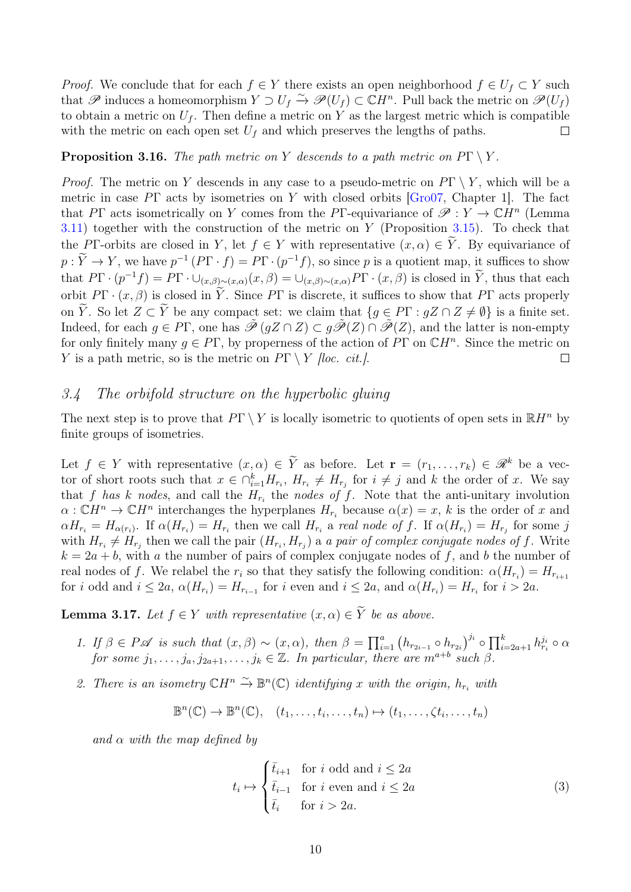*Proof.* We conclude that for each  $f \in Y$  there exists an open neighborhood  $f \in U_f \subset Y$  such that  $\mathscr P$  induces a homeomorphism  $Y \supset U_f \overset{\sim}{\to} \mathscr P(U_f) \subset \mathbb C H^n$ . Pull back the metric on  $\mathscr P(U_f)$ to obtain a metric on  $U_f$ . Then define a metric on Y as the largest metric which is compatible with the metric on each open set  $U_f$  and which preserves the lengths of paths.  $\Box$ 

#### <span id="page-9-2"></span>**Proposition 3.16.** The path metric on Y descends to a path metric on  $P\Gamma \setminus Y$ .

*Proof.* The metric on Y descends in any case to a pseudo-metric on  $P\Gamma \setminus Y$ , which will be a metric in case  $P\Gamma$  acts by isometries on Y with closed orbits [\[Gro07,](#page-32-6) Chapter 1]. The fact that PΓ acts isometrically on Y comes from the PΓ-equivariance of  $\mathscr{P}: Y \to \mathbb{C}H^n$  (Lemma  $3.11$ ) together with the construction of the metric on Y (Proposition [3.15\)](#page-8-0). To check that the PΓ-orbits are closed in Y, let  $f \in Y$  with representative  $(x, \alpha) \in \tilde{Y}$ . By equivariance of  $p: \tilde{Y} \to Y$ , we have  $p^{-1}(P\Gamma \cdot f) = P\Gamma \cdot (p^{-1}f)$ , so since p is a quotient map, it suffices to show that  $P\Gamma \cdot (p^{-1}f) = P\Gamma \cdot \cup_{(x,\beta)\sim(x,\alpha)} (x,\beta) = \cup_{(x,\beta)\sim(x,\alpha)} P\Gamma \cdot (x,\beta)$  is closed in  $\tilde{Y}$ , thus that each orbit  $P\Gamma \cdot (x, \beta)$  is closed in  $\widetilde{Y}$ . Since  $P\Gamma$  is discrete, it suffices to show that  $P\Gamma$  acts properly on  $\widetilde{Y}$ . So let  $Z \subset \widetilde{Y}$  be any compact set: we claim that  $\{g \in P\Gamma : gZ \cap Z \neq \emptyset\}$  is a finite set. Indeed, for each  $g \in P\Gamma$ , one has  $\tilde{\mathcal{P}}(gZ \cap Z) \subset g\tilde{\mathcal{P}}(Z) \cap \tilde{\mathcal{P}}(Z)$ , and the latter is non-empty for only finitely many  $g \in P\Gamma$ , by properness of the action of  $\overline{P}\Gamma$  on  $\mathbb{C}H^n$ . Since the metric on Y is a path metric, so is the metric on  $P\Gamma \setminus Y$  [loc. cit.].  $\Box$ 

#### 3.4 The orbifold structure on the hyperbolic gluing

The next step is to prove that  $P\Gamma \setminus Y$  is locally isometric to quotients of open sets in  $\mathbb{R}H^n$  by finite groups of isometries.

Let  $f \in Y$  with representative  $(x, \alpha) \in \widetilde{Y}$  as before. Let  $\mathbf{r} = (r_1, \ldots, r_k) \in \mathcal{R}^k$  be a vector of short roots such that  $x \in \bigcap_{i=1}^k H_{r_i}$ ,  $H_{r_i} \neq H_{r_j}$  for  $i \neq j$  and k the order of x. We say that f has k nodes, and call the  $H_{r_i}$  the nodes of f. Note that the anti-unitary involution  $\alpha: \mathbb{C}H^n \to \mathbb{C}H^n$  interchanges the hyperplanes  $H_{r_i}$  because  $\alpha(x) = x$ , k is the order of x and  $\alpha H_{r_i} = H_{\alpha(r_i)}$ . If  $\alpha(H_{r_i}) = H_{r_i}$  then we call  $H_{r_i}$  a real node of f. If  $\alpha(H_{r_i}) = H_{r_j}$  for some j with  $H_{r_i} \neq H_{r_j}$  then we call the pair  $(H_{r_i}, H_{r_j})$  a a pair of complex conjugate nodes of f. Write  $k = 2a + b$ , with a the number of pairs of complex conjugate nodes of f, and b the number of real nodes of f. We relabel the  $r_i$  so that they satisfy the following condition:  $\alpha(H_{r_i}) = H_{r_{i+1}}$ for i odd and  $i \leq 2a$ ,  $\alpha(H_{r_i}) = H_{r_{i-1}}$  for i even and  $i \leq 2a$ , and  $\alpha(H_{r_i}) = H_{r_i}$  for  $i > 2a$ .

<span id="page-9-1"></span>**Lemma 3.17.** Let  $f \in Y$  with representative  $(x, \alpha) \in \widetilde{Y}$  be as above.

- 1. If  $\beta \in P\mathscr{A}$  is such that  $(x, \beta) \sim (x, \alpha)$ , then  $\beta = \prod_{i=1}^{a} (h_{r_{2i-1}} \circ h_{r_{2i}})^{j_i} \circ \prod_{i=2a+1}^{k} h_{r_i}^{j_i} \circ \alpha$ for some  $j_1, \ldots, j_a, j_{2a+1}, \ldots, j_k \in \mathbb{Z}$ . In particular, there are  $m^{a+b}$  such  $\beta$ .
- 2. There is an isometry  $\mathbb{C}H^n \stackrel{\sim}{\to} \mathbb{B}^n(\mathbb{C})$  identifying x with the origin,  $h_{r_i}$  with

$$
\mathbb{B}^n(\mathbb{C}) \to \mathbb{B}^n(\mathbb{C}), \quad (t_1, \ldots, t_i, \ldots, t_n) \mapsto (t_1, \ldots, \zeta t_i, \ldots, t_n)
$$

and  $\alpha$  with the map defined by

<span id="page-9-0"></span>
$$
t_i \mapsto \begin{cases} \bar{t}_{i+1} & \text{for } i \text{ odd and } i \le 2a \\ \bar{t}_{i-1} & \text{for } i \text{ even and } i \le 2a \\ \bar{t}_i & \text{for } i > 2a. \end{cases} \tag{3}
$$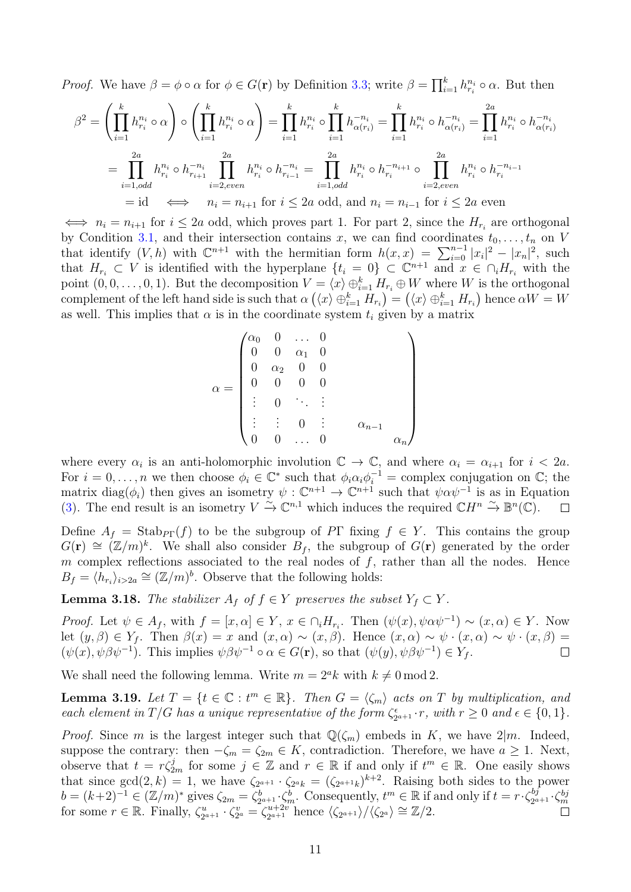*Proof.* We have  $\beta = \phi \circ \alpha$  for  $\phi \in G(\mathbf{r})$  by Definition [3.3;](#page-4-4) write  $\beta = \prod_{i=1}^{k} h_{r_i}^{n_i} \circ \alpha$ . But then

$$
\beta^{2} = \left(\prod_{i=1}^{k} h_{r_{i}}^{n_{i}} \circ \alpha\right) \circ \left(\prod_{i=1}^{k} h_{r_{i}}^{n_{i}} \circ \alpha\right) = \prod_{i=1}^{k} h_{r_{i}}^{n_{i}} \circ \prod_{i=1}^{k} h_{\alpha(r_{i})}^{-n_{i}} = \prod_{i=1}^{k} h_{r_{i}}^{n_{i}} \circ h_{\alpha(r_{i})}^{-n_{i}} = \prod_{i=1}^{2a} h_{r_{i}}^{n_{i}} \circ h_{\alpha(r_{i})}^{-n_{i}}
$$

$$
= \prod_{i=1,odd}^{2a} h_{r_{i}}^{n_{i}} \circ h_{r_{i+1}}^{-n_{i}} \prod_{i=2,even}^{2a} h_{r_{i}}^{n_{i}} \circ h_{r_{i-1}}^{-n_{i}} = \prod_{i=1,odd}^{2a} h_{r_{i}}^{n_{i}} \circ h_{r_{i}}^{-n_{i+1}} \circ \prod_{i=2,even}^{2a} h_{r_{i}}^{n_{i}} \circ h_{r_{i}}^{-n_{i-1}}
$$

$$
= \text{id} \iff n_{i} = n_{i+1} \text{ for } i \le 2a \text{ odd, and } n_{i} = n_{i-1} \text{ for } i \le 2a \text{ even}
$$

 $\Leftrightarrow$   $n_i = n_{i+1}$  for  $i \leq 2a$  odd, which proves part 1. For part 2, since the  $H_{r_i}$  are orthogonal by Condition [3.1,](#page-4-1) and their intersection contains x, we can find coordinates  $t_0, \ldots, t_n$  on V that identify  $(V, h)$  with  $\mathbb{C}^{n+1}$  with the hermitian form  $h(x, x) = \sum_{i=0}^{n-1} |x_i|^2 - |x_n|^2$ , such that  $H_{r_i} \subset V$  is identified with the hyperplane  $\{t_i = 0\} \subset \mathbb{C}^{n+1}$  and  $x \in \cap_i H_{r_i}$  with the point  $(0,0,\ldots,0,1)$ . But the decomposition  $V = \langle x \rangle \oplus_{i=1}^k H_{r_i} \oplus W$  where W is the orthogonal complement of the left hand side is such that  $\alpha(\langle x \rangle \oplus_{i=1}^k H_{r_i}) = (\langle x \rangle \oplus_{i=1}^k H_{r_i})$  hence  $\alpha W = W$ as well. This implies that  $\alpha$  is in the coordinate system  $t_i$  given by a matrix

$$
\alpha = \begin{pmatrix}\n\alpha_0 & 0 & \dots & 0 & & & \\
0 & 0 & \alpha_1 & 0 & & & \\
0 & \alpha_2 & 0 & 0 & & & \\
0 & 0 & 0 & 0 & & & \\
\vdots & 0 & \ddots & \vdots & & & \\
\vdots & \vdots & 0 & \vdots & & \alpha_{n-1} & \\
0 & 0 & \dots & 0 & & & \alpha_n\n\end{pmatrix}
$$

where every  $\alpha_i$  is an anti-holomorphic involution  $\mathbb{C} \to \mathbb{C}$ , and where  $\alpha_i = \alpha_{i+1}$  for  $i < 2a$ . For  $i = 0, \ldots, n$  we then choose  $\phi_i \in \mathbb{C}^*$  such that  $\phi_i \alpha_i \phi_i^{-1} =$  complex conjugation on  $\mathbb{C}$ ; the matrix diag( $\phi_i$ ) then gives an isometry  $\psi: \mathbb{C}^{n+1} \to \mathbb{C}^{n+1}$  such that  $\psi \alpha \psi^{-1}$  is as in Equation [\(3\)](#page-9-0). The end result is an isometry  $V \xrightarrow{\sim} \mathbb{C}^{n,1}$  which induces the required  $\mathbb{C}H^n \xrightarrow{\sim} \mathbb{B}^n(\mathbb{C})$ .  $\Box$ 

Define  $A_f = \text{Stab}_{P\Gamma}(f)$  to be the subgroup of PT fixing  $f \in Y$ . This contains the group  $G(\mathbf{r}) \cong (\mathbb{Z}/m)^k$ . We shall also consider  $B_f$ , the subgroup of  $G(\mathbf{r})$  generated by the order m complex reflections associated to the real nodes of  $f$ , rather than all the nodes. Hence  $B_f = \langle \hat{h}_{r_i} \rangle_{i>2a} \cong (\mathbb{Z}/m)^b$ . Observe that the following holds:

**Lemma 3.18.** The stabilizer  $A_f$  of  $f \in Y$  preserves the subset  $Y_f \subset Y$ .

*Proof.* Let  $\psi \in A_f$ , with  $f = [x, \alpha] \in Y$ ,  $x \in \bigcap_i H_{r_i}$ . Then  $(\psi(x), \psi \alpha \psi^{-1}) \sim (x, \alpha) \in Y$ . Now let  $(y, \beta) \in Y_f$ . Then  $\beta(x) = x$  and  $(x, \alpha) \sim (x, \beta)$ . Hence  $(x, \alpha) \sim \psi \cdot (x, \alpha) \sim \psi \cdot (x, \beta) =$  $(\psi(x), \psi \beta \psi^{-1})$ . This implies  $\psi \beta \psi^{-1} \circ \alpha \in G(\mathbf{r})$ , so that  $(\psi(y), \psi \beta \psi^{-1}) \in Y_f$ .  $\Box$ 

We shall need the following lemma. Write  $m = 2<sup>a</sup>k$  with  $k \neq 0 \mod 2$ .

<span id="page-10-0"></span>**Lemma 3.19.** Let  $T = \{t \in \mathbb{C} : t^m \in \mathbb{R}\}$ . Then  $G = \langle \zeta_m \rangle$  acts on T by multiplication, and each element in  $T/G$  has a unique representative of the form  $\zeta_2^e$  $x_{2^{a+1}}^{\epsilon} \cdot r$ , with  $r \geq 0$  and  $\epsilon \in \{0,1\}$ .

*Proof.* Since m is the largest integer such that  $\mathbb{Q}(\zeta_m)$  embeds in K, we have  $2|m$ . Indeed, suppose the contrary: then  $-\zeta_m = \zeta_{2m} \in K$ , contradiction. Therefore, we have  $a \geq 1$ . Next, observe that  $t = r\zeta_{2m}^j$  for some  $j \in \mathbb{Z}$  and  $r \in \mathbb{R}$  if and only if  $t^m \in \mathbb{R}$ . One easily shows that since  $gcd(2, k) = 1$ , we have  $\zeta_{2^{a+1}} \cdot \zeta_{2^{a}k} = (\zeta_{2^{a+1}k})^{k+2}$ . Raising both sides to the power  $b = (k+2)^{-1} \in (\mathbb{Z}/m)^*$  gives  $\zeta_{2m} = \zeta_2^b$  $\zeta_{2^{a+1}}^b \zeta_m^b$ . Consequently,  $t^m \in \mathbb{R}$  if and only if  $t = r \cdot \zeta_{2^a}^{b_j}$  $b = (k+2)^{-1} \in (\mathbb{Z}/m)^*$  gives  $\zeta_{2m} = \zeta_{2^{a+1}}^b \cdot \zeta_m^b$ . Consequently,  $t^m \in \mathbb{R}$  if and only if  $t = r \cdot \zeta_{2^{a+1}}^{bj} \cdot \zeta_m^{bj}$ <br>for some  $r \in \mathbb{R}$ . Finally,  $\zeta_{2^{a+1}}^{u} \cdot \zeta_{2^{a}}^{u} = \zeta_{2^{a+1}}^{u+2v}$  hence  $\langle$  $\zeta_{2^{a+1}}^u \cdot \zeta_{2^{a}}^v = \zeta_{2^{a+1}}^{u+2v}$  $\frac{2^{u+2v}}{2^{a+1}}$ hence  $\langle \zeta_{2^{a+1}} \rangle / \langle \zeta_{2^a} \rangle \cong \mathbb{Z}/2$ .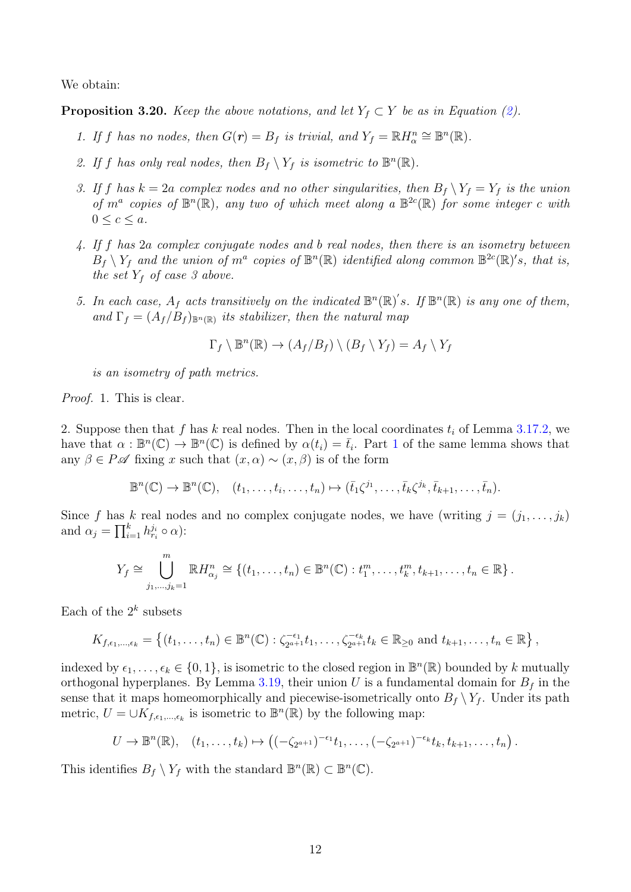We obtain:

<span id="page-11-0"></span>**Proposition 3.20.** Keep the above notations, and let  $Y_f \subset Y$  be as in Equation [\(2\)](#page-7-1).

- 1. If f has no nodes, then  $G(r) = B_f$  is trivial, and  $Y_f = \mathbb{R} H_{\alpha}^n \cong \mathbb{B}^n(\mathbb{R})$ .
- 2. If f has only real nodes, then  $B_f \setminus Y_f$  is isometric to  $\mathbb{B}^n(\mathbb{R})$ .
- 3. If f has  $k = 2a$  complex nodes and no other singularities, then  $B_f \setminus Y_f = Y_f$  is the union of  $m^a$  copies of  $\mathbb{B}^n(\mathbb{R})$ , any two of which meet along a  $\mathbb{B}^{2c}(\mathbb{R})$  for some integer c with  $0 \leq c \leq a$ .
- 4. If f has 2a complex conjugate nodes and b real nodes, then there is an isometry between  $B_f \setminus Y_f$  and the union of  $m^a$  copies of  $\mathbb{B}^n(\mathbb{R})$  identified along common  $\mathbb{B}^{2c}(\mathbb{R})^s$ , that is, the set  $Y_f$  of case 3 above.
- 5. In each case,  $A_f$  acts transitively on the indicated  $\mathbb{B}^n(\mathbb{R})$ 's. If  $\mathbb{B}^n(\mathbb{R})$  is any one of them, and  $\Gamma_f = (A_f/B_f)_{\mathbb{B}^n(\mathbb{R})}$  its stabilizer, then the natural map

$$
\Gamma_f \setminus \mathbb{B}^n(\mathbb{R}) \to (A_f/B_f) \setminus (B_f \setminus Y_f) = A_f \setminus Y_f
$$

is an isometry of path metrics.

Proof. 1. This is clear.

2. Suppose then that f has k real nodes. Then in the local coordinates  $t_i$  of Lemma [3.17.](#page-9-1)2, we have that  $\alpha : \mathbb{B}^n(\mathbb{C}) \to \mathbb{B}^n(\mathbb{C})$  is defined by  $\alpha(t_i) = \overline{t}_i$ . Part 1 of the same lemma shows that any  $\beta \in P\mathscr{A}$  fixing x such that  $(x, \alpha) \sim (x, \beta)$  is of the form

$$
\mathbb{B}^n(\mathbb{C}) \to \mathbb{B}^n(\mathbb{C}), \quad (t_1, \ldots, t_i, \ldots, t_n) \mapsto (\bar{t}_1 \zeta^{j_1}, \ldots, \bar{t}_k \zeta^{j_k}, \bar{t}_{k+1}, \ldots, \bar{t}_n).
$$

Since f has k real nodes and no complex conjugate nodes, we have (writing  $j = (j_1, \ldots, j_k)$ ) and  $\alpha_j = \prod_{i=1}^k h_{r_i}^{j_i} \circ \alpha$ :

$$
Y_f \cong \bigcup_{j_1,\dots,j_k=1}^m \mathbb{R} H^n_{\alpha_j} \cong \{(t_1,\dots,t_n) \in \mathbb{B}^n(\mathbb{C}) : t_1^m,\dots,t_k^m,t_{k+1},\dots,t_n \in \mathbb{R}\}.
$$

Each of the  $2^k$  subsets

$$
K_{f,\epsilon_1,...,\epsilon_k} = \left\{ (t_1,...,t_n) \in \mathbb{B}^n(\mathbb{C}) : \zeta_{2^{a+1}}^{-\epsilon_1} t_1,...,\zeta_{2^{a+1}}^{-\epsilon_k} t_k \in \mathbb{R}_{\geq 0} \text{ and } t_{k+1},...,t_n \in \mathbb{R} \right\},\
$$

indexed by  $\epsilon_1, \ldots, \epsilon_k \in \{0, 1\}$ , is isometric to the closed region in  $\mathbb{B}^n(\mathbb{R})$  bounded by k mutually orthogonal hyperplanes. By Lemma [3.19,](#page-10-0) their union U is a fundamental domain for  $B_f$  in the sense that it maps homeomorphically and piecewise-isometrically onto  $B_f \setminus Y_f$ . Under its path metric,  $U = \cup K_{f,\epsilon_1,\ldots,\epsilon_k}$  is isometric to  $\mathbb{B}^n(\mathbb{R})$  by the following map:

$$
U \to \mathbb{B}^n(\mathbb{R}), \quad (t_1,\ldots,t_k) \mapsto \left( (-\zeta_{2^{a+1}})^{-\epsilon_1} t_1,\ldots, (-\zeta_{2^{a+1}})^{-\epsilon_k} t_k,t_{k+1},\ldots,t_n \right).
$$

This identifies  $B_f \setminus Y_f$  with the standard  $\mathbb{B}^n(\mathbb{R}) \subset \mathbb{B}^n(\mathbb{C})$ .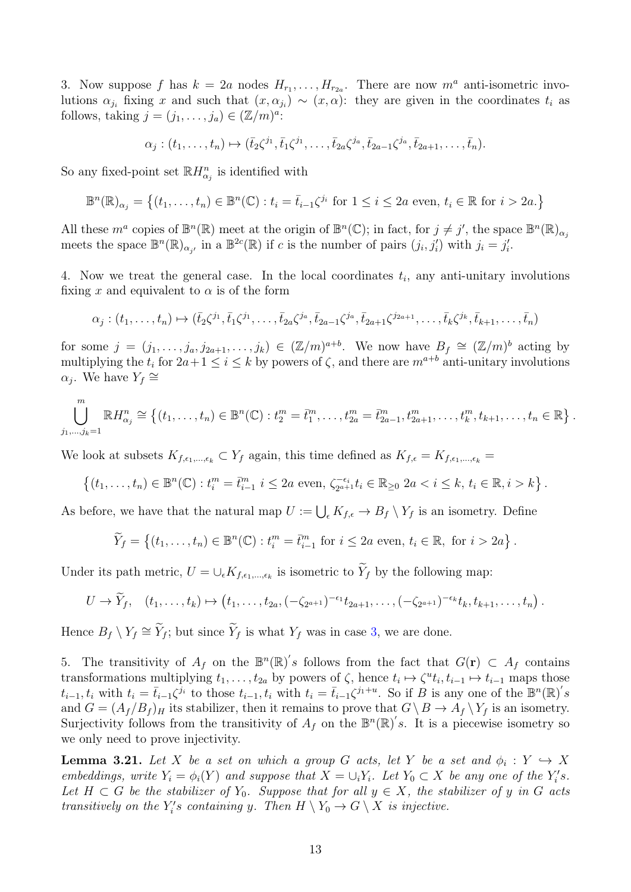3. Now suppose f has  $k = 2a$  nodes  $H_{r_1}, \ldots, H_{r_{2a}}$ . There are now  $m^a$  anti-isometric involutions  $\alpha_{j_i}$  fixing x and such that  $(x, \alpha_{j_i}) \sim (x, \alpha)$ : they are given in the coordinates  $t_i$  as follows, taking  $j = (j_1, \ldots, j_a) \in (\mathbb{Z}/m)^a$ :

$$
\alpha_j : (t_1, \ldots, t_n) \mapsto (\bar{t}_2 \zeta^{j_1}, \bar{t}_1 \zeta^{j_1}, \ldots, \bar{t}_{2a} \zeta^{j_a}, \bar{t}_{2a-1} \zeta^{j_a}, \bar{t}_{2a+1}, \ldots, \bar{t}_n).
$$

So any fixed-point set  $\mathbb{R}H_{\alpha_j}^n$  is identified with

$$
\mathbb{B}^n(\mathbb{R})_{\alpha_j} = \left\{ (t_1, \dots, t_n) \in \mathbb{B}^n(\mathbb{C}) : t_i = \overline{t}_{i-1} \zeta^{j_i} \text{ for } 1 \le i \le 2a \text{ even, } t_i \in \mathbb{R} \text{ for } i > 2a. \right\}
$$

All these  $m^a$  copies of  $\mathbb{B}^n(\mathbb{R})$  meet at the origin of  $\mathbb{B}^n(\mathbb{C})$ ; in fact, for  $j \neq j'$ , the space  $\mathbb{B}^n(\mathbb{R})_{\alpha_j}$ meets the space  $\mathbb{B}^n(\mathbb{R})_{\alpha_j}$ , in a  $\mathbb{B}^{2c}(\mathbb{R})$  if c is the number of pairs  $(j_i, j'_i)$  with  $j_i = j'_i$ .

4. Now we treat the general case. In the local coordinates  $t_i$ , any anti-unitary involutions fixing x and equivalent to  $\alpha$  is of the form

$$
\alpha_j : (t_1, \ldots, t_n) \mapsto (\bar{t}_2 \zeta^{j_1}, \bar{t}_1 \zeta^{j_1}, \ldots, \bar{t}_{2a} \zeta^{j_a}, \bar{t}_{2a-1} \zeta^{j_a}, \bar{t}_{2a+1} \zeta^{j_{2a+1}}, \ldots, \bar{t}_k \zeta^{j_k}, \bar{t}_{k+1}, \ldots, \bar{t}_n)
$$

for some  $j = (j_1, \ldots, j_a, j_{2a+1}, \ldots, j_k) \in (\mathbb{Z}/m)^{a+b}$ . We now have  $B_f \cong (\mathbb{Z}/m)^b$  acting by multiplying the  $t_i$  for  $2a+1 \leq i \leq k$  by powers of  $\zeta$ , and there are  $m^{a+b}$  anti-unitary involutions  $\alpha_j$ . We have  $Y_f \cong$ 

$$
\bigcup_{j_1,\dots,j_k=1}^m \mathbb{R} H^n_{\alpha_j} \cong \{(t_1,\dots,t_n) \in \mathbb{B}^n(\mathbb{C}) : t_2^m = \bar{t}_1^m,\dots,t_{2a}^m = \bar{t}_{2a-1}^m,t_{2a+1}^m,\dots,t_k^m,t_{k+1},\dots,t_n \in \mathbb{R}\}.
$$

We look at subsets  $K_{f,\epsilon_1,\ldots,\epsilon_k} \subset Y_f$  again, this time defined as  $K_{f,\epsilon} = K_{f,\epsilon_1,\ldots,\epsilon_k}$ 

$$
\{(t_1,\ldots,t_n)\in\mathbb{B}^n(\mathbb{C}): t_i^m=\bar{t}_{i-1}^m \ i\leq 2a \text{ even}, \ \zeta_{2^{a+1}}^{-\epsilon_i}t_i\in\mathbb{R}_{\geq 0} \ 2ak\}.
$$

As before, we have that the natural map  $U := \bigcup_{\epsilon} K_{f,\epsilon} \to B_f \setminus Y_f$  is an isometry. Define

$$
\widetilde{Y}_f = \left\{ (t_1, \ldots, t_n) \in \mathbb{B}^n(\mathbb{C}) : t_i^m = \overline{t_{i-1}^m} \text{ for } i \leq 2a \text{ even, } t_i \in \mathbb{R}, \text{ for } i > 2a \right\}.
$$

Under its path metric,  $U = \bigcup_{\epsilon} K_{f,\epsilon_1,\dots,\epsilon_k}$  is isometric to  $Y_f$  by the following map:

$$
U \to \widetilde{Y}_f, \quad (t_1, \ldots, t_k) \mapsto (t_1, \ldots, t_{2a}, (-\zeta_{2^{a+1}})^{-\epsilon_1} t_{2a+1}, \ldots, (-\zeta_{2^{a+1}})^{-\epsilon_k} t_k, t_{k+1}, \ldots, t_n).
$$

Hence  $B_f \setminus Y_f \cong \widetilde{Y}_f$ ; but since  $\widetilde{Y}_f$  is what  $Y_f$  was in case 3, we are done.

5. The transitivity of  $A_f$  on the  $\mathbb{B}^n(\mathbb{R})/s$  follows from the fact that  $G(\mathbf{r}) \subset A_f$  contains transformations multiplying  $t_1, \ldots, t_{2a}$  by powers of  $\zeta$ , hence  $t_i \mapsto \zeta^u t_i, t_{i-1} \mapsto t_{i-1}$  maps those  $t_{i-1}, t_i$  with  $t_i = \bar{t}_{i-1} \zeta^{j_i}$  to those  $t_{i-1}, t_i$  with  $t_i = \bar{t}_{i-1} \zeta^{j_1+i}$ . So if B is any one of the  $\mathbb{B}^n(\mathbb{R})^{'s}$ and  $G = (A_f / B_f)$  its stabilizer, then it remains to prove that  $G \setminus B \to A_f \setminus Y_f$  is an isometry. Surjectivity follows from the transitivity of  $A_f$  on the  $\mathbb{B}^n(\mathbb{R})^s$ . It is a piecewise isometry so we only need to prove injectivity.

<span id="page-12-0"></span>**Lemma 3.21.** Let X be a set on which a group G acts, let Y be a set and  $\phi_i: Y \hookrightarrow X$ embeddings, write  $Y_i = \phi_i(Y)$  and suppose that  $X = \bigcup_i Y_i$ . Let  $Y_0 \subset X$  be any one of the  $Y_i$ 's. Let  $H \subset G$  be the stabilizer of  $Y_0$ . Suppose that for all  $y \in X$ , the stabilizer of y in G acts transitively on the  $Y_i$ 's containing y. Then  $H \setminus Y_0 \to G \setminus X$  is injective.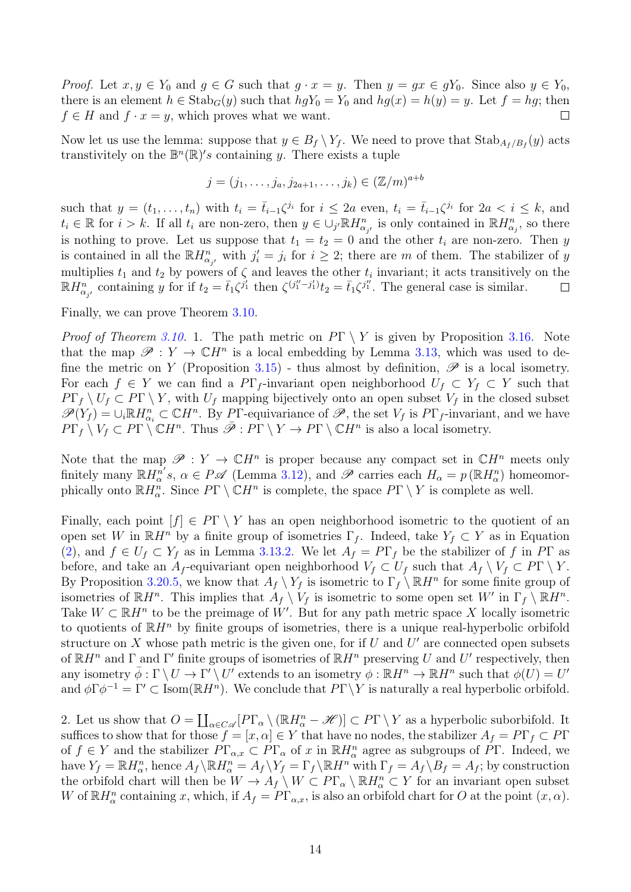*Proof.* Let  $x, y \in Y_0$  and  $g \in G$  such that  $g \cdot x = y$ . Then  $y = gx \in gY_0$ . Since also  $y \in Y_0$ , there is an element  $h \in \text{Stab}_G(y)$  such that  $hgY_0 = Y_0$  and  $hg(x) = h(y) = y$ . Let  $f = hg$ ; then  $f \in H$  and  $f \cdot x = y$ , which proves what we want.

Now let us use the lemma: suppose that  $y \in B_f \setminus Y_f$ . We need to prove that  $\text{Stab}_{A_f/B_f}(y)$  acts transtivitely on the  $\mathbb{B}^n(\mathbb{R})$ 's containing y. There exists a tuple

$$
j=(j_1,\ldots,j_a,j_{2a+1},\ldots,j_k)\in(\mathbb{Z}/m)^{a+b}
$$

such that  $y = (t_1, \ldots, t_n)$  with  $t_i = \bar{t}_{i-1} \zeta^{j_i}$  for  $i \leq 2a$  even,  $t_i = \bar{t}_{i-1} \zeta^{j_i}$  for  $2a < i \leq k$ , and  $t_i \in \mathbb{R}$  for  $i > k$ . If all  $t_i$  are non-zero, then  $y \in \bigcup_{j'} \mathbb{R} H_{\alpha_{j'}}^n$  is only contained in  $\mathbb{R} H_{\alpha_j}^n$ , so there is nothing to prove. Let us suppose that  $t_1 = t_2 = 0$  and the other  $t_i$  are non-zero. Then y is contained in all the  $\mathbb{R}H_{\alpha_{j'}}^n$  with  $j_i'=j_i$  for  $i\geq 2$ ; there are m of them. The stabilizer of y multiplies  $t_1$  and  $t_2$  by powers of  $\zeta$  and leaves the other  $t_i$  invariant; it acts transitively on the  $\mathbb{R}H_{\alpha_{j'}}^n$  containing y for if  $t_2 = \bar{t}_1 \zeta^{j'_1}$  then  $\zeta^{(j''_1-j'_1)} t_2 = \bar{t}_1 \zeta^{j''_1}$ . The general case is similar.  $\Box$ 

Finally, we can prove Theorem [3.10.](#page-0-2)

*Proof of Theorem [3.10.](#page-0-2)* 1. The path metric on  $P\Gamma \setminus Y$  is given by Proposition [3.16.](#page-9-2) Note that the map  $\mathscr{P}: Y \to \mathbb{C}H^n$  is a local embedding by Lemma [3.13,](#page-0-2) which was used to de-fine the metric on Y (Proposition [3.15\)](#page-8-0) - thus almost by definition,  $\mathscr P$  is a local isometry. For each  $f \in Y$  we can find a PΓ<sub>f</sub>-invariant open neighborhood  $U_f \subset Y_f \subset Y$  such that  $P\Gamma_f \setminus U_f \subset P\Gamma \setminus Y$ , with  $U_f$  mapping bijectively onto an open subset  $V_f$  in the closed subset  $\mathscr{P}(Y_f) = \cup_i \mathbb{R} H_{\alpha_i}^n \subset \mathbb{C}H^n$ . By P<sub>I</sub>-equivariance of  $\mathscr{P}$ , the set  $V_f$  is  $P\Gamma_f$ -invariant, and we have  $P\Gamma_f \setminus V_f \subset P\Gamma \setminus \mathbb{C}H^n$ . Thus  $\bar{\mathscr{P}}: P\Gamma \setminus Y \to P\Gamma \setminus \mathbb{C}H^n$  is also a local isometry.

Note that the map  $\mathscr{P}: Y \to \mathbb{C}H^n$  is proper because any compact set in  $\mathbb{C}H^n$  meets only finitely many  $\mathbb{R}H^{n}_{\alpha}$ 's,  $\alpha \in P\mathscr{A}$  (Lemma [3.12\)](#page-7-0), and  $\mathscr{P}$  carries each  $H_{\alpha} = p(\mathbb{R}H_{\alpha}^{n})$  homeomorphically onto  $\mathbb{R}H_{\alpha}^n$ . Since  $P\Gamma \setminus \mathbb{C}H^n$  is complete, the space  $P\Gamma \setminus Y$  is complete as well.

Finally, each point  $[f] \in P\Gamma \setminus Y$  has an open neighborhood isometric to the quotient of an open set W in  $\mathbb{R}H^n$  by a finite group of isometries  $\Gamma_f$ . Indeed, take  $Y_f \subset Y$  as in Equation [\(2\)](#page-7-1), and  $f \in U_f \subset Y_f$  as in Lemma [3.13.](#page-0-2)2. We let  $A_f = P\Gamma_f$  be the stabilizer of f in PT as before, and take an A<sub>f</sub>-equivariant open neighborhood  $V_f \subset U_f$  such that  $A_f \setminus V_f \subset P\Gamma \setminus Y$ . By Proposition [3.20.](#page-11-0)5, we know that  $A_f \setminus Y_f$  is isometric to  $\Gamma_f \setminus \mathbb{R}$  for some finite group of isometries of  $\mathbb{R}H^n$ . This implies that  $A_f \setminus V_f$  is isometric to some open set W' in  $\Gamma_f \setminus \mathbb{R}H^n$ . Take  $W \subset \mathbb{R}^n$  to be the preimage of W'. But for any path metric space X locally isometric to quotients of  $\mathbb{R}H^n$  by finite groups of isometries, there is a unique real-hyperbolic orbifold structure on X whose path metric is the given one, for if U and  $U'$  are connected open subsets of  $\mathbb{R}H^n$  and  $\Gamma$  and  $\Gamma'$  finite groups of isometries of  $\mathbb{R}H^n$  preserving U and U' respectively, then any isometry  $\overline{\phi} : \Gamma \setminus U \to \Gamma' \setminus U'$  extends to an isometry  $\phi : \mathbb{R}H^n \to \mathbb{R}H^n$  such that  $\phi(U) = U'$ and  $\phi \Gamma \phi^{-1} = \Gamma' \subset \text{Isom}(\mathbb{R}H^n)$ . We conclude that  $P\Gamma \backslash Y$  is naturally a real hyperbolic orbifold.

2. Let us show that  $O = \coprod_{\alpha \in C \mathscr{A}} [P\Gamma_{\alpha} \setminus (\mathbb{R}H_{\alpha}^n - \mathscr{H})] \subset P\Gamma \setminus Y$  as a hyperbolic suborbifold. It suffices to show that for those  $f = [x, \alpha] \in Y$  that have no nodes, the stabilizer  $A_f = P\Gamma_f \subset P\Gamma$ of  $f \in Y$  and the stabilizer  $P\Gamma_{\alpha,x} \subset P\Gamma_{\alpha}$  of x in  $\mathbb{R}H_{\alpha}^n$  agree as subgroups of  $\overline{P}\Gamma$ . Indeed, we have  $Y_f = \mathbb{R} H_\alpha^n$ , hence  $A_f \setminus \mathbb{R} H_\alpha^n = A_f \setminus Y_f = \Gamma_f \setminus \mathbb{R} H^n$  with  $\Gamma_f = A_f \setminus B_f = A_f$ ; by construction the orbifold chart will then be  $W \to A_f \setminus W \subset P\Gamma_\alpha \setminus \mathbb{R}H^n_\alpha \subset Y$  for an invariant open subset W of  $\mathbb{R}H_{\alpha}^n$  containing x, which, if  $A_f = P\Gamma_{\alpha,x}$ , is also an orbifold chart for O at the point  $(x,\alpha)$ .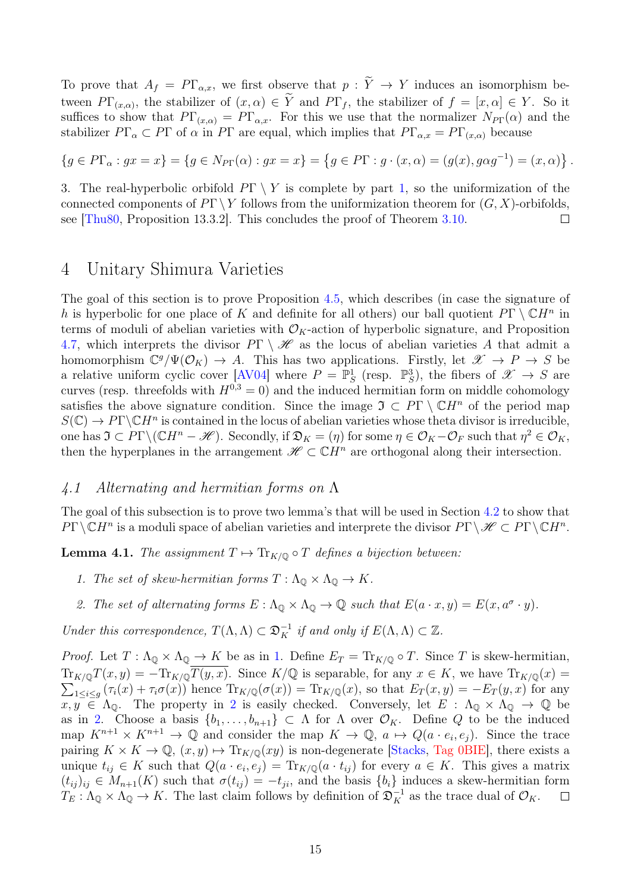To prove that  $A_f = P\Gamma_{\alpha,x}$ , we first observe that  $p: \widetilde{Y} \to Y$  induces an isomorphism between  $PT_{(x,\alpha)}$ , the stabilizer of  $(x,\alpha) \in Y$  and  $PT_f$ , the stabilizer of  $f = [x,\alpha] \in Y$ . So it suffices to show that  $P\Gamma_{(x,\alpha)} = P\Gamma_{\alpha,x}$ . For this we use that the normalizer  $N_{P}\Gamma(\alpha)$  and the stabilizer  $P\Gamma_{\alpha} \subset P\Gamma$  of  $\alpha$  in P $\Gamma$  are equal, which implies that  $P\Gamma_{\alpha,x} = P\Gamma_{(x,\alpha)}$  because

 ${g \in P\Gamma_\alpha : gx = x} = {g \in N_{P\Gamma}(\alpha) : gx = x} = {g \in P\Gamma : g \cdot (x, \alpha) = (g(x), g\alpha g^{-1}) = (x, \alpha)}$ 

3. The real-hyperbolic orbifold  $P\Gamma \setminus Y$  is complete by part 1, so the uniformization of the connected components of  $P\Gamma \backslash Y$  follows from the uniformization theorem for  $(G, X)$ -orbifolds, see [\[Thu80,](#page-33-7) Proposition 13.3.2]. This concludes the proof of Theorem [3.10.](#page-0-2)  $\Box$ 

### <span id="page-14-0"></span>4 Unitary Shimura Varieties

The goal of this section is to prove Proposition [4.5,](#page-16-0) which describes (in case the signature of h is hyperbolic for one place of K and definite for all others) our ball quotient  $P\Gamma \setminus \mathbb{C}H^n$  in terms of moduli of abelian varieties with  $\mathcal{O}_K$ -action of hyperbolic signature, and Proposition [4.7,](#page-17-1) which interprets the divisor  $P\Gamma \setminus \mathscr{H}$  as the locus of abelian varieties A that admit a homomorphism  $\mathbb{C}^g/\Psi(\mathcal{O}_K) \to A$ . This has two applications. Firstly, let  $\mathscr{X} \to P \to S$  be a relative uniform cyclic cover [\[AV04\]](#page-32-7) where  $P = \mathbb{P}^1_S$  (resp.  $\mathbb{P}^3_S$ ), the fibers of  $\mathscr{X} \to S$  are curves (resp. threefolds with  $H^{0,3} = 0$ ) and the induced hermitian form on middle cohomology satisfies the above signature condition. Since the image  $\mathfrak{I} \subset P\Gamma \setminus \mathbb{C}H^n$  of the period map  $S(\mathbb{C}) \to P\Gamma \backslash \mathbb{C}H^n$  is contained in the locus of abelian varieties whose theta divisor is irreducible, one has  $\mathfrak{I} \subset P\Gamma \backslash (\mathbb{C}H^n - \mathscr{H})$ . Secondly, if  $\mathfrak{D}_K = (\eta)$  for some  $\eta \in \mathcal{O}_K - \mathcal{O}_F$  such that  $\eta^2 \in \mathcal{O}_K$ , then the hyperplanes in the arrangement  $\mathscr{H} \subset \mathbb{C}H^n$  are orthogonal along their intersection.

#### 4.1 Alternating and hermitian forms on Λ

The goal of this subsection is to prove two lemma's that will be used in Section [4.2](#page-15-0) to show that  $P\Gamma\backslash\mathbb{C}H^n$  is a moduli space of abelian varieties and interprete the divisor  $P\Gamma\backslash\mathscr{H}\subset P\Gamma\backslash\mathbb{C}H^n$ .

<span id="page-14-3"></span>**Lemma 4.1.** The assignment  $T \mapsto \text{Tr}_{K/\mathbb{Q}} \circ T$  defines a bijection between:

- <span id="page-14-1"></span>1. The set of skew-hermitian forms  $T : \Lambda_{\mathbb{Q}} \times \Lambda_{\mathbb{Q}} \to K$ .
- <span id="page-14-2"></span>2. The set of alternating forms  $E: \Lambda_{\mathbb{Q}} \times \Lambda_{\mathbb{Q}} \to \mathbb{Q}$  such that  $E(a \cdot x, y) = E(x, a^{\sigma} \cdot y)$ .

Under this correspondence,  $T(\Lambda, \Lambda) \subset \mathfrak{D}_K^{-1}$  if and only if  $E(\Lambda, \Lambda) \subset \mathbb{Z}$ .

*Proof.* Let  $T : \Lambda_{\mathbb{Q}} \times \Lambda_{\mathbb{Q}} \to K$  be as in [1.](#page-14-1) Define  $E_T = \text{Tr}_{K/\mathbb{Q}} \circ T$ . Since T is skew-hermitian,  $\text{Tr}_{K/\mathbb{Q}}T(x,y) = -\text{Tr}_{K/\mathbb{Q}}\overline{T(y,x)}$ . Since  $K/\mathbb{Q}$  is separable, for any  $x \in K$ , we have  $\text{Tr}_{K/\mathbb{Q}}(x) =$  $\sum_{1 \leq i \leq g} (\tau_i(x) + \tau_i \sigma(x))$  hence  $\text{Tr}_{K/\mathbb{Q}}(\sigma(x)) = \text{Tr}_{K/\mathbb{Q}}(x)$ , so that  $E_T(x, y) = -E_T(y, x)$  for any  $x, y \in \Lambda_{\mathbb{Q}}$ . The property in [2](#page-14-2) is easily checked. Conversely, let  $E : \Lambda_{\mathbb{Q}} \times \Lambda_{\mathbb{Q}} \to \mathbb{Q}$  be as in [2.](#page-14-2) Choose a basis  $\{b_1, \ldots, b_{n+1}\} \subset \Lambda$  for  $\Lambda$  over  $\mathcal{O}_K$ . Define Q to be the induced map  $K^{n+1} \times K^{n+1} \to \mathbb{Q}$  and consider the map  $K \to \mathbb{Q}$ ,  $a \mapsto Q(a \cdot e_i, e_j)$ . Since the trace pairing  $K \times K \to \mathbb{Q}, (x, y) \mapsto \text{Tr}_{K/\mathbb{Q}}(xy)$  is non-degenerate [\[Stacks,](#page-33-8) [Tag 0BIE\]](https://stacks.math.columbia.edu/tag/0BIE), there exists a unique  $t_{ij} \in K$  such that  $Q(a \cdot e_i, e_j) = \text{Tr}_{K/\mathbb{Q}}(a \cdot t_{ij})$  for every  $a \in K$ . This gives a matrix  $(t_{ij})_{ij} \in M_{n+1}(K)$  such that  $\sigma(t_{ij}) = -t_{ji}$ , and the basis  $\{b_i\}$  induces a skew-hermitian form  $T_E: \Lambda_{\mathbb{Q}} \times \Lambda_{\mathbb{Q}} \to K$ . The last claim follows by definition of  $\mathfrak{D}_K^{-1}$  as the trace dual of  $\mathcal{O}_K$ .  $\Box$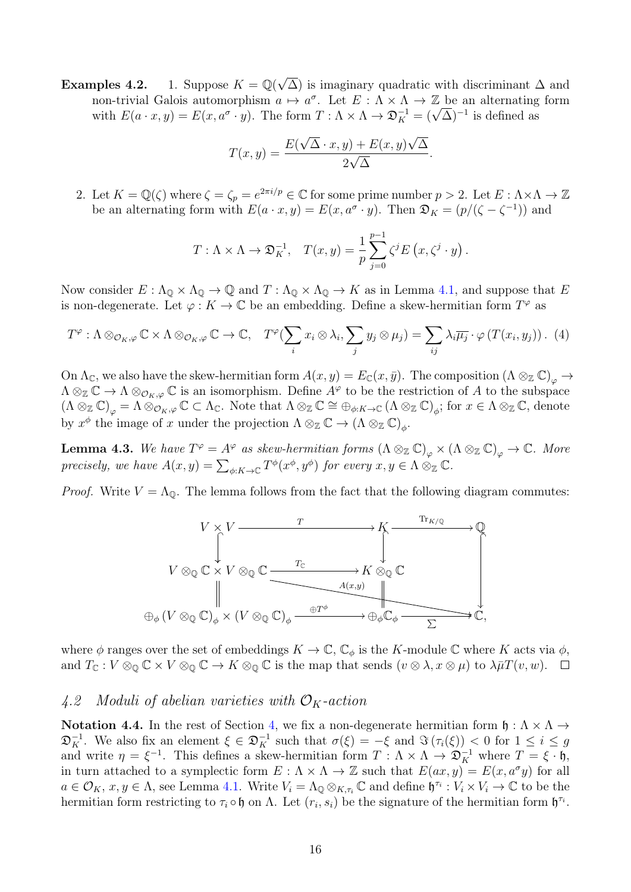**Examples 4.2.** 1. Suppose  $K = \mathbb{Q}(\sqrt{2})$  $\Delta$ ) is imaginary quadratic with discriminant  $\Delta$  and non-trivial Galois automorphism  $a \mapsto a^{\sigma}$ . Let  $E : \Lambda \times \Lambda \to \mathbb{Z}$  be an alternating form non-trivial Galois automorphism  $a \mapsto a^{\circ}$ . Let  $E : \Lambda \times \Lambda \to \mathbb{Z}$  be an alternating<br>with  $E(a \cdot x, y) = E(x, a^{\sigma} \cdot y)$ . The form  $T : \Lambda \times \Lambda \to \mathfrak{D}_{K}^{-1} = (\sqrt{\Delta})^{-1}$  is defined as

$$
T(x,y) = \frac{E(\sqrt{\Delta} \cdot x, y) + E(x, y)\sqrt{\Delta}}{2\sqrt{\Delta}}
$$

.

<span id="page-15-2"></span>2. Let  $K = \mathbb{Q}(\zeta)$  where  $\zeta = \zeta_p = e^{2\pi i/p} \in \mathbb{C}$  for some prime number  $p > 2$ . Let  $E : \Lambda \times \Lambda \to \mathbb{Z}$ be an alternating form with  $E(a \cdot x, y) = E(x, a^{\sigma} \cdot y)$ . Then  $\mathfrak{D}_K = (p/(\zeta - \zeta^{-1}))$  and

$$
T: \Lambda \times \Lambda \to \mathfrak{D}_K^{-1}, \quad T(x, y) = \frac{1}{p} \sum_{j=0}^{p-1} \zeta^j E(x, \zeta^j \cdot y).
$$

Now consider  $E: \Lambda_{\mathbb{Q}} \times \Lambda_{\mathbb{Q}} \to \mathbb{Q}$  and  $T: \Lambda_{\mathbb{Q}} \times \Lambda_{\mathbb{Q}} \to K$  as in Lemma [4.1,](#page-14-3) and suppose that E is non-degenerate. Let  $\varphi: K \to \mathbb{C}$  be an embedding. Define a skew-hermitian form  $T^{\varphi}$  as

$$
T^{\varphi} : \Lambda \otimes_{\mathcal{O}_K, \varphi} \mathbb{C} \times \Lambda \otimes_{\mathcal{O}_K, \varphi} \mathbb{C} \to \mathbb{C}, \quad T^{\varphi}(\sum_i x_i \otimes \lambda_i, \sum_j y_j \otimes \mu_j) = \sum_{ij} \lambda_i \overline{\mu_j} \cdot \varphi(T(x_i, y_j)). \tag{4}
$$

On  $\Lambda_{\mathbb{C}}$ , we also have the skew-hermitian form  $A(x, y) = E_{\mathbb{C}}(x, \bar{y})$ . The composition  $(\Lambda \otimes_{\mathbb{Z}} \mathbb{C})_{\alpha} \to$  $\Lambda \otimes_{\mathbb{Z}} \mathbb{C} \to \Lambda \otimes_{\mathcal{O}_K, \varphi} \mathbb{C}$  is an isomorphism. Define  $A^{\varphi}$  to be the restriction of A to the subspace  $(\Lambda\otimes_{\mathbb{Z}}\mathbb{C})_{\varphi}=\Lambda\otimes_{\mathcal{O}_{K},\varphi}\mathbb{C}\subset \Lambda_{\mathbb{C}}$ . Note that  $\Lambda\otimes_{\mathbb{Z}}\mathbb{C}\cong\oplus_{\phi:K\to\mathbb{C}}(\Lambda\otimes_{\mathbb{Z}}\mathbb{C})_{\phi}$ ; for  $x\in \Lambda\otimes_{\mathbb{Z}}\mathbb{C}$ , denote by  $x^{\phi}$  the image of x under the projection  $\Lambda \otimes_{\mathbb{Z}} \mathbb{C} \to (\Lambda \otimes_{\mathbb{Z}} \mathbb{C})_{\phi}$ .

<span id="page-15-1"></span>**Lemma 4.3.** We have  $T^{\varphi} = A^{\varphi}$  as skew-hermitian forms  $(\Lambda \otimes_{\mathbb{Z}} \mathbb{C})_{\varphi} \times (\Lambda \otimes_{\mathbb{Z}} \mathbb{C})_{\varphi} \to \mathbb{C}$ . More precisely, we have  $A(x, y) = \sum_{\phi: K \to \mathbb{C}} T^{\phi}(x^{\phi}, y^{\phi})$  for every  $x, y \in \Lambda \otimes_{\mathbb{Z}} \mathbb{C}$ .

*Proof.* Write  $V = \Lambda_{\mathbb{Q}}$ . The lemma follows from the fact that the following diagram commutes:



where  $\phi$  ranges over the set of embeddings  $K \to \mathbb{C}$ ,  $\mathbb{C}_{\phi}$  is the K-module  $\mathbb C$  where K acts via  $\phi$ , and  $T_{\mathbb{C}} : V \otimes_{\mathbb{O}} \mathbb{C} \times V \otimes_{\mathbb{O}} \mathbb{C} \to K \otimes_{\mathbb{O}} \mathbb{C}$  is the map that sends  $(v \otimes \lambda, x \otimes \mu)$  to  $\lambda \bar{\mu} T(v, w)$ .  $\Box$ 

#### <span id="page-15-0"></span>4.2 Moduli of abelian varieties with  $\mathcal{O}_K$ -action

Notation 4.4. In the rest of Section [4,](#page-14-0) we fix a non-degenerate hermitian form  $\mathfrak{h}: \Lambda \times \Lambda \to$  $\mathfrak{D}_K^{-1}$ . We also fix an element  $\xi \in \mathfrak{D}_K^{-1}$  such that  $\sigma(\xi) = -\xi$  and  $\Im(\tau_i(\xi)) < 0$  for  $1 \leq i \leq g$ and write  $\eta = \xi^{-1}$ . This defines a skew-hermitian form  $T : \Lambda \times \Lambda \to \mathfrak{D}_{K}^{-1}$  where  $T = \xi \cdot \mathfrak{h}$ , in turn attached to a symplectic form  $E: \Lambda \times \Lambda \to \mathbb{Z}$  such that  $E(ax, y) = E(x, a^{\sigma}y)$  for all  $a \in \mathcal{O}_K$ ,  $x, y \in \Lambda$ , see Lemma [4.1.](#page-14-3) Write  $V_i = \Lambda_{\mathbb{Q}} \otimes_{K,\tau_i} \mathbb{C}$  and define  $\mathfrak{h}^{\tau_i} : V_i \times V_i \to \mathbb{C}$  to be the hermitian form restricting to  $\tau_i \circ \mathfrak{h}$  on  $\Lambda$ . Let  $(r_i, s_i)$  be the signature of the hermitian form  $\mathfrak{h}^{\tau_i}$ .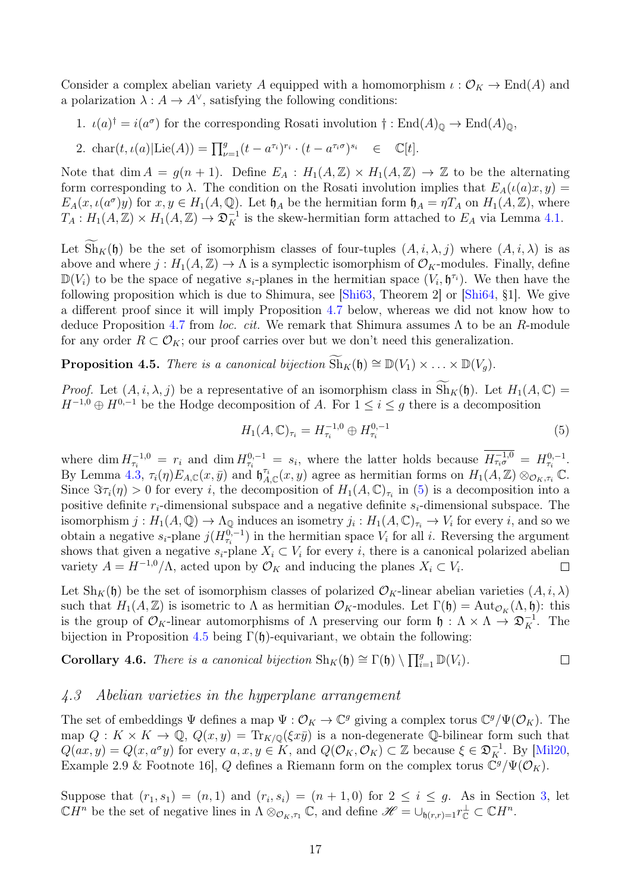Consider a complex abelian variety A equipped with a homomorphism  $\iota : \mathcal{O}_K \to \text{End}(A)$  and a polarization  $\lambda: A \to A^{\vee}$ , satisfying the following conditions:

1.  $\iota(a)^\dagger = i(a^\sigma)$  for the corresponding Rosati involution  $\dagger : \text{End}(A)_{\mathbb{Q}} \to \text{End}(A)_{\mathbb{Q}},$ 

2. 
$$
\text{char}(t, \iota(a) | \text{Lie}(A)) = \prod_{\nu=1}^g (t - a^{\tau_i})^{r_i} \cdot (t - a^{\tau_i \sigma})^{s_i} \in \mathbb{C}[t].
$$

Note that dim  $A = g(n + 1)$ . Define  $E_A : H_1(A, \mathbb{Z}) \times H_1(A, \mathbb{Z}) \to \mathbb{Z}$  to be the alternating form corresponding to  $\lambda$ . The condition on the Rosati involution implies that  $E_A(\iota(a)x, y) =$  $E_A(x, \iota(a^{\sigma})y)$  for  $x, y \in H_1(A, \mathbb{Q})$ . Let  $\mathfrak{h}_A$  be the hermitian form  $\mathfrak{h}_A = \eta T_A$  on  $H_1(A, \mathbb{Z})$ , where  $T_A: H_1(A, \mathbb{Z}) \times H_1(A, \mathbb{Z}) \to \mathfrak{D}_K^{-1}$  is the skew-hermitian form attached to  $E_A$  via Lemma [4.1.](#page-14-3)

Let  $\text{Sh}_K(\mathfrak{h})$  be the set of isomorphism classes of four-tuples  $(A, i, \lambda, j)$  where  $(A, i, \lambda)$  is as above and where  $j: H_1(A, \mathbb{Z}) \to \Lambda$  is a symplectic isomorphism of  $\mathcal{O}_K$ -modules. Finally, define  $\mathbb{D}(V_i)$  to be the space of negative  $s_i$ -planes in the hermitian space  $(V_i, \mathfrak{h}^{\tau_i})$ . We then have the following proposition which is due to Shimura, see [\[Shi63,](#page-33-9) Theorem 2] or [\[Shi64,](#page-33-1) §1]. We give a different proof since it will imply Proposition [4.7](#page-17-1) below, whereas we did not know how to deduce Proposition [4.7](#page-17-1) from loc. cit. We remark that Shimura assumes  $\Lambda$  to be an R-module for any order  $R \subset \mathcal{O}_K$ ; our proof carries over but we don't need this generalization.

<span id="page-16-0"></span>**Proposition 4.5.** There is a canonical bijection  $\widetilde{Sh}_K(\mathfrak{h}) \cong \mathbb{D}(V_1) \times \ldots \times \mathbb{D}(V_q)$ .

*Proof.* Let  $(A, i, \lambda, j)$  be a representative of an isomorphism class in  $\widetilde{\mathrm{Sh}}_K(\mathfrak{h})$ . Let  $H_1(A, \mathbb{C})$  =  $H^{-1,0} \oplus H^{0,-1}$  be the Hodge decomposition of A. For  $1 \leq i \leq g$  there is a decomposition

<span id="page-16-1"></span>
$$
H_1(A, \mathbb{C})_{\tau_i} = H_{\tau_i}^{-1,0} \oplus H_{\tau_i}^{0,-1}
$$
\n(5)

where dim  $H_{\tau_i}^{-1,0} = r_i$  and dim  $H_{\tau_i}^{0,-1} = s_i$ , where the latter holds because  $H_{\tau_i\sigma}^{-1,0} = H_{\tau_i}^{0,-1}$ . By Lemma [4.3,](#page-15-1)  $\tau_i(\eta) E_{A,\mathbb{C}}(x,\bar{y})$  and  $\mathfrak{h}_{A,\mathbb{C}}^{\tau_i}(x,y)$  agree as hermitian forms on  $H_1(A,\mathbb{Z}) \otimes_{\mathcal{O}_K,\tau_i} C$ . Since  $\Im \tau_i(\eta) > 0$  for every i, the decomposition of  $H_1(A, \mathbb{C})_{\tau_i}$  in [\(5\)](#page-16-1) is a decomposition into a positive definite  $r_i$ -dimensional subspace and a negative definite  $s_i$ -dimensional subspace. The isomorphism  $j: H_1(A, \mathbb{Q}) \to \Lambda_{\mathbb{Q}}$  induces an isometry  $j_i: H_1(A, \mathbb{C})_{\tau_i} \to V_i$  for every i, and so we obtain a negative  $s_i$ -plane  $j(H_{\tau_i}^{0,-1})$  in the hermitian space  $V_i$  for all i. Reversing the argument shows that given a negative  $s_i$ -plane  $X_i \subset V_i$  for every i, there is a canonical polarized abelian variety  $A = H^{-1,0}/\Lambda$ , acted upon by  $\mathcal{O}_K$  and inducing the planes  $X_i \subset V_i$ .  $\Box$ 

Let  $\text{Sh}_K(\mathfrak{h})$  be the set of isomorphism classes of polarized  $\mathcal{O}_K$ -linear abelian varieties  $(A, i, \lambda)$ such that  $H_1(A, \mathbb{Z})$  is isometric to  $\Lambda$  as hermitian  $\mathcal{O}_K$ -modules. Let  $\Gamma(\mathfrak{h}) = \text{Aut}_{\mathcal{O}_K}(\Lambda, \mathfrak{h})$ : this is the group of  $\mathcal{O}_K$ -linear automorphisms of  $\Lambda$  preserving our form  $\mathfrak{h}: \Lambda \times \Lambda \to \mathfrak{D}_K^{-1}$ . The bijection in Proposition [4.5](#page-16-0) being  $\Gamma(\mathfrak{h})$ -equivariant, we obtain the following:

**Corollary 4.6.** There is a canonical bijection  $\text{Sh}_K(\mathfrak{h}) \cong \Gamma(\mathfrak{h}) \setminus \prod_{i=1}^g \mathbb{D}(V_i)$ .  $\Box$ 

#### 4.3 Abelian varieties in the hyperplane arrangement

The set of embeddings  $\Psi$  defines a map  $\Psi : \mathcal{O}_K \to \mathbb{C}^g$  giving a complex torus  $\mathbb{C}^g/\Psi(\mathcal{O}_K)$ . The map  $Q: K \times K \to \mathbb{Q}, Q(x, y) = \text{Tr}_{K/\mathbb{Q}}(\xi x \bar{y})$  is a non-degenerate Q-bilinear form such that  $Q(ax, y) = Q(x, a^{\sigma}y)$  for every  $a, x, y \in K$ , and  $Q(\mathcal{O}_K, \mathcal{O}_K) \subset \mathbb{Z}$  because  $\xi \in \mathfrak{D}_K^{-1}$ . By [\[Mil20,](#page-33-10) Example 2.9 & Footnote 16, Q defines a Riemann form on the complex torus  $\mathbb{C}^g/\Psi(\mathcal{O}_K)$ .

Suppose that  $(r_1, s_1) = (n, 1)$  and  $(r_i, s_i) = (n + 1, 0)$  for  $2 \leq i \leq g$ . As in Section [3,](#page-3-0) let  $\mathbb{C}H^n$  be the set of negative lines in  $\Lambda \otimes_{\mathcal{O}_K, \tau_1} \mathbb{C}$ , and define  $\mathscr{H} = \cup_{\mathfrak{h}(r,r)=1} r_{\mathbb{C}}^{\perp} \subset \mathbb{C}H^n$ .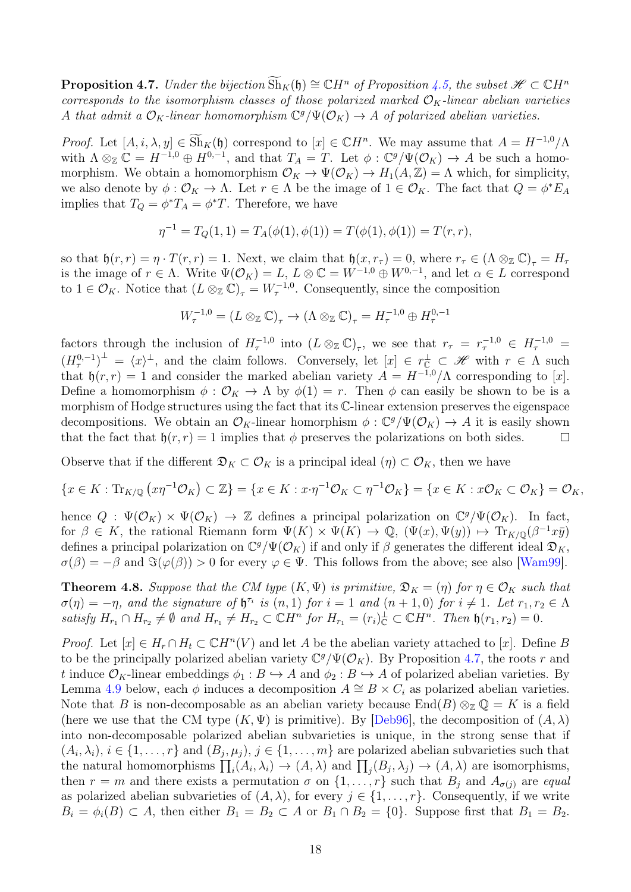<span id="page-17-1"></span>**Proposition 4.7.** Under the bijection  $\text{Sh}_K(\mathfrak{h}) \cong \mathbb{C}H^n$  of Proposition [4.5,](#page-16-0) the subset  $\mathcal{H} \subset \mathbb{C}H^n$ corresponds to the isomorphism classes of those polarized marked  $\mathcal{O}_K$ -linear abelian varieties A that admit a  $\mathcal{O}_K$ -linear homomorphism  $\mathbb{C}^g/\Psi(\mathcal{O}_K) \to A$  of polarized abelian varieties.

Proof. Let  $[A, i, \lambda, y] \in \widetilde{\text{Sh}}_K(\mathfrak{h})$  correspond to  $[x] \in \mathbb{C}H^n$ . We may assume that  $A = H^{-1,0}/\Lambda$ with  $\Lambda \otimes_{\mathbb{Z}} \mathbb{C} = H^{-1,0} \oplus H^{0,-1}$ , and that  $T_A = T$ . Let  $\phi : \mathbb{C}^g / \Psi(\mathcal{O}_K) \to A$  be such a homomorphism. We obtain a homomorphism  $\mathcal{O}_K \to \Psi(\mathcal{O}_K) \to H_1(A,\mathbb{Z}) = \Lambda$  which, for simplicity, we also denote by  $\phi: \mathcal{O}_K \to \Lambda$ . Let  $r \in \Lambda$  be the image of  $1 \in \mathcal{O}_K$ . The fact that  $Q = \phi^* E_A$ implies that  $T_Q = \phi^* T_A = \phi^* T$ . Therefore, we have

$$
\eta^{-1} = T_Q(1, 1) = T_A(\phi(1), \phi(1)) = T(\phi(1), \phi(1)) = T(r, r),
$$

so that  $\mathfrak{h}(r,r) = \eta \cdot T(r,r) = 1$ . Next, we claim that  $\mathfrak{h}(x,r_{\tau}) = 0$ , where  $r_{\tau} \in (\Lambda \otimes_{\mathbb{Z}} \mathbb{C})_{\tau} = H_{\tau}$ is the image of  $r \in \Lambda$ . Write  $\Psi(\mathcal{O}_K) = L$ ,  $L \otimes \mathbb{C} = W^{-1,0} \oplus W^{0,-1}$ , and let  $\alpha \in L$  correspond to  $1 \in \mathcal{O}_K$ . Notice that  $(L \otimes_{\mathbb{Z}} \mathbb{C})_{\tau} = W_{\tau}^{-1,0}$ . Consequently, since the composition

$$
W_{\tau}^{-1,0} = (L \otimes_{\mathbb{Z}} \mathbb{C})_{\tau} \to (\Lambda \otimes_{\mathbb{Z}} \mathbb{C})_{\tau} = H_{\tau}^{-1,0} \oplus H_{\tau}^{0,-1}
$$

factors through the inclusion of  $H_{\tau}^{-1,0}$  into  $(L \otimes_{\mathbb{Z}} \mathbb{C})_{\tau}$ , we see that  $r_{\tau} = r_{\tau}^{-1,0} \in H_{\tau}^{-1,0}$  $(H^{0,-1}_\tau)^{\perp} = \langle x \rangle^{\perp}$ , and the claim follows. Conversely, let  $[x] \in r_{\mathbb{C}}^{\perp} \subset \mathscr{H}$  with  $r \in \Lambda$  such that  $\mathfrak{h}(r,r) = 1$  and consider the marked abelian variety  $A = H^{-1,0}/\Lambda$  corresponding to [x]. Define a homomorphism  $\phi : \mathcal{O}_K \to \Lambda$  by  $\phi(1) = r$ . Then  $\phi$  can easily be shown to be is a morphism of Hodge structures using the fact that its C-linear extension preserves the eigenspace decompositions. We obtain an  $\mathcal{O}_K$ -linear homorphism  $\phi: \mathbb{C}^g/\Psi(\mathcal{O}_K) \to A$  it is easily shown that the fact that  $\mathfrak{h}(r,r) = 1$  implies that  $\phi$  preserves the polarizations on both sides.  $\Box$ 

Observe that if the different  $\mathfrak{D}_K \subset \mathcal{O}_K$  is a principal ideal  $(\eta) \subset \mathcal{O}_K$ , then we have

$$
\{x \in K : \text{Tr}_{K/\mathbb{Q}}\left(x\eta^{-1}\mathcal{O}_K\right) \subset \mathbb{Z}\} = \{x \in K : x \cdot \eta^{-1}\mathcal{O}_K \subset \eta^{-1}\mathcal{O}_K\} = \{x \in K : x\mathcal{O}_K \subset \mathcal{O}_K\} = \mathcal{O}_K,
$$

hence  $Q: \Psi(\mathcal{O}_K) \times \Psi(\mathcal{O}_K) \to \mathbb{Z}$  defines a principal polarization on  $\mathbb{C}^g/\Psi(\mathcal{O}_K)$ . In fact, for  $\beta \in K$ , the rational Riemann form  $\Psi(K) \times \Psi(K) \to \mathbb{Q}$ ,  $(\Psi(x), \Psi(y)) \mapsto \text{Tr}_{K/\mathbb{Q}}(\beta^{-1}x\bar{y})$ defines a principal polarization on  $\mathbb{C}^g/\Psi(\mathcal{O}_K)$  if and only if  $\beta$  generates the different ideal  $\mathfrak{D}_K$ ,  $\sigma(\beta) = -\beta$  and  $\Im(\varphi(\beta)) > 0$  for every  $\varphi \in \Psi$ . This follows from the above; see also [\[Wam99\]](#page-33-11).

<span id="page-17-0"></span>**Theorem 4.8.** Suppose that the CM type  $(K, \Psi)$  is primitive,  $\mathfrak{D}_K = (\eta)$  for  $\eta \in \mathcal{O}_K$  such that  $\sigma(\eta) = -\eta$ , and the signature of  $\mathfrak{h}^{\tau_i}$  is  $(n,1)$  for  $i = 1$  and  $(n + 1,0)$  for  $i \neq 1$ . Let  $r_1, r_2 \in \Lambda$ satisfy  $H_{r_1} \cap H_{r_2} \neq \emptyset$  and  $H_{r_1} \neq H_{r_2} \subset \mathbb{C}H^n$  for  $H_{r_1} = (r_i)_{\mathbb{C}}^{\perp} \subset \mathbb{C}H^n$ . Then  $\mathfrak{h}(r_1, r_2) = 0$ .

*Proof.* Let  $[x] \in H_r \cap H_t \subset \mathbb{C}H^n(V)$  and let A be the abelian variety attached to [x]. Define B to be the principally polarized abelian variety  $\mathbb{C}^g/\Psi(\mathcal{O}_K)$ . By Proposition [4.7,](#page-17-1) the roots r and t induce  $\mathcal{O}_K$ -linear embeddings  $\phi_1 : B \hookrightarrow A$  and  $\phi_2 : B \hookrightarrow A$  of polarized abelian varieties. By Lemma [4.9](#page-18-2) below, each  $\phi$  induces a decomposition  $A \cong B \times C_i$  as polarized abelian varieties. Note that B is non-decomposable as an abelian variety because  $\text{End}(B) \otimes_{\mathbb{Z}} \mathbb{Q} = K$  is a field (here we use that the CM type  $(K, \Psi)$  is primitive). By [\[Deb96\]](#page-32-8), the decomposition of  $(A, \lambda)$ into non-decomposable polarized abelian subvarieties is unique, in the strong sense that if  $(A_i, \lambda_i), i \in \{1, \ldots, r\}$  and  $(B_j, \mu_j), j \in \{1, \ldots, m\}$  are polarized abelian subvarieties such that the natural homomorphisms  $\prod_i(A_i,\lambda_i) \to (A,\lambda)$  and  $\prod_j(B_j,\lambda_j) \to (A,\lambda)$  are isomorphisms, then  $r = m$  and there exists a permutation  $\sigma$  on  $\{1, \ldots, r\}$  such that  $B_j$  and  $A_{\sigma(j)}$  are equal as polarized abelian subvarieties of  $(A, \lambda)$ , for every  $j \in \{1, \ldots, r\}$ . Consequently, if we write  $B_i = \phi_i(B) \subset A$ , then either  $B_1 = B_2 \subset A$  or  $B_1 \cap B_2 = \{0\}$ . Suppose first that  $B_1 = B_2$ .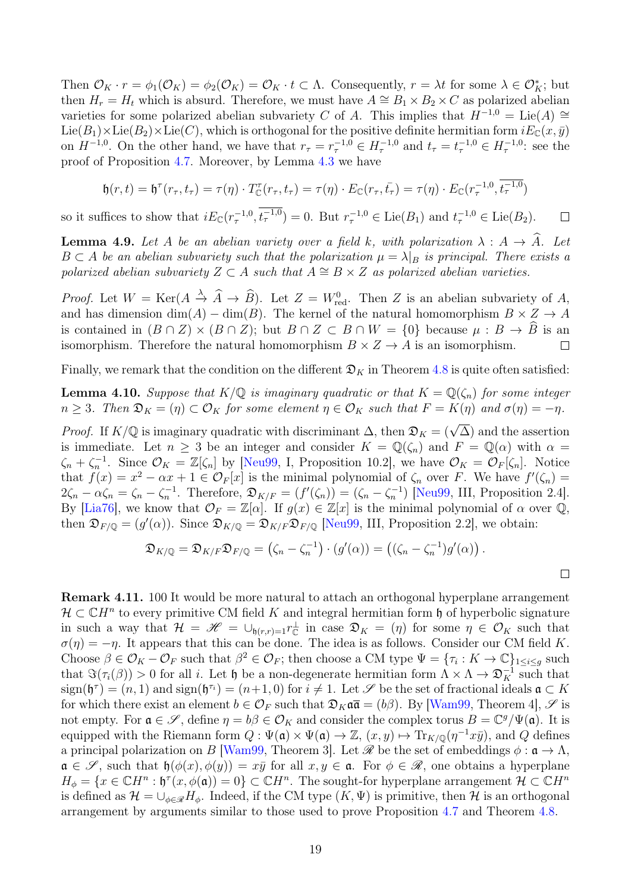Then  $\mathcal{O}_K \cdot r = \phi_1(\mathcal{O}_K) = \phi_2(\mathcal{O}_K) = \mathcal{O}_K \cdot t \subset \Lambda$ . Consequently,  $r = \lambda t$  for some  $\lambda \in \mathcal{O}_K^*$ ; but then  $H_r = H_t$  which is absurd. Therefore, we must have  $A \cong B_1 \times B_2 \times C$  as polarized abelian varieties for some polarized abelian subvariety C of A. This implies that  $H^{-1,0} = \text{Lie}(A) \cong$ Lie(B<sub>1</sub>)×Lie(B<sub>2</sub>)×Lie(C), which is orthogonal for the positive definite hermitian form  $iE_C(x, \bar{y})$ on  $H^{-1,0}$ . On the other hand, we have that  $r_{\tau} = r_{\tau}^{-1,0} \in H_{\tau}^{-1,0}$  and  $t_{\tau} = t_{\tau}^{-1,0} \in H_{\tau}^{-1,0}$ : see the proof of Proposition [4.7.](#page-17-1) Moreover, by Lemma [4.3](#page-15-1) we have

$$
\mathfrak{h}(r,t) = \mathfrak{h}^{\tau}(r_{\tau},t_{\tau}) = \tau(\eta) \cdot T_{\mathbb{C}}^{\tau}(r_{\tau},t_{\tau}) = \tau(\eta) \cdot E_{\mathbb{C}}(r_{\tau},\bar{t_{\tau}}) = \tau(\eta) \cdot E_{\mathbb{C}}(r_{\tau}^{-1,0},t_{\tau}^{-1,0})
$$

so it suffices to show that  $iE_{\mathbb{C}}(r_{\tau}^{-1,0}, t_{\tau}^{-1,0}) = 0$ . But  $r_{\tau}^{-1,0} \in \text{Lie}(B_1)$  and  $t_{\tau}^{-1,0} \in \text{Lie}(B_2)$ .  $\Box$ 

<span id="page-18-2"></span>**Lemma 4.9.** Let A be an abelian variety over a field k, with polarization  $\lambda : A \rightarrow \hat{A}$ . Let  $B \subset A$  be an abelian subvariety such that the polarization  $\mu = \lambda|_B$  is principal. There exists a polarized abelian subvariety  $Z \subset A$  such that  $A \cong B \times Z$  as polarized abelian varieties.

*Proof.* Let  $W = \text{Ker}(A \stackrel{\lambda}{\to} \widehat{A} \to \widehat{B})$ . Let  $Z = W_{\text{red}}^0$ . Then Z is an abelian subvariety of A, and has dimension  $\dim(A) - \dim(B)$ . The kernel of the natural homomorphism  $B \times Z \to A$ is contained in  $(B \cap Z) \times (B \cap Z)$ ; but  $B \cap Z \subset B \cap W = \{0\}$  because  $\mu : B \to \hat{B}$  is an isomorphism Therefore the natural homomorphism  $B \times Z \to A$  is an isomorphism isomorphism. Therefore the natural homomorphism  $B \times Z \rightarrow A$  is an isomorphism.

Finally, we remark that the condition on the different  $\mathfrak{D}_K$  in Theorem [4.8](#page-17-0) is quite often satisfied:

<span id="page-18-0"></span>**Lemma 4.10.** Suppose that  $K/\mathbb{Q}$  is imaginary quadratic or that  $K = \mathbb{Q}(\zeta_n)$  for some integer  $n \geq 3$ . Then  $\mathfrak{D}_K = (\eta) \subset \mathcal{O}_K$  for some element  $\eta \in \mathcal{O}_K$  such that  $F = K(\eta)$  and  $\sigma(\eta) = -\eta$ .

*Proof.* If  $K/\mathbb{Q}$  is imaginary quadratic with discriminant  $\Delta$ , then  $\mathfrak{D}_K = (\sqrt{\Delta})$  and the assertion is immediate. Let  $n \geq 3$  be an integer and consider  $K = \mathbb{Q}(\zeta_n)$  and  $F = \mathbb{Q}(\alpha)$  with  $\alpha =$  $\zeta_n + \zeta_n^{-1}$ . Since  $\mathcal{O}_K = \mathbb{Z}[\zeta_n]$  by [\[Neu99,](#page-33-12) I, Proposition 10.2], we have  $\mathcal{O}_K = \mathcal{O}_F[\zeta_n]$ . Notice that  $f(x) = x^2 - \alpha x + 1 \in \mathcal{O}_F[x]$  is the minimal polynomial of  $\zeta_n$  over F. We have  $f'(\zeta_n) =$  $2\zeta_n - \alpha \zeta_n = \zeta_n - \zeta_n^{-1}$ . Therefore,  $\mathfrak{D}_{K/F} = (f'(\zeta_n)) = (\zeta_n - \zeta_n^{-1})$  [\[Neu99,](#page-33-12) III, Proposition 2.4]. By [\[Lia76\]](#page-33-13), we know that  $\mathcal{O}_F = \mathbb{Z}[\alpha]$ . If  $g(x) \in \mathbb{Z}[x]$  is the minimal polynomial of  $\alpha$  over  $\mathbb{Q}$ , then  $\mathfrak{D}_{F/\mathbb{Q}} = (g'(\alpha))$ . Since  $\mathfrak{D}_{K/\mathbb{Q}} = \mathfrak{D}_{K/F} \mathfrak{D}_{F/\mathbb{Q}}$  [\[Neu99,](#page-33-12) III, Proposition 2.2], we obtain:

$$
\mathfrak{D}_{K/\mathbb{Q}} = \mathfrak{D}_{K/F} \mathfrak{D}_{F/\mathbb{Q}} = (\zeta_n - \zeta_n^{-1}) \cdot (g'(\alpha)) = ((\zeta_n - \zeta_n^{-1})g'(\alpha)).
$$

<span id="page-18-1"></span>**Remark 4.11.** 100 It would be more natural to attach an orthogonal hyperplane arrangement  $\mathcal{H} \subset \mathbb{C}H^n$  to every primitive CM field K and integral hermitian form h of hyperbolic signature in such a way that  $\mathcal{H} = \mathscr{H} = \bigcup_{\mathfrak{h}(r,r)=1} r_{\mathbb{C}}^{\perp}$  in case  $\mathfrak{D}_K = (\eta)$  for some  $\eta \in \mathcal{O}_K$  such that  $\sigma(\eta) = -\eta$ . It appears that this can be done. The idea is as follows. Consider our CM field K. Choose  $\beta \in \mathcal{O}_K - \mathcal{O}_F$  such that  $\beta^2 \in \mathcal{O}_F$ ; then choose a CM type  $\Psi = {\tau_i : K \to \mathbb{C}}_{1 \leq i \leq g}$  such that  $\Im(\tau_i(\beta)) > 0$  for all *i*. Let  $\mathfrak{h}$  be a non-degenerate hermitian form  $\Lambda \times \Lambda \to \mathfrak{D}_K^{-1}$  such that  $sign(\mathfrak{h}^{\tau}) = (n, 1)$  and  $sign(\mathfrak{h}^{\tau_i}) = (n+1, 0)$  for  $i \neq 1$ . Let  $\mathscr S$  be the set of fractional ideals  $\mathfrak{a} \subset K$ for which there exist an element  $b \in \mathcal{O}_F$  such that  $\mathfrak{D}_K \mathfrak{a} \overline{\mathfrak{a}} = (b\beta)$ . By [\[Wam99,](#page-33-11) Theorem 4],  $\mathscr{S}$  is not empty. For  $\mathfrak{a} \in \mathscr{S}$ , define  $\eta = b\beta \in \mathcal{O}_K$  and consider the complex torus  $B = \mathbb{C}^g/\Psi(\mathfrak{a})$ . It is equipped with the Riemann form  $Q: \Psi(\mathfrak{a}) \times \Psi(\mathfrak{a}) \to \mathbb{Z}$ ,  $(x, y) \mapsto \text{Tr}_{K/\mathbb{Q}}(\eta^{-1}x\bar{y})$ , and  $Q$  defines a principal polarization on B [\[Wam99,](#page-33-11) Theorem 3]. Let  $\mathscr R$  be the set of embeddings  $\phi : \mathfrak a \to \Lambda$ ,  $\mathfrak{a} \in \mathscr{S}$ , such that  $\mathfrak{h}(\phi(x), \phi(y)) = x\overline{y}$  for all  $x, y \in \mathfrak{a}$ . For  $\phi \in \mathscr{R}$ , one obtains a hyperplane  $H_{\phi} = \{x \in \mathbb{C}H^n : \mathfrak{h}^\tau(x, \phi(\mathfrak{a})) = 0\} \subset \mathbb{C}H^n$ . The sought-for hyperplane arrangement  $\mathcal{H} \subset \mathbb{C}H^n$ is defined as  $\mathcal{H} = \bigcup_{\phi \in \mathscr{R}} H_{\phi}$ . Indeed, if the CM type  $(K, \Psi)$  is primitive, then H is an orthogonal arrangement by arguments similar to those used to prove Proposition [4.7](#page-17-1) and Theorem [4.8.](#page-17-0)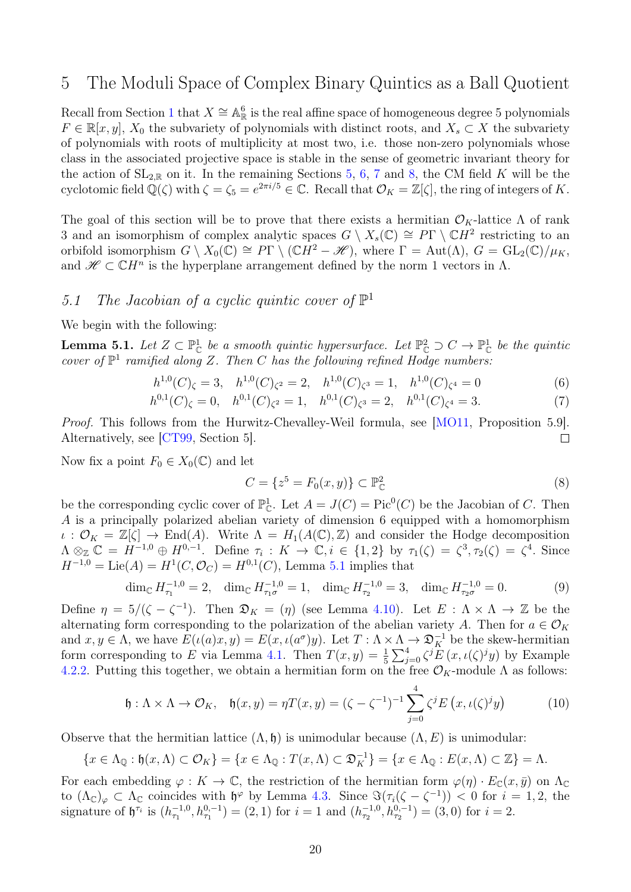### <span id="page-19-0"></span>5 The Moduli Space of Complex Binary Quintics as a Ball Quotient

Recall from Section [1](#page-0-3) that  $X \cong \mathbb{A}_{\mathbb{R}}^6$  is the real affine space of homogeneous degree 5 polynomials  $F \in \mathbb{R}[x, y], X_0$  the subvariety of polynomials with distinct roots, and  $X_s \subset X$  the subvariety of polynomials with roots of multiplicity at most two, i.e. those non-zero polynomials whose class in the associated projective space is stable in the sense of geometric invariant theory for the action of  $SL_{2,\mathbb{R}}$  on it. In the remaining Sections [5,](#page-19-0) [6,](#page-23-1) [7](#page-25-0) and [8,](#page-30-2) the CM field K will be the cyclotomic field  $\mathbb{Q}(\zeta)$  with  $\zeta = \zeta_5 = e^{2\pi i/5} \in \mathbb{C}$ . Recall that  $\mathcal{O}_K = \mathbb{Z}[\zeta]$ , the ring of integers of K.

The goal of this section will be to prove that there exists a hermitian  $\mathcal{O}_K$ -lattice  $\Lambda$  of rank 3 and an isomorphism of complex analytic spaces  $G \setminus X_s(\mathbb{C}) \cong P\Gamma \setminus \mathbb{C}H^2$  restricting to an orbifold isomorphism  $G \setminus X_0(\mathbb{C}) \cong P\Gamma \setminus (\mathbb{C}H^2-\mathscr{H})$ , where  $\Gamma = \text{Aut}(\Lambda)$ ,  $G = \text{GL}_2(\mathbb{C})/\mu_K$ , and  $\mathscr{H} \subset \mathbb{C}H^n$  is the hyperplane arrangement defined by the norm 1 vectors in  $\Lambda$ .

# 5.1 The Jacobian of a cyclic quintic cover of  $\mathbb{P}^1$

We begin with the following:

<span id="page-19-1"></span>**Lemma 5.1.** Let  $Z \subset \mathbb{P}^1_{\mathbb{C}}$  be a smooth quintic hypersurface. Let  $\mathbb{P}^2_{\mathbb{C}} \supset C \to \mathbb{P}^1_{\mathbb{C}}$  be the quintic cover of  $\mathbb{P}^1$  ramified along Z. Then C has the following refined Hodge numbers.

$$
h^{1,0}(C)_{\zeta} = 3, \quad h^{1,0}(C)_{\zeta^2} = 2, \quad h^{1,0}(C)_{\zeta^3} = 1, \quad h^{1,0}(C)_{\zeta^4} = 0 \tag{6}
$$

$$
h^{0,1}(C)_{\zeta} = 0, \quad h^{0,1}(C)_{\zeta^2} = 1, \quad h^{0,1}(C)_{\zeta^3} = 2, \quad h^{0,1}(C)_{\zeta^4} = 3. \tag{7}
$$

Proof. This follows from the Hurwitz-Chevalley-Weil formula, see [\[MO11,](#page-33-14) Proposition 5.9]. Alternatively, see [\[CT99,](#page-32-9) Section 5].  $\Box$ 

Now fix a point  $F_0 \in X_0(\mathbb{C})$  and let

$$
C = \{z^5 = F_0(x, y)\} \subset \mathbb{P}_{\mathbb{C}}^2
$$
\n
$$
(8)
$$

be the corresponding cyclic cover of  $\mathbb{P}^1_{\mathbb{C}}$ . Let  $A = J(C) = Pic^0(C)$  be the Jacobian of C. Then A is a principally polarized abelian variety of dimension 6 equipped with a homomorphism  $\iota : \mathcal{O}_K = \mathbb{Z}[\zeta] \to \text{End}(A)$ . Write  $\Lambda = H_1(A(\mathbb{C}), \mathbb{Z})$  and consider the Hodge decomposition  $\Lambda \otimes_{\mathbb{Z}} \mathbb{C} = \overline{H}^{-1,0} \oplus H^{0,-1}$ . Define  $\tau_i : K \to \mathbb{C}, i \in \{1,2\}$  by  $\tau_1(\zeta) = \zeta^3, \tau_2(\zeta) = \zeta^4$ . Since  $H^{-1,0} = \text{Lie}(A) = H^1(C, \mathcal{O}_C) = H^{0,1}(C)$ , Lemma [5.1](#page-19-1) implies that

$$
\dim_{\mathbb{C}} H_{\tau_1}^{-1,0} = 2, \quad \dim_{\mathbb{C}} H_{\tau_1 \sigma}^{-1,0} = 1, \quad \dim_{\mathbb{C}} H_{\tau_2}^{-1,0} = 3, \quad \dim_{\mathbb{C}} H_{\tau_2 \sigma}^{-1,0} = 0. \tag{9}
$$

Define  $\eta = 5/(\zeta - \zeta^{-1})$ . Then  $\mathfrak{D}_K = (\eta)$  (see Lemma [4.10\)](#page-18-0). Let  $E : \Lambda \times \Lambda \to \mathbb{Z}$  be the alternating form corresponding to the polarization of the abelian variety A. Then for  $a \in \mathcal{O}_K$ and  $x, y \in \Lambda$ , we have  $E(\iota(a)x, y) = E(x, \iota(a^{\sigma})y)$ . Let  $T : \Lambda \times \Lambda \to \mathfrak{D}_{K}^{-1}$  be the skew-hermitian form corresponding to E via Lemma [4.1.](#page-14-3) Then  $T(x,y) = \frac{1}{5} \sum_{j=0}^{4} \zeta^{j} E(x,\iota(\zeta)^{j}y)$  by Example [4.2.](#page-0-2)[2.](#page-15-2) Putting this together, we obtain a hermitian form on the free  $\mathcal{O}_K$ -module  $\Lambda$  as follows:

<span id="page-19-2"></span>
$$
\mathfrak{h}: \Lambda \times \Lambda \to \mathcal{O}_K, \quad \mathfrak{h}(x, y) = \eta T(x, y) = (\zeta - \zeta^{-1})^{-1} \sum_{j=0}^4 \zeta^j E\left(x, \iota(\zeta)^j y\right) \tag{10}
$$

Observe that the hermitian lattice  $(\Lambda, \mathfrak{h})$  is unimodular because  $(\Lambda, E)$  is unimodular:

$$
\{x \in \Lambda_{\mathbb{Q}} : \mathfrak{h}(x,\Lambda) \subset \mathcal{O}_K\} = \{x \in \Lambda_{\mathbb{Q}} : T(x,\Lambda) \subset \mathfrak{D}_K^{-1}\} = \{x \in \Lambda_{\mathbb{Q}} : E(x,\Lambda) \subset \mathbb{Z}\} = \Lambda.
$$

For each embedding  $\varphi: K \to \mathbb{C}$ , the restriction of the hermitian form  $\varphi(\eta) \cdot E_{\mathbb{C}}(x, \bar{y})$  on  $\Lambda_{\mathbb{C}}$ to  $(\Lambda_{\mathbb{C}})_{\varphi} \subset \Lambda_{\mathbb{C}}$  coincides with  $\mathfrak{h}^{\varphi}$  by Lemma [4.3.](#page-15-1) Since  $\Im(\tau_i(\zeta - \zeta^{-1})) < 0$  for  $i = 1, 2$ , the signature of  $\mathfrak{h}^{\tau_i}$  is  $(h_{\tau_1}^{-1,0}, h_{\tau_1}^{0,-1}) = (2,1)$  for  $i = 1$  and  $(h_{\tau_2}^{-1,0}, h_{\tau_2}^{0,-1}) = (3,0)$  for  $i = 2$ .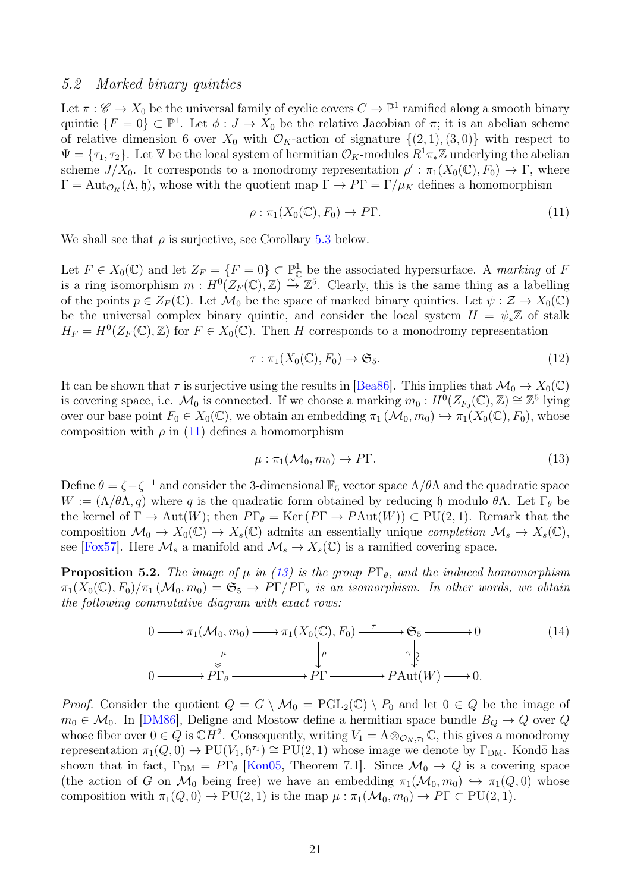#### 5.2 Marked binary quintics

Let  $\pi: \mathscr{C} \to X_0$  be the universal family of cyclic covers  $C \to \mathbb{P}^1$  ramified along a smooth binary quintic  $\{F=0\} \subset \mathbb{P}^1$ . Let  $\phi: J \to X_0$  be the relative Jacobian of  $\pi$ ; it is an abelian scheme of relative dimension 6 over  $X_0$  with  $\mathcal{O}_K$ -action of signature  $\{(2, 1), (3, 0)\}\$  with respect to  $\Psi = {\tau_1, \tau_2}$ . Let V be the local system of hermitian  $\mathcal{O}_K$ -modules  $R^1\pi_*\mathbb{Z}$  underlying the abelian scheme  $J/X_0$ . It corresponds to a monodromy representation  $\rho': \pi_1(X_0(\mathbb{C}), F_0) \to \Gamma$ , where  $\Gamma = \text{Aut}_{\mathcal{O}_K}(\Lambda, \mathfrak{h})$ , whose with the quotient map  $\Gamma \to P\Gamma = \Gamma/\mu_K$  defines a homomorphism

<span id="page-20-0"></span>
$$
\rho: \pi_1(X_0(\mathbb{C}), F_0) \to P\Gamma. \tag{11}
$$

We shall see that  $\rho$  is surjective, see Corollary [5.3](#page-21-0) below.

Let  $F \in X_0(\mathbb{C})$  and let  $Z_F = \{F = 0\} \subset \mathbb{P}^1_{\mathbb{C}}$  be the associated hypersurface. A marking of F is a ring isomorphism  $m : H^0(Z_F(\mathbb{C}), \mathbb{Z}) \xrightarrow{\sim} \mathbb{Z}^5$ . Clearly, this is the same thing as a labelling of the points  $p \in Z_F(\mathbb{C})$ . Let  $\mathcal{M}_0$  be the space of marked binary quintics. Let  $\psi : \mathcal{Z} \to X_0(\mathbb{C})$ be the universal complex binary quintic, and consider the local system  $H = \psi_* \mathbb{Z}$  of stalk  $H_F = H^0(Z_F(\mathbb{C}), \mathbb{Z})$  for  $F \in X_0(\mathbb{C})$ . Then H corresponds to a monodromy representation

$$
\tau : \pi_1(X_0(\mathbb{C}), F_0) \to \mathfrak{S}_5. \tag{12}
$$

It can be shown that  $\tau$  is surjective using the results in [\[Bea86\]](#page-32-10). This implies that  $\mathcal{M}_0 \to X_0(\mathbb{C})$ is covering space, i.e.  $\mathcal{M}_0$  is connected. If we choose a marking  $m_0 : H^0(Z_{F_0}(\mathbb{C}), \mathbb{Z}) \cong \mathbb{Z}^5$  lying over our base point  $F_0 \in X_0(\mathbb{C})$ , we obtain an embedding  $\pi_1(\mathcal{M}_0, m_0) \hookrightarrow \pi_1(X_0(\mathbb{C}), F_0)$ , whose composition with  $\rho$  in [\(11\)](#page-20-0) defines a homomorphism

<span id="page-20-1"></span>
$$
\mu : \pi_1(\mathcal{M}_0, m_0) \to P\Gamma. \tag{13}
$$

Define  $\theta = \zeta - \zeta^{-1}$  and consider the 3-dimensional  $\mathbb{F}_5$  vector space  $\Lambda/\theta\Lambda$  and the quadratic space  $W := (\Lambda/\theta\Lambda, q)$  where q is the quadratic form obtained by reducing h modulo  $\theta\Lambda$ . Let  $\Gamma_{\theta}$  be the kernel of  $\Gamma \to \text{Aut}(W)$ ; then  $P\Gamma_{\theta} = \text{Ker}(P\Gamma \to P\text{Aut}(W)) \subset \text{PU}(2,1)$ . Remark that the composition  $\mathcal{M}_0 \to X_0(\mathbb{C}) \to X_s(\mathbb{C})$  admits an essentially unique *completion*  $\mathcal{M}_s \to X_s(\mathbb{C})$ , see [\[Fox57\]](#page-32-11). Here  $\mathcal{M}_s$  a manifold and  $\mathcal{M}_s \to X_s(\mathbb{C})$  is a ramified covering space.

<span id="page-20-3"></span>**Proposition 5.2.** The image of  $\mu$  in [\(13\)](#page-20-1) is the group  $P\Gamma_{\theta}$ , and the induced homomorphism  $\pi_1(X_0(\mathbb{C}), F_0)/\pi_1(\mathcal{M}_0, m_0) = \mathfrak{S}_5 \to P\Gamma/P\Gamma_\theta$  is an isomorphism. In other words, we obtain the following commutative diagram with exact rows:

<span id="page-20-2"></span>
$$
0 \longrightarrow \pi_1(\mathcal{M}_0, m_0) \longrightarrow \pi_1(X_0(\mathbb{C}), F_0) \xrightarrow{\tau} \mathfrak{S}_5 \longrightarrow 0
$$
\n
$$
\downarrow^{\mu} \qquad \qquad \downarrow^{\rho} \qquad \qquad \gamma \downarrow^{\chi}
$$
\n
$$
0 \longrightarrow \Pr_{\theta} \longrightarrow \Pr \longrightarrow \Pr \longrightarrow \text{PAut}(W) \longrightarrow 0.
$$
\n
$$
(14)
$$

*Proof.* Consider the quotient  $Q = G \setminus \mathcal{M}_0 = \text{PGL}_2(\mathbb{C}) \setminus P_0$  and let  $0 \in Q$  be the image of  $m_0 \in \mathcal{M}_0$ . In [\[DM86\]](#page-32-0), Deligne and Mostow define a hermitian space bundle  $B_Q \to Q$  over Q whose fiber over  $0 \in Q$  is  $\mathbb{C}H^2$ . Consequently, writing  $V_1 = \Lambda \otimes_{\mathcal{O}_K, \tau_1} \mathbb{C}$ , this gives a monodromy representation  $\pi_1(Q, 0) \to \text{PU}(V_1, \mathfrak{h}^{\tau_1}) \cong \text{PU}(2, 1)$  whose image we denote by  $\Gamma_{\text{DM}}$ . Kondō has shown that in fact,  $\Gamma_{DM} = P\Gamma_{\theta}$  [\[Kon05,](#page-32-12) Theorem 7.1]. Since  $\mathcal{M}_0 \to Q$  is a covering space (the action of G on  $\mathcal{M}_0$  being free) we have an embedding  $\pi_1(\mathcal{M}_0, m_0) \hookrightarrow \pi_1(Q, 0)$  whose composition with  $\pi_1(Q, 0) \to \text{PU}(2, 1)$  is the map  $\mu : \pi_1(\mathcal{M}_0, m_0) \to \text{PT} \subset \text{PU}(2, 1)$ .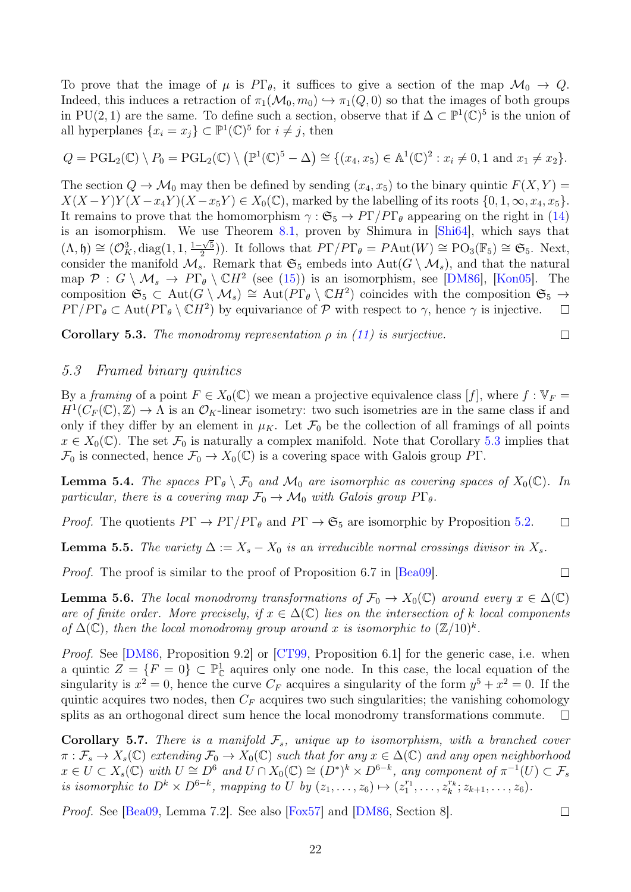To prove that the image of  $\mu$  is  $PT_{\theta}$ , it suffices to give a section of the map  $\mathcal{M}_0 \to Q$ . Indeed, this induces a retraction of  $\pi_1(\mathcal{M}_0, m_0) \hookrightarrow \pi_1(Q, 0)$  so that the images of both groups in PU(2, 1) are the same. To define such a section, observe that if  $\Delta \subset \mathbb{P}^1(\mathbb{C})^5$  is the union of all hyperplanes  $\{x_i = x_j\} \subset \mathbb{P}^1(\mathbb{C})^5$  for  $i \neq j$ , then

$$
Q = \mathrm{PGL}_2(\mathbb{C}) \setminus P_0 = \mathrm{PGL}_2(\mathbb{C}) \setminus (\mathbb{P}^1(\mathbb{C})^5 - \Delta) \cong \{(x_4, x_5) \in \mathbb{A}^1(\mathbb{C})^2 : x_i \neq 0, 1 \text{ and } x_1 \neq x_2\}.
$$

The section  $Q \to \mathcal{M}_0$  may then be defined by sending  $(x_4, x_5)$  to the binary quintic  $F(X, Y) =$  $X(X-Y)Y(X-x_4Y)(X-x_5Y) \in X_0(\mathbb{C})$ , marked by the labelling of its roots  $\{0,1,\infty,x_4,x_5\}$ . It remains to prove that the homomorphism  $\gamma : \mathfrak{S}_5 \to P\Gamma/P\Gamma_\theta$  appearing on the right in [\(14\)](#page-20-2) is an isomorphism. We use Theorem [8.1,](#page-30-1) proven by Shimura in  $\left[\text{Shi64}\right]$ , which says that  $(\Lambda, \mathfrak{h}) \cong (\mathcal{O}_K^3, \text{diag}(1, 1, \frac{1-\sqrt{5}}{2}))$  $\frac{1}{2}(\frac{\sqrt{5}}{2}))$ . It follows that  $P\Gamma/P\Gamma_\theta = P\text{Aut}(W) \cong \text{PO}_3(\mathbb{F}_5) \cong \mathfrak{S}_5$ . Next, consider the manifold  $\mathcal{M}_s$ . Remark that  $\mathfrak{S}_5$  embeds into  $Aut(G \setminus \mathcal{M}_s)$ , and that the natural map  $\mathcal{P}: G \setminus \mathcal{M}_s \to P\Gamma_\theta \setminus \mathbb{C}H^2$  (see [\(15\)](#page-22-0)) is an isomorphism, see [\[DM86\]](#page-32-0), [\[Kon05\]](#page-32-12). The composition  $\mathfrak{S}_5 \subset \text{Aut}(G \setminus \mathcal{M}_s) \cong \text{Aut}(P\Gamma_\theta \setminus \mathbb{C}H^2)$  coincides with the composition  $\mathfrak{S}_5 \to$  $P\Gamma/P\Gamma_\theta \subset \text{Aut}(P\Gamma_\theta \setminus \mathbb{C}H^2)$  by equivariance of  $\mathcal P$  with respect to  $\gamma$ , hence  $\gamma$  is injective.  $\Box$ 

<span id="page-21-0"></span>**Corollary 5.3.** The monodromy representation  $\rho$  in [\(11\)](#page-20-0) is surjective.

$$
\qquad \qquad \Box
$$

 $\Box$ 

#### 5.3 Framed binary quintics

By a framing of a point  $F \in X_0(\mathbb{C})$  we mean a projective equivalence class [f], where  $f : \mathbb{V}_F =$  $H^1(C_F(\mathbb{C}), \mathbb{Z}) \to \Lambda$  is an  $\mathcal{O}_K$ -linear isometry: two such isometries are in the same class if and only if they differ by an element in  $\mu_K$ . Let  $\mathcal{F}_0$  be the collection of all framings of all points  $x \in X_0(\mathbb{C})$ . The set  $\mathcal{F}_0$  is naturally a complex manifold. Note that Corollary [5.3](#page-21-0) implies that  $\mathcal{F}_0$  is connected, hence  $\mathcal{F}_0 \to X_0(\mathbb{C})$  is a covering space with Galois group PΓ.

<span id="page-21-1"></span>**Lemma 5.4.** The spaces  $P\Gamma_{\theta} \setminus \mathcal{F}_0$  and  $\mathcal{M}_0$  are isomorphic as covering spaces of  $X_0(\mathbb{C})$ . In particular, there is a covering map  $\mathcal{F}_0 \to \mathcal{M}_0$  with Galois group  $P\Gamma_{\theta}$ .

*Proof.* The quotients  $P\Gamma \to P\Gamma/P\Gamma_{\theta}$  and  $P\Gamma \to \mathfrak{S}_5$  are isomorphic by Proposition [5.2.](#page-20-3)  $\Box$ 

**Lemma 5.5.** The variety  $\Delta := X_s - X_0$  is an irreducible normal crossings divisor in  $X_s$ .

Proof. The proof is similar to the proof of Proposition 6.7 in [\[Bea09\]](#page-32-5).

**Lemma 5.6.** The local monodromy transformations of  $\mathcal{F}_0 \to X_0(\mathbb{C})$  around every  $x \in \Delta(\mathbb{C})$ are of finite order. More precisely, if  $x \in \Delta(\mathbb{C})$  lies on the intersection of k local components of  $\Delta(\mathbb{C})$ , then the local monodromy group around x is isomorphic to  $(\mathbb{Z}/10)^k$ .

Proof. See [\[DM86,](#page-32-0) Proposition 9.2] or [\[CT99,](#page-32-9) Proposition 6.1] for the generic case, i.e. when a quintic  $Z = \{F = 0\} \subset \mathbb{P}^1_{\mathbb{C}}$  aquires only one node. In this case, the local equation of the singularity is  $x^2 = 0$ , hence the curve  $C_F$  acquires a singularity of the form  $y^5 + x^2 = 0$ . If the quintic acquires two nodes, then  $C_F$  acquires two such singularities; the vanishing cohomology splits as an orthogonal direct sum hence the local monodromy transformations commute.  $\Box$ 

<span id="page-21-2"></span>**Corollary 5.7.** There is a manifold  $\mathcal{F}_s$ , unique up to isomorphism, with a branched cover  $\pi: \mathcal{F}_s \to X_s(\mathbb{C})$  extending  $\mathcal{F}_0 \to X_0(\mathbb{C})$  such that for any  $x \in \Delta(\mathbb{C})$  and any open neighborhood  $x \in U \subset X_s(\mathbb{C})$  with  $U \cong D^6$  and  $U \cap X_0(\mathbb{C}) \cong (D^*)^k \times D^{6-k}$ , any component of  $\pi^{-1}(U) \subset \mathcal{F}_s$ is isomorphic to  $D^k \times D^{6-k}$ , mapping to U by  $(z_1, \ldots, z_6) \mapsto (z_1^{r_1}, \ldots, z_k^{r_k}; z_{k+1}, \ldots, z_6)$ .

Proof. See [\[Bea09,](#page-32-5) Lemma 7.2]. See also [\[Fox57\]](#page-32-11) and [\[DM86,](#page-32-0) Section 8].

 $\Box$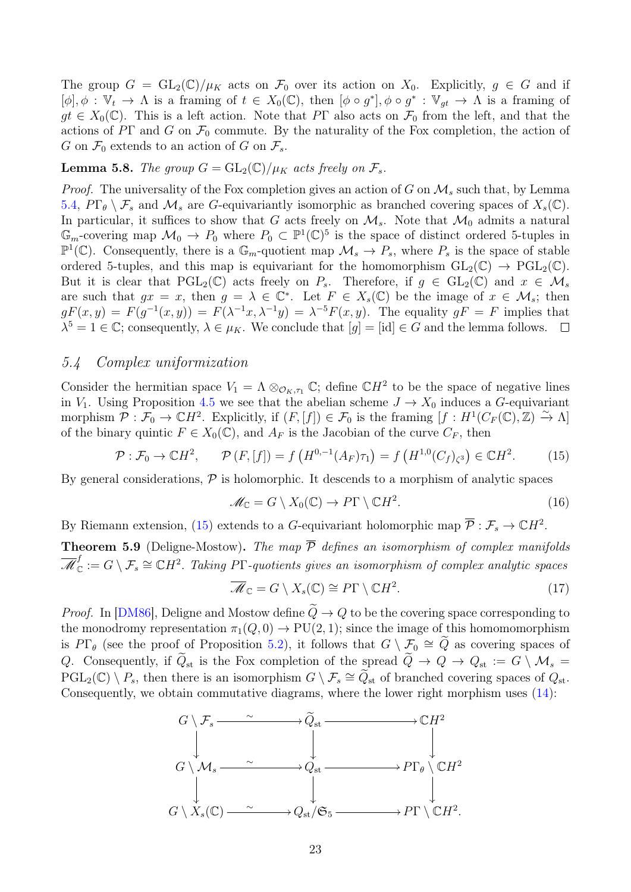The group  $G = GL_2(\mathbb{C})/\mu_K$  acts on  $\mathcal{F}_0$  over its action on  $X_0$ . Explicitly,  $g \in G$  and if  $[\phi], \phi : \mathbb{V}_t \to \Lambda$  is a framing of  $t \in X_0(\mathbb{C})$ , then  $[\phi \circ g^*], \phi \circ g^* : \mathbb{V}_{gt} \to \Lambda$  is a framing of  $gt \in X_0(\mathbb{C})$ . This is a left action. Note that PT also acts on  $\mathcal{F}_0$  from the left, and that the actions of PΓ and G on  $\mathcal{F}_0$  commute. By the naturality of the Fox completion, the action of G on  $\mathcal{F}_0$  extends to an action of G on  $\mathcal{F}_s$ .

#### <span id="page-22-2"></span>**Lemma 5.8.** The group  $G = GL_2(\mathbb{C})/\mu_K$  acts freely on  $\mathcal{F}_s$ .

*Proof.* The universality of the Fox completion gives an action of G on  $\mathcal{M}_s$  such that, by Lemma [5.4,](#page-21-1)  $P\Gamma_{\theta} \setminus \mathcal{F}_s$  and  $\mathcal{M}_s$  are G-equivariantly isomorphic as branched covering spaces of  $X_s(\mathbb{C})$ . In particular, it suffices to show that G acts freely on  $\mathcal{M}_s$ . Note that  $\mathcal{M}_0$  admits a natural  $\mathbb{G}_m$ -covering map  $\mathcal{M}_0 \to P_0$  where  $P_0 \subset \mathbb{P}^1(\mathbb{C})^5$  is the space of distinct ordered 5-tuples in  $\mathbb{P}^1(\mathbb{C})$ . Consequently, there is a  $\mathbb{G}_m$ -quotient map  $\mathcal{M}_s \to P_s$ , where  $P_s$  is the space of stable ordered 5-tuples, and this map is equivariant for the homomorphism  $GL_2(\mathbb{C}) \to \mathrm{PGL}_2(\mathbb{C})$ . But it is clear that  $PGL_2(\mathbb{C})$  acts freely on  $P_s$ . Therefore, if  $g \in GL_2(\mathbb{C})$  and  $x \in \mathcal{M}_s$ are such that  $gx = x$ , then  $g = \lambda \in \mathbb{C}^*$ . Let  $F \in X_s(\mathbb{C})$  be the image of  $x \in \mathcal{M}_s$ ; then  $gF(x,y) = F(g^{-1}(x,y)) = F(\lambda^{-1}x, \lambda^{-1}y) = \lambda^{-5}F(x,y)$ . The equality  $gF = F$  implies that  $\lambda^5 = 1 \in \mathbb{C}$ ; consequently,  $\lambda \in \mu_K$ . We conclude that  $[g] = [\text{id}] \in G$  and the lemma follows.

#### 5.4 Complex uniformization

Consider the hermitian space  $V_1 = \Lambda \otimes_{\mathcal{O}_K, \tau_1} \mathbb{C}$ ; define  $\mathbb{C}H^2$  to be the space of negative lines in  $V_1$ . Using Proposition [4.5](#page-16-0) we see that the abelian scheme  $J \to X_0$  induces a G-equivariant morphism  $\overline{\mathcal{P}} : \overline{\mathcal{F}}_0 \to \mathbb{C}H^2$ . Explicitly, if  $(F, [f]) \in \mathcal{F}_0$  is the framing  $[f : H^1(C_F(\mathbb{C}), \mathbb{Z}) \xrightarrow{\sim} \Lambda]$ of the binary quintic  $F \in X_0(\mathbb{C})$ , and  $A_F$  is the Jacobian of the curve  $C_F$ , then

<span id="page-22-0"></span>
$$
\mathcal{P} : \mathcal{F}_0 \to \mathbb{C}H^2, \qquad \mathcal{P}(F, [f]) = f\left(H^{0,-1}(A_F)\tau_1\right) = f\left(H^{1,0}(C_f)_{\zeta^3}\right) \in \mathbb{C}H^2. \tag{15}
$$

By general considerations,  $\mathcal P$  is holomorphic. It descends to a morphism of analytic spaces

$$
\mathcal{M}_{\mathbb{C}} = G \setminus X_0(\mathbb{C}) \to P\Gamma \setminus \mathbb{C}H^2. \tag{16}
$$

By Riemann extension, [\(15\)](#page-22-0) extends to a G-equivariant holomorphic map  $\overline{P}: \mathcal{F}_s \to \mathbb{C}H^2$ .

<span id="page-22-3"></span>**Theorem 5.9** (Deligne-Mostow). The map  $\overline{P}$  defines an isomorphism of complex manifolds  $\overline{\mathscr{M}}_{\mathbb{C}}^{\mathfrak{f}}$  $C^f\subset G\setminus\mathcal{F}_s\cong\mathbb{C} H^2.$  Taking P $\Gamma$ -quotients gives an isomorphism of complex analytic spaces

<span id="page-22-1"></span>
$$
\overline{\mathcal{M}}_{\mathbb{C}} = G \setminus X_s(\mathbb{C}) \cong P\Gamma \setminus \mathbb{C}H^2. \tag{17}
$$

*Proof.* In [\[DM86\]](#page-32-0), Deligne and Mostow define  $\tilde{Q} \to Q$  to be the covering space corresponding to the monodromy representation  $\pi_1(Q, 0) \to \text{PU}(2, 1)$ ; since the image of this homomomorphism is  $P\Gamma_{\theta}$  (see the proof of Proposition [5.2\)](#page-20-3), it follows that  $G \setminus \mathcal{F}_0 \cong \tilde{Q}$  as covering spaces of Q. Consequently, if  $\widetilde{Q}_{st}$  is the Fox completion of the spread  $\widetilde{Q} \to Q \to Q_{st} := G \setminus \mathcal{M}_s =$  $PGL_2(\mathbb{C}) \setminus P_s$ , then there is an isomorphism  $G \setminus \mathcal{F}_s \cong \widetilde{Q}_{st}$  of branched covering spaces of  $Q_{st}$ . Consequently, we obtain commutative diagrams, where the lower right morphism uses [\(14\)](#page-20-2):

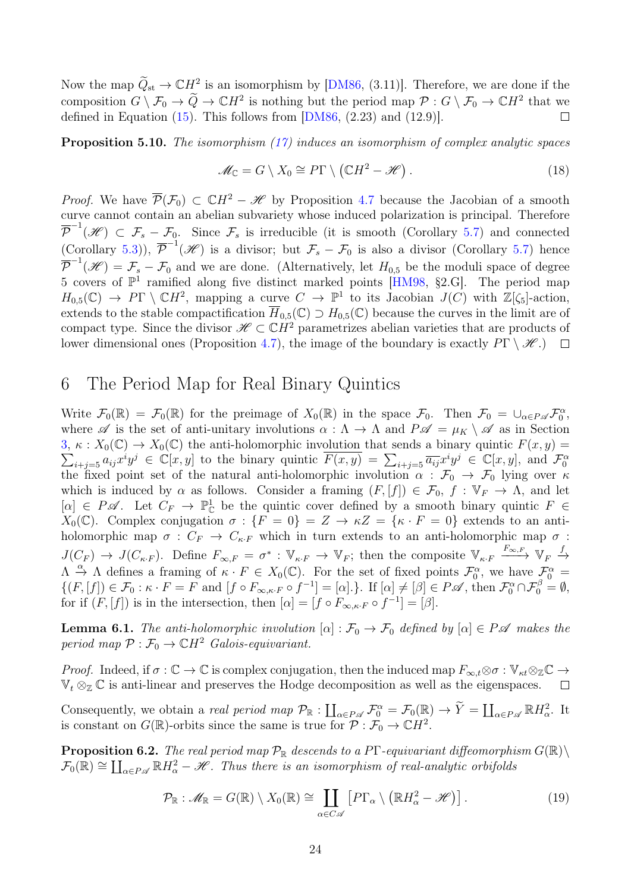Now the map  $\widetilde{Q}_{st} \to \mathbb{C}H^2$  is an isomorphism by [\[DM86,](#page-32-0) (3.11)]. Therefore, we are done if the composition  $G \setminus \mathcal{F}_0 \to \widetilde{Q} \to \mathbb{C}H^2$  is nothing but the period map  $\mathcal{P}: G \setminus \mathcal{F}_0 \to \mathbb{C}H^2$  that we defined in Equation  $(15)$ . This follows from  $[DM86, (2.23)$  $[DM86, (2.23)$  and  $(12.9)$ ].  $\Box$ 

<span id="page-23-0"></span>**Proposition 5.10.** The isomorphism  $(17)$  induces an isomorphism of complex analytic spaces

$$
\mathcal{M}_{\mathbb{C}} = G \setminus X_0 \cong P\Gamma \setminus (\mathbb{C}H^2 - \mathcal{H}). \tag{18}
$$

*Proof.* We have  $\overline{\mathcal{P}}(\mathcal{F}_0) \subset \mathbb{C}H^2 - \mathcal{H}$  by Proposition [4.7](#page-17-1) because the Jacobian of a smooth curve cannot contain an abelian subvariety whose induced polarization is principal. Therefore  $\overline{\mathcal{P}}^{-1}(\mathscr{H}) \subset \mathcal{F}_s - \mathcal{F}_0$ . Since  $\mathcal{F}_s$  is irreducible (it is smooth (Corollary [5.7\)](#page-21-2) and connected (Corollary [5.3\)](#page-21-0)),  $\overline{\mathcal{P}}^{-1}(\mathscr{H})$  is a divisor; but  $\mathcal{F}_s - \mathcal{F}_0$  is also a divisor (Corollary [5.7\)](#page-21-2) hence  $\overline{\mathcal{P}}^{-1}(\mathscr{H}) = \mathcal{F}_s - \mathcal{F}_0$  and we are done. (Alternatively, let  $H_{0,5}$  be the moduli space of degree 5 covers of  $\mathbb{P}^1$  ramified along five distinct marked points [\[HM98,](#page-32-13) §2.G]. The period map  $H_{0,5}(\mathbb{C}) \to P\Gamma \setminus \mathbb{C}H^2$ , mapping a curve  $C \to \mathbb{P}^1$  to its Jacobian  $J(C)$  with  $\mathbb{Z}[\zeta_5]$ -action, extends to the stable compactification  $\overline{H}_{0,5}(\mathbb{C}) \supset H_{0,5}(\mathbb{C})$  because the curves in the limit are of compact type. Since the divisor  $\mathscr{H} \subset \mathbb{C}H^2$  parametrizes abelian varieties that are products of lower dimensional ones (Proposition [4.7\)](#page-17-1), the image of the boundary is exactly  $P\Gamma \setminus \mathscr{H}$ .)  $\Box$ 

### <span id="page-23-1"></span>6 The Period Map for Real Binary Quintics

Write  $\mathcal{F}_0(\mathbb{R}) = \mathcal{F}_0(\mathbb{R})$  for the preimage of  $X_0(\mathbb{R})$  in the space  $\mathcal{F}_0$ . Then  $\mathcal{F}_0 = \bigcup_{\alpha \in P \mathscr{A}} \mathcal{F}_0^{\alpha}$ , where  $\mathscr A$  is the set of anti-unitary involutions  $\alpha : \Lambda \to \Lambda$  and  $P \mathscr A = \mu_K \setminus \mathscr A$  as in Section [3](#page-3-0),  $\kappa$  :  $X_0(\mathbb{C}) \to X_0(\mathbb{C})$  the anti-holomorphic involution that sends a binary quintic  $F(x, y) =$ 3,  $\kappa$  :  $X_0(\mathbb{C}) \to X_0(\mathbb{C})$  the anti-holomorphic involution that sends a binary quintic  $F(x, y) = \sum_{i+j=5} a_{ij} x^i y^j \in \mathbb{C}[x, y]$ , and  $\mathcal{F}_0^{\alpha}$ the fixed point set of the natural anti-holomorphic involution  $\alpha : \mathcal{F}_0 \to \mathcal{F}_0$  lying over  $\kappa$ which is induced by  $\alpha$  as follows. Consider a framing  $(F, [f]) \in \mathcal{F}_0$ ,  $f : \mathbb{V}_F \to \Lambda$ , and let  $[\alpha] \in P\mathscr{A}$ . Let  $C_F \to \mathbb{P}^1_{\mathbb{C}}$  be the quintic cover defined by a smooth binary quintic  $F \in$  $X_0(\mathbb{C})$ . Complex conjugation  $\sigma : \{F = 0\} = Z \to \kappa Z = \{\kappa \cdot F = 0\}$  extends to an antiholomorphic map  $\sigma : C_F \to C_{\kappa \cdot F}$  which in turn extends to an anti-holomorphic map  $\sigma$ :  $J(C_F) \to J(C_{\kappa\cdot F})$ . Define  $F_{\infty,F} = \sigma^* : \mathbb{V}_{\kappa\cdot F} \to \mathbb{V}_F$ ; then the composite  $\mathbb{V}_{\kappa\cdot F} \xrightarrow{F_{\infty,F}} \mathbb{V}_F \to$  $\Lambda \stackrel{\alpha}{\to} \Lambda$  defines a framing of  $\kappa \cdot F \in X_0(\mathbb{C})$ . For the set of fixed points  $\mathcal{F}_0^{\alpha}$ , we have  $\mathcal{F}_0^{\alpha} =$  $\{(F, [f]) \in \mathcal{F}_0 : \kappa \cdot F = F \text{ and } [f \circ F_{\infty,\kappa \cdot F} \circ f^{-1}] = [\alpha] \cdot\}.$  If  $[\alpha] \neq [\beta] \in P \mathscr{A}$ , then  $\mathcal{F}_0^{\alpha} \cap \mathcal{F}_0^{\beta} = \emptyset$ , for if  $(F, [f])$  is in the intersection, then  $[\alpha] = [f \circ F_{\infty,\kappa \cdot F} \circ f^{-1}] = [\beta]$ .

**Lemma 6.1.** The anti-holomorphic involution  $[\alpha]: \mathcal{F}_0 \to \mathcal{F}_0$  defined by  $[\alpha] \in P\mathscr{A}$  makes the period map  $\mathcal{P}: \mathcal{F}_0 \to \mathbb{C}H^2$  Galois-equivariant.

*Proof.* Indeed, if  $\sigma : \mathbb{C} \to \mathbb{C}$  is complex conjugation, then the induced map  $F_{\infty,t} \otimes \sigma : \mathbb{V}_{\kappa t} \otimes_{\mathbb{Z}} \mathbb{C} \to$  $\mathbb{V}_t \otimes_{\mathbb{Z}} \mathbb{C}$  is anti-linear and preserves the Hodge decomposition as well as the eigenspaces.  $\Box$ 

Consequently, we obtain a *real period map*  $\mathcal{P}_{\mathbb{R}} : \coprod_{\alpha \in P \mathscr{A}} \mathcal{F}_{0}^{\alpha} = \mathcal{F}_{0}(\mathbb{R}) \to \widetilde{Y} = \coprod_{\alpha \in P \mathscr{A}} \mathbb{R} H_{\alpha}^{2}$ . It is constant on  $G(\mathbb{R})$ -orbits since the same is true for  $\mathcal{P}: \mathcal{F}_0 \to \mathbb{C}H^2$ .

<span id="page-23-2"></span>**Proposition 6.2.** The real period map  $\mathcal{P}_{\mathbb{R}}$  descends to a PT-equivariant diffeomorphism  $G(\mathbb{R})\setminus$  $\mathcal{F}_0(\mathbb{R}) \cong \coprod_{\alpha \in P \mathscr{A}} \mathbb{R} H_\alpha^2 - \mathscr{H}$ . Thus there is an isomorphism of real-analytic orbifolds

$$
\mathcal{P}_{\mathbb{R}} : \mathscr{M}_{\mathbb{R}} = G(\mathbb{R}) \setminus X_0(\mathbb{R}) \cong \coprod_{\alpha \in C\mathscr{A}} \left[ P\Gamma_{\alpha} \setminus \left( \mathbb{R}H_{\alpha}^2 - \mathscr{H} \right) \right]. \tag{19}
$$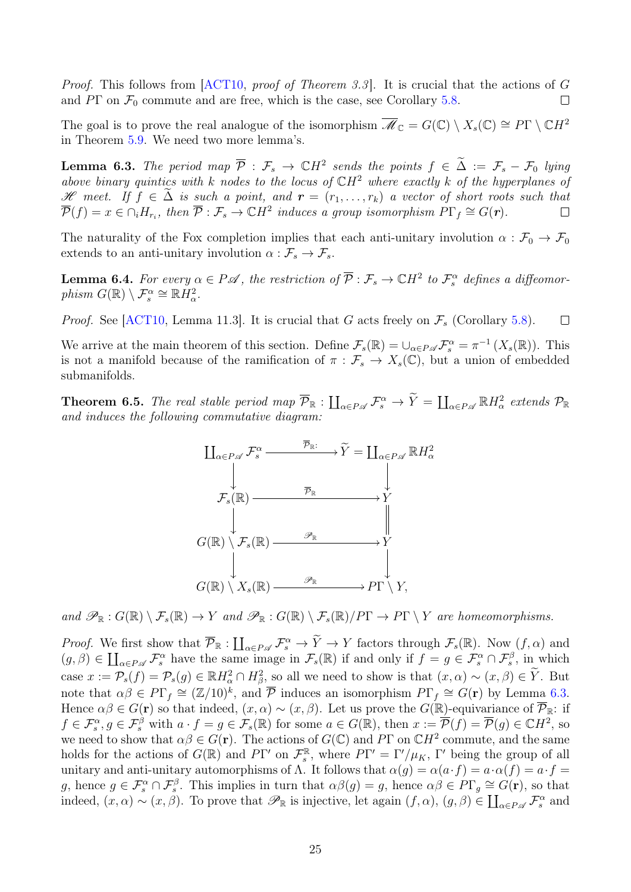Proof. This follows from [\[ACT10,](#page-32-3) proof of Theorem 3.3]. It is crucial that the actions of G and  $P\Gamma$  on  $\mathcal{F}_0$  commute and are free, which is the case, see Corollary [5.8.](#page-22-2)  $\Box$ 

The goal is to prove the real analogue of the isomorphism  $\overline{\mathscr{M}}_{\mathbb{C}} = G(\mathbb{C}) \setminus X_s(\mathbb{C}) \cong P\Gamma \setminus \mathbb{C}H^2$ in Theorem [5.9.](#page-22-3) We need two more lemma's.

<span id="page-24-1"></span>**Lemma 6.3.** The period map  $\overline{P}$  :  $\mathcal{F}_s \to \mathbb{C}H^2$  sends the points  $f \in \widetilde{\Delta} := \mathcal{F}_s - \mathcal{F}_0$  lying above binary quintics with k nodes to the locus of  $\mathbb{C}H^2$  where exactly k of the hyperplanes of Hencet. If  $f \in \tilde{\Delta}$  is such a point, and  $\mathbf{r} = (r_1, \ldots, r_k)$  a vector of short roots such that  $\overline{\mathcal{P}}(f) = x \in \bigcap_i H_r$ , then  $\overline{\mathcal{P}}: \mathcal{F}_s \to \mathbb{C}H^2$  induces a group isomorphism  $P\Gamma_f \cong G(\mathbf{r})$ .  $\overline{\mathcal{P}}(f) = x \in \cap_i H_{r_i}$ , then  $\overline{\mathcal{P}}: \mathcal{F}_s \to \mathbb{C}H^2$  induces a group isomorphism  $P\Gamma_f \cong G(r)$ .

The naturality of the Fox completion implies that each anti-unitary involution  $\alpha : \mathcal{F}_0 \to \mathcal{F}_0$ extends to an anti-unitary involution  $\alpha : \mathcal{F}_s \to \mathcal{F}_s$ .

<span id="page-24-2"></span>**Lemma 6.4.** For every  $\alpha \in P\mathscr{A}$ , the restriction of  $\overline{P}: \mathcal{F}_s \to \mathbb{C}H^2$  to  $\mathcal{F}_s^{\alpha}$  defines a diffeomorphism  $G(\mathbb{R}) \setminus \mathcal{F}_s^{\alpha} \cong \mathbb{R}H_\alpha^2$ .

*Proof.* See [\[ACT10,](#page-32-3) Lemma 11.3]. It is crucial that G acts freely on  $\mathcal{F}_s$  (Corollary [5.8\)](#page-22-2).  $\Box$ 

We arrive at the main theorem of this section. Define  $\mathcal{F}_s(\mathbb{R}) = \bigcup_{\alpha \in P \mathscr{A}} \mathcal{F}_s^{\alpha} = \pi^{-1}(X_s(\mathbb{R}))$ . This is not a manifold because of the ramification of  $\pi : \mathcal{F}_s \to X_s(\mathbb{C})$ , but a union of embedded submanifolds.

<span id="page-24-0"></span>**Theorem 6.5.** The real stable period map  $\overline{\mathcal{P}}_{\mathbb{R}}$  :  $\coprod_{\alpha \in P \mathscr{A}} \mathcal{F}_{s}^{\alpha} \to \widetilde{Y} = \coprod_{\alpha \in P \mathscr{A}} \mathbb{R} H_{\alpha}^{2}$  extends  $\mathcal{P}_{\mathbb{R}}$ and induces the following commutative diagram:



and  $\mathscr{P}_{\mathbb{R}} : G(\mathbb{R}) \setminus \mathcal{F}_s(\mathbb{R}) \to Y$  and  $\mathscr{P}_{\mathbb{R}} : G(\mathbb{R}) \setminus \mathcal{F}_s(\mathbb{R})/P\Gamma \to P\Gamma \setminus Y$  are homeomorphisms.

*Proof.* We first show that  $\overline{\mathcal{P}}_{\mathbb{R}} : \coprod_{\alpha \in P \mathscr{A}} \mathcal{F}_{s}^{\alpha} \to \widetilde{Y} \to Y$  factors through  $\mathcal{F}_{s}(\mathbb{R})$ . Now  $(f, \alpha)$  and  $(g, \beta) \in \coprod_{\alpha \in P \mathscr{A}} \mathcal{F}_s^{\alpha}$  have the same image in  $\mathcal{F}_s(\mathbb{R})$  if and only if  $f = g \in \mathcal{F}_s^{\alpha} \cap \mathcal{F}_s^{\beta}$ , in which case  $x := \mathcal{P}_s(f) = \mathcal{P}_s(g) \in \mathbb{R}H^2_\alpha \cap H^2_\beta$ , so all we need to show is that  $(x, \alpha) \sim (x, \beta) \in \widetilde{Y}$ . But note that  $\alpha\beta \in P\Gamma_f \cong (\mathbb{Z}/10)^k$ , and  $\overline{P}$  induces an isomorphism  $P\Gamma_f \cong G(\mathbf{r})$  by Lemma [6.3.](#page-24-1) Hence  $\alpha\beta \in G(\mathbf{r})$  so that indeed,  $(x, \alpha) \sim (x, \beta)$ . Let us prove the  $G(\mathbb{R})$ -equivariance of  $\overline{\mathcal{P}}_{\mathbb{R}}$ : if  $f \in \mathcal{F}_s^{\alpha}, g \in \mathcal{F}_s^{\beta}$  with  $a \cdot f = g \in \mathcal{F}_s(\mathbb{R})$  for some  $a \in G(\mathbb{R})$ , then  $x := \overline{\mathcal{P}}(f) = \overline{\mathcal{P}}(g) \in \mathbb{C}H^2$ , so we need to show that  $\alpha\beta \in G(\mathbf{r})$ . The actions of  $G(\mathbb{C})$  and PT on  $\mathbb{C}H^2$  commute, and the same holds for the actions of  $G(\mathbb{R})$  and  $P\Gamma'$  on  $\mathcal{F}_{s}^{\mathbb{R}}$ <sup> $\mathbb{R}$ </sup>, where  $P\Gamma' = \Gamma'/\mu_K$ ,  $\Gamma'$  being the group of all unitary and anti-unitary automorphisms of  $\Lambda$ . It follows that  $\alpha(q) = \alpha(a \cdot f) = a \cdot \alpha(f) = a \cdot f = a$ g, hence  $g \in \mathcal{F}_s^{\alpha} \cap \mathcal{F}_s^{\beta}$ . This implies in turn that  $\alpha\beta(g) = g$ , hence  $\alpha\beta \in \overline{P}\Gamma_g \cong G(\mathbf{r})$ , so that indeed,  $(x, \alpha) \sim (x, \beta)$ . To prove that  $\mathscr{P}_{\mathbb{R}}$  is injective, let again  $(f, \alpha)$ ,  $(g, \beta) \in \coprod_{\alpha \in P \mathscr{A}} \mathcal{F}_{s}^{\alpha}$  and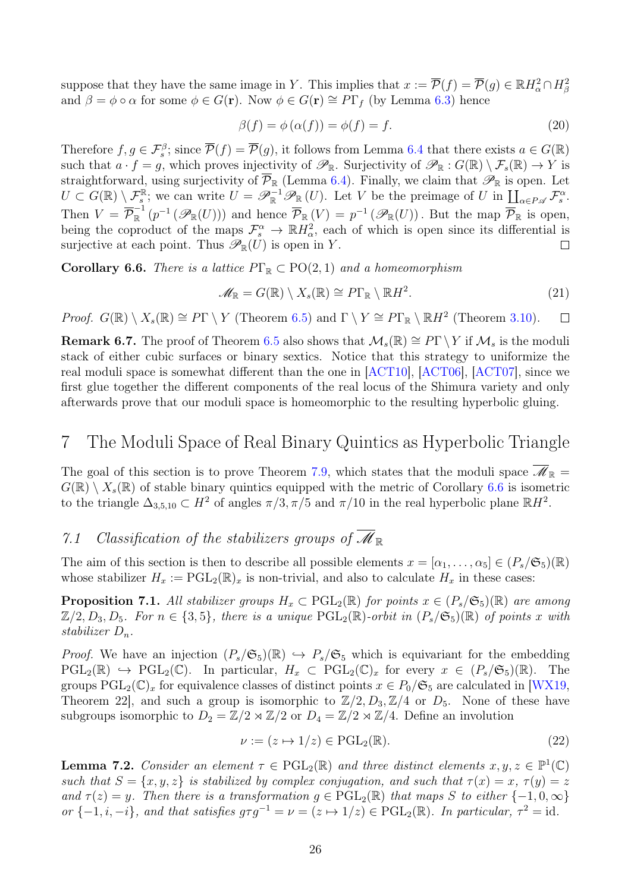suppose that they have the same image in Y. This implies that  $x := \overline{\mathcal{P}}(f) = \overline{\mathcal{P}}(g) \in \mathbb{R}H_\alpha^2 \cap H_\beta^2$ and  $\beta = \phi \circ \alpha$  for some  $\phi \in G(\mathbf{r})$ . Now  $\phi \in G(\mathbf{r}) \cong P\Gamma_f$  (by Lemma [6.3\)](#page-24-1) hence

$$
\beta(f) = \phi(\alpha(f)) = \phi(f) = f.
$$
\n(20)

Therefore  $f, g \in \mathcal{F}^{\beta}_{s}$ ; since  $\overline{\mathcal{P}}(f) = \overline{\mathcal{P}}(g)$ , it follows from Lemma [6.4](#page-24-2) that there exists  $a \in G(\mathbb{R})$ such that  $a \cdot f = g$ , which proves injectivity of  $\mathscr{P}_{\mathbb{R}}$ . Surjectivity of  $\mathscr{P}_{\mathbb{R}} : G(\mathbb{R}) \setminus \mathcal{F}_s(\mathbb{R}) \to Y$  is straightforward, using surjectivity of  $\overline{\mathcal{P}}_{\mathbb{R}}$  (Lemma [6.4\)](#page-24-2). Finally, we claim that  $\mathscr{P}_{\mathbb{R}}$  is open. Let  $U \subset G(\mathbb{R}) \setminus \mathcal{F}_{s}^{\mathbb{R}}$ ; we can write  $U = \mathscr{P}_{\mathbb{R}}^{-1} \mathscr{P}_{\mathbb{R}}(U)$ . Let V be the preimage of U in  $\coprod_{\alpha \in P \mathscr{A}} \mathcal{F}_{s}^{\alpha}$ . Then  $V = \overline{\mathcal{P}}_{\mathbb{R}}^{-1}$  $\overline{\mathcal{P}}_{\mathbb{R}}(p^{-1}(\mathscr{P}_{\mathbb{R}}(U)))$  and hence  $\overline{\mathcal{P}}_{\mathbb{R}}(V) = p^{-1}(\mathscr{P}_{\mathbb{R}}(U))$ . But the map  $\overline{\mathcal{P}}_{\mathbb{R}}$  is open, being the coproduct of the maps  $\mathcal{F}_s^{\alpha} \to \mathbb{R}H_\alpha^2$ , each of which is open since its differential is surjective at each point. Thus  $\mathscr{P}_{\mathbb{R}}(U)$  is open in Y.  $\Box$ 

<span id="page-25-1"></span>**Corollary 6.6.** There is a lattice  $P\Gamma_{\mathbb{R}} \subset \text{PO}(2,1)$  and a homeomorphism

$$
\mathscr{M}_{\mathbb{R}} = G(\mathbb{R}) \setminus X_s(\mathbb{R}) \cong P\Gamma_{\mathbb{R}} \setminus \mathbb{R}H^2.
$$
 (21)

*Proof.*  $G(\mathbb{R}) \setminus X_s(\mathbb{R}) \cong P\Gamma \setminus Y$  (Theorem [6.5\)](#page-24-0) and  $\Gamma \setminus Y \cong P\Gamma_{\mathbb{R}} \setminus \mathbb{R}H^2$  (Theorem [3.10\)](#page-0-2).  $\Box$ 

**Remark 6.7.** The proof of Theorem [6.5](#page-24-0) also shows that  $\mathcal{M}_s(\mathbb{R}) \cong P\Gamma \backslash Y$  if  $\mathcal{M}_s$  is the moduli stack of either cubic surfaces or binary sextics. Notice that this strategy to uniformize the real moduli space is somewhat different than the one in [\[ACT10\]](#page-32-3), [\[ACT06\]](#page-31-0), [\[ACT07\]](#page-31-1), since we first glue together the different components of the real locus of the Shimura variety and only afterwards prove that our moduli space is homeomorphic to the resulting hyperbolic gluing.

## <span id="page-25-0"></span>7 The Moduli Space of Real Binary Quintics as Hyperbolic Triangle

The goal of this section is to prove Theorem [7.9,](#page-29-0) which states that the moduli space  $\overline{\mathscr{M}}_{\mathbb{R}} =$  $G(\mathbb{R}) \setminus X_s(\mathbb{R})$  of stable binary quintics equipped with the metric of Corollary [6.6](#page-25-1) is isometric to the triangle  $\Delta_{3,5,10} \subset H^2$  of angles  $\pi/3, \pi/5$  and  $\pi/10$  in the real hyperbolic plane  $\mathbb{R}H^2$ .

# <span id="page-25-4"></span>7.1 Classification of the stabilizers groups of  $\overline{\mathscr{M}}_{\mathbb{R}}$

The aim of this section is then to describe all possible elements  $x = [\alpha_1, \ldots, \alpha_5] \in (P_s/\mathfrak{S}_5)(\mathbb{R})$ whose stabilizer  $H_x := \text{PGL}_2(\mathbb{R})_x$  is non-trivial, and also to calculate  $H_x$  in these cases:

<span id="page-25-3"></span>**Proposition 7.1.** All stabilizer groups  $H_x \text{ }\subset \text{PGL}_2(\mathbb{R})$  for points  $x \in (P_s/\mathfrak{S}_5)(\mathbb{R})$  are among  $\mathbb{Z}/2, D_3, D_5$ . For  $n \in \{3, 5\}$ , there is a unique  $\mathrm{PGL}_2(\mathbb{R})$ -orbit in  $(P_s/\mathfrak{S}_5)(\mathbb{R})$  of points x with stabilizer  $D_n$ .

*Proof.* We have an injection  $(P_s/\mathfrak{S}_5)(\mathbb{R}) \hookrightarrow P_s/\mathfrak{S}_5$  which is equivariant for the embedding  $PGL_2(\mathbb{R}) \hookrightarrow \text{PGL}_2(\mathbb{C})$ . In particular,  $H_x \subset \text{PGL}_2(\mathbb{C})_x$  for every  $x \in (P_s/\mathfrak{S}_5)(\mathbb{R})$ . The groups  $\text{PGL}_2(\mathbb{C})_x$  for equivalence classes of distinct points  $x \in P_0/\mathfrak{S}_5$  are calculated in [\[WX19,](#page-33-15) Theorem 22], and such a group is isomorphic to  $\mathbb{Z}/2$ ,  $D_3$ ,  $\mathbb{Z}/4$  or  $D_5$ . None of these have subgroups isomorphic to  $D_2 = \mathbb{Z}/2 \rtimes \mathbb{Z}/2$  or  $D_4 = \mathbb{Z}/2 \rtimes \mathbb{Z}/4$ . Define an involution

$$
\nu := (z \mapsto 1/z) \in \mathrm{PGL}_2(\mathbb{R}).\tag{22}
$$

<span id="page-25-2"></span>**Lemma 7.2.** Consider an element  $\tau \in \text{PGL}_2(\mathbb{R})$  and three distinct elements  $x, y, z \in \mathbb{P}^1(\mathbb{C})$ such that  $S = \{x, y, z\}$  is stabilized by complex conjugation, and such that  $\tau(x) = x$ ,  $\tau(y) = z$ and  $\tau(z) = y$ . Then there is a transformation  $g \in \text{PGL}_2(\mathbb{R})$  that maps S to either  $\{-1,0,\infty\}$ or  $\{-1, i, -i\}$ , and that satisfies  $g\tau g^{-1} = \nu = (z \mapsto 1/z) \in \text{PGL}_2(\mathbb{R})$ . In particular,  $\tau^2 = id$ .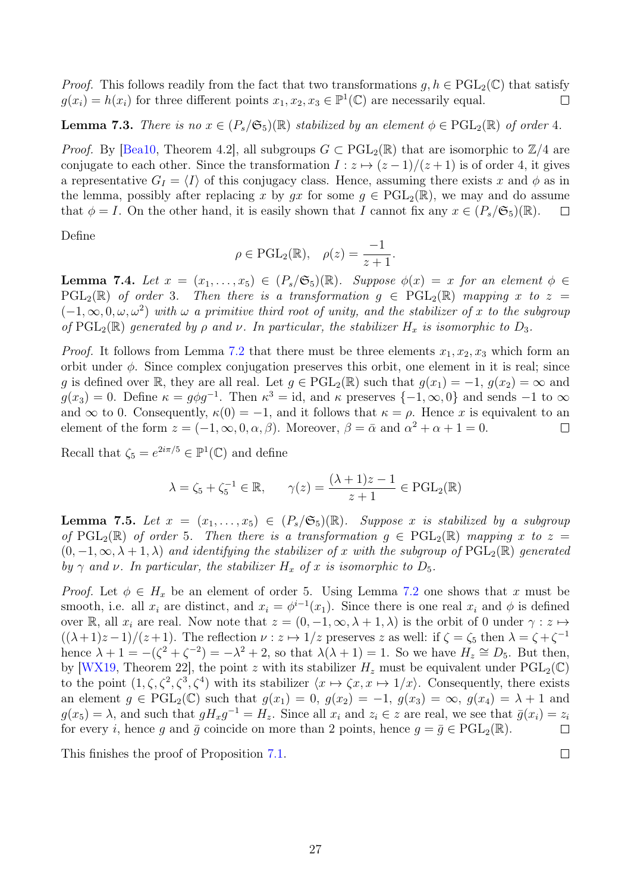*Proof.* This follows readily from the fact that two transformations  $q, h \in \text{PGL}_2(\mathbb{C})$  that satisfy  $g(x_i) = h(x_i)$  for three different points  $x_1, x_2, x_3 \in \mathbb{P}^1(\mathbb{C})$  are necessarily equal.  $\Box$ 

#### **Lemma 7.3.** There is no  $x \in (P_s/\mathfrak{S}_5)(\mathbb{R})$  stabilized by an element  $\phi \in \text{PGL}_2(\mathbb{R})$  of order 4.

*Proof.* By [\[Bea10,](#page-32-14) Theorem 4.2], all subgroups  $G \subset \text{PGL}_2(\mathbb{R})$  that are isomorphic to  $\mathbb{Z}/4$  are conjugate to each other. Since the transformation  $I: z \mapsto (z-1)/(z+1)$  is of order 4, it gives a representative  $G_I = \langle I \rangle$  of this conjugacy class. Hence, assuming there exists x and  $\phi$  as in the lemma, possibly after replacing x by gx for some  $g \in \text{PGL}_2(\mathbb{R})$ , we may and do assume that  $\phi = I$ . On the other hand, it is easily shown that I cannot fix any  $x \in (P_s/\mathfrak{S}_5)(\mathbb{R})$ .  $\Box$ 

Define

$$
\rho \in \mathrm{PGL}_2(\mathbb{R}), \quad \rho(z) = \frac{-1}{z+1}.
$$

<span id="page-26-1"></span>**Lemma 7.4.** Let  $x = (x_1, \ldots, x_5) \in (P_s/\mathfrak{S}_5)(\mathbb{R})$ . Suppose  $\phi(x) = x$  for an element  $\phi \in$  $PGL_2(\mathbb{R})$  of order 3. Then there is a transformation  $g \in \text{PGL}_2(\mathbb{R})$  mapping x to  $z =$  $(-1,\infty,0,\omega,\omega^2)$  with  $\omega$  a primitive third root of unity, and the stabilizer of x to the subgroup of  $PGL_2(\mathbb{R})$  generated by  $\rho$  and  $\nu$ . In particular, the stabilizer  $H_x$  is isomorphic to  $D_3$ .

*Proof.* It follows from Lemma [7.2](#page-25-2) that there must be three elements  $x_1, x_2, x_3$  which form an orbit under  $\phi$ . Since complex conjugation preserves this orbit, one element in it is real; since g is defined over R, they are all real. Let  $g \in \text{PGL}_2(\mathbb{R})$  such that  $g(x_1) = -1$ ,  $g(x_2) = \infty$  and  $g(x_3) = 0$ . Define  $\kappa = g\phi g^{-1}$ . Then  $\kappa^3 = id$ , and  $\kappa$  preserves  $\{-1, \infty, 0\}$  and sends  $-1$  to  $\infty$ and  $\infty$  to 0. Consequently,  $\kappa(0) = -1$ , and it follows that  $\kappa = \rho$ . Hence x is equivalent to an element of the form  $z = (-1, \infty, 0, \alpha, \beta)$ . Moreover,  $\beta = \bar{\alpha}$  and  $\alpha^2 + \alpha + 1 = 0$ .  $\Box$ 

Recall that  $\zeta_5 = e^{2i\pi/5} \in \mathbb{P}^1(\mathbb{C})$  and define

$$
\lambda = \zeta_5 + \zeta_5^{-1} \in \mathbb{R}, \qquad \gamma(z) = \frac{(\lambda + 1)z - 1}{z + 1} \in \mathrm{PGL}_2(\mathbb{R})
$$

<span id="page-26-0"></span>**Lemma 7.5.** Let  $x = (x_1, \ldots, x_5) \in (P_s/\mathfrak{S}_5)(\mathbb{R})$ . Suppose x is stabilized by a subgroup of  $PGL_2(\mathbb{R})$  of order 5. Then there is a transformation  $g \in \text{PGL}_2(\mathbb{R})$  mapping x to  $z =$  $(0, -1, \infty, \lambda + 1, \lambda)$  and identifying the stabilizer of x with the subgroup of  $PGL_2(\mathbb{R})$  generated by  $\gamma$  and  $\nu$ . In particular, the stabilizer  $H_x$  of x is isomorphic to  $D_5$ .

*Proof.* Let  $\phi \in H_x$  be an element of order 5. Using Lemma [7.2](#page-25-2) one shows that x must be smooth, i.e. all  $x_i$  are distinct, and  $x_i = \phi^{i-1}(x_1)$ . Since there is one real  $x_i$  and  $\phi$  is defined over R, all  $x_i$  are real. Now note that  $z = (0, -1, \infty, \lambda + 1, \lambda)$  is the orbit of 0 under  $\gamma : z \mapsto$  $((\lambda+1)z-1)/(z+1)$ . The reflection  $\nu: z \mapsto 1/z$  preserves z as well: if  $\zeta = \zeta_5$  then  $\lambda = \zeta + \zeta^{-1}$ hence  $\lambda + 1 = -(\zeta^2 + \zeta^{-2}) = -\lambda^2 + 2$ , so that  $\lambda(\lambda + 1) = 1$ . So we have  $H_z \cong D_5$ . But then, by [\[WX19,](#page-33-15) Theorem 22], the point z with its stabilizer  $H_z$  must be equivalent under PGL<sub>2</sub>(C) to the point  $(1, \zeta, \zeta^2, \zeta^3, \zeta^4)$  with its stabilizer  $\langle x \mapsto \zeta x, x \mapsto 1/x \rangle$ . Consequently, there exists an element  $g \in \text{PGL}_2(\mathbb{C})$  such that  $g(x_1) = 0$ ,  $g(x_2) = -1$ ,  $g(x_3) = \infty$ ,  $g(x_4) = \lambda + 1$  and  $g(x_5) = \lambda$ , and such that  $gH_xg^{-1} = H_z$ . Since all  $x_i$  and  $z_i \in z$  are real, we see that  $\bar{g}(x_i) = z_i$ for every *i*, hence g and  $\bar{g}$  coincide on more than 2 points, hence  $g = \bar{g} \in \text{PGL}_2(\mathbb{R})$ .  $\Box$ 

This finishes the proof of Proposition [7.1.](#page-25-3)

$$
27\,
$$

 $\Box$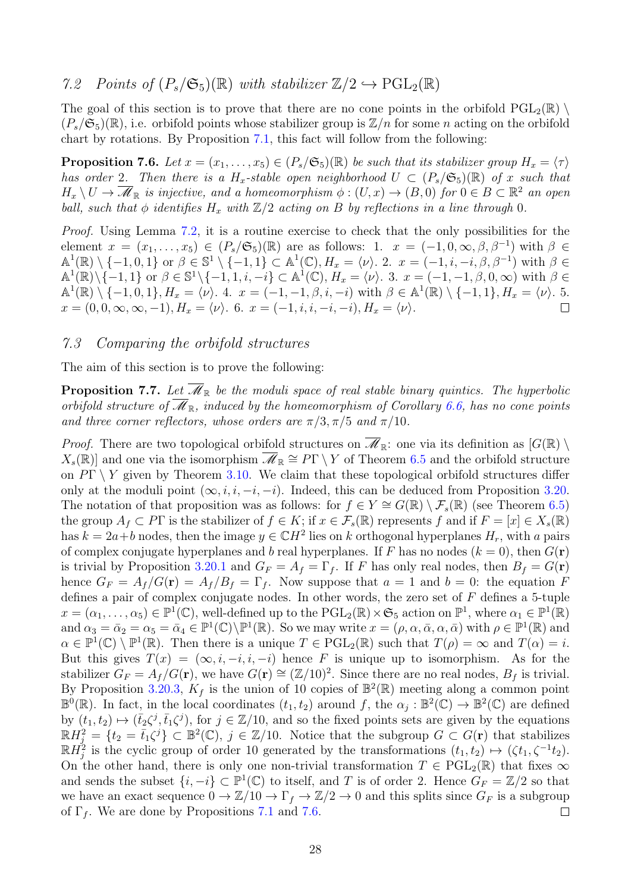#### <span id="page-27-1"></span>7.2 Points of  $(P_s/\mathfrak{S}_5)(\mathbb{R})$  with stabilizer  $\mathbb{Z}/2 \hookrightarrow \mathrm{PGL}_2(\mathbb{R})$

The goal of this section is to prove that there are no cone points in the orbifold  $PGL_2(\mathbb{R})$  $(P_s/\mathfrak{S}_5)(\mathbb{R})$ , i.e. orbifold points whose stabilizer group is  $\mathbb{Z}/n$  for some n acting on the orbifold chart by rotations. By Proposition [7.1,](#page-25-3) this fact will follow from the following:

<span id="page-27-0"></span>**Proposition 7.6.** Let  $x = (x_1, \ldots, x_5) \in (P_s/\mathfrak{S}_5)(\mathbb{R})$  be such that its stabilizer group  $H_x = \langle \tau \rangle$ has order 2. Then there is a  $H_x$ -stable open neighborhood  $U \subset (P_s/\mathfrak{S}_5)(\mathbb{R})$  of x such that  $H_x \setminus U \to \overline{\mathscr{M}}_{\mathbb{R}}$  is injective, and a homeomorphism  $\phi : (U, x) \to (B, 0)$  for  $0 \in B \subset \mathbb{R}^2$  an open ball, such that  $\phi$  identifies  $H_x$  with  $\mathbb{Z}/2$  acting on B by reflections in a line through 0.

Proof. Using Lemma [7.2,](#page-25-2) it is a routine exercise to check that the only possibilities for the element  $x = (x_1, \ldots, x_5) \in (P_s/\mathfrak{S}_5)(\mathbb{R})$  are as follows: 1.  $x = (-1, 0, \infty, \beta, \beta^{-1})$  with  $\beta \in$  $\mathbb{A}^1(\mathbb{R}) \setminus \{-1, 0, 1\}$  or  $\beta \in \mathbb{S}^1 \setminus \{-1, 1\} \subset \mathbb{A}^1(\mathbb{C}), H_x = \langle \nu \rangle$ . 2.  $x = (-1, i, -i, \beta, \beta^{-1})$  with  $\beta \in$  $\mathbb{A}^1(\mathbb{R}) \setminus \{-1, 1\}$  or  $\beta \in \mathbb{S}^1 \setminus \{-1, 1, i, -i\} \subset \mathbb{A}^1(\mathbb{C}), H_x = \langle \nu \rangle$ . 3.  $x = (-1, -1, \beta, 0, \infty)$  with  $\beta \in$  $\mathbb{A}^{1}(\mathbb{R})\setminus\{-1,0,1\}, H_{x}=\langle\nu\rangle$ . 4.  $x=(-1,-1,\beta,i,-i)$  with  $\beta\in\mathbb{A}^{1}(\mathbb{R})\setminus\{-1,1\}, H_{x}=\langle\nu\rangle$ . 5.  $x = (0, 0, \infty, \infty, -1), H_x = \langle \nu \rangle$ . 6.  $x = (-1, i, i, -i, -i), H_x = \langle \nu \rangle$ .  $\Box$ 

#### <span id="page-27-2"></span>7.3 Comparing the orbifold structures

The aim of this section is to prove the following:

<span id="page-27-3"></span>**Proposition 7.7.** Let  $\overline{\mathcal{M}}_{\mathbb{R}}$  be the moduli space of real stable binary quintics. The hyperbolic orbifold structure of  $\overline{\mathcal{M}}_{\mathbb{R}}$ , induced by the homeomorphism of Corollary [6.6,](#page-25-1) has no cone points and three corner reflectors, whose orders are  $\pi/3, \pi/5$  and  $\pi/10$ .

*Proof.* There are two topological orbifold structures on  $\overline{\mathscr{M}}_{\mathbb{R}}$ : one via its definition as  $[G(\mathbb{R}) \setminus$  $X_s(\mathbb{R})$  and one via the isomorphism  $\overline{\mathscr{M}}_{\mathbb{R}} \cong P\Gamma \setminus Y$  of Theorem [6.5](#page-24-0) and the orbifold structure on  $P\Gamma \setminus Y$  given by Theorem [3.10.](#page-0-2) We claim that these topological orbifold structures differ only at the moduli point  $(\infty, i, i, -i, -i)$ . Indeed, this can be deduced from Proposition [3.20.](#page-11-0) The notation of that proposition was as follows: for  $f \in Y \cong G(\mathbb{R}) \setminus \mathcal{F}_s(\mathbb{R})$  (see Theorem [6.5\)](#page-24-0) the group  $A_f \subset P\Gamma$  is the stabilizer of  $f \in K$ ; if  $x \in \mathcal{F}_s(\mathbb{R})$  represents f and if  $F = [x] \in X_s(\mathbb{R})$ has  $k = 2a + b$  nodes, then the image  $y \in \mathbb{C}H^2$  lies on k orthogonal hyperplanes  $H_r$ , with a pairs of complex conjugate hyperplanes and b real hyperplanes. If F has no nodes  $(k = 0)$ , then  $G(\mathbf{r})$ is trivial by Proposition [3.20.](#page-11-0)1 and  $G_F = A_f = \Gamma_f$ . If F has only real nodes, then  $B_f = G(\mathbf{r})$ hence  $G_F = A_f/G(\mathbf{r}) = A_f/B_f = \Gamma_f$ . Now suppose that  $a = 1$  and  $b = 0$ : the equation F defines a pair of complex conjugate nodes. In other words, the zero set of  $F$  defines a 5-tuple  $x = (\alpha_1, \ldots, \alpha_5) \in \mathbb{P}^1(\mathbb{C})$ , well-defined up to the  $\mathrm{PGL}_2(\mathbb{R}) \times \mathfrak{S}_5$  action on  $\mathbb{P}^1$ , where  $\alpha_1 \in \mathbb{P}^1(\mathbb{R})$ and  $\alpha_3 = \bar{\alpha}_2 = \alpha_5 = \bar{\alpha}_4 \in \mathbb{P}^1(\mathbb{C}) \setminus \mathbb{P}^1(\mathbb{R})$ . So we may write  $x = (\rho, \alpha, \bar{\alpha}, \alpha, \bar{\alpha})$  with  $\rho \in \mathbb{P}^1(\mathbb{R})$  and  $\alpha \in \mathbb{P}^1(\mathbb{C}) \setminus \mathbb{P}^1(\mathbb{R})$ . Then there is a unique  $T \in \mathrm{PGL}_2(\mathbb{R})$  such that  $T(\rho) = \infty$  and  $T(\alpha) = i$ . But this gives  $T(x) = (\infty, i, -i, i, -i)$  hence F is unique up to isomorphism. As for the stabilizer  $G_F = A_f/G(\mathbf{r})$ , we have  $G(\mathbf{r}) \cong (\mathbb{Z}/10)^2$ . Since there are no real nodes,  $B_f$  is trivial. By Proposition [3.20.](#page-11-0)3,  $K_f$  is the union of 10 copies of  $\mathbb{B}^2(\mathbb{R})$  meeting along a common point  $\mathbb{B}^0(\mathbb{R})$ . In fact, in the local coordinates  $(t_1, t_2)$  around f, the  $\alpha_j : \mathbb{B}^2(\mathbb{C}) \to \mathbb{B}^2(\mathbb{C})$  are defined by  $(t_1, t_2) \mapsto (\bar{t}_2 \zeta^j, \bar{t}_1 \zeta^j)$ , for  $j \in \mathbb{Z}/10$ , and so the fixed points sets are given by the equations  $\mathbb{R}H_j^2 = \{t_2 = \overline{t}_1\zeta^j\} \subset \mathbb{B}^2(\mathbb{C}), j \in \mathbb{Z}/10.$  Notice that the subgroup  $G \subset G(\mathbf{r})$  that stabilizes  $\mathbb{R}H_j^2$  is the cyclic group of order 10 generated by the transformations  $(t_1, t_2) \mapsto (\zeta t_1, \zeta^{-1} t_2)$ . On the other hand, there is only one non-trivial transformation  $T \in \text{PGL}_2(\mathbb{R})$  that fixes  $\infty$ and sends the subset  $\{i, -i\} \subset \mathbb{P}^1(\mathbb{C})$  to itself, and T is of order 2. Hence  $G_F = \mathbb{Z}/2$  so that we have an exact sequence  $0 \to \mathbb{Z}/10 \to \Gamma_f \to \mathbb{Z}/2 \to 0$  and this splits since  $G_F$  is a subgroup of  $\Gamma_f$ . We are done by Propositions [7.1](#page-25-3) and [7.6.](#page-27-0)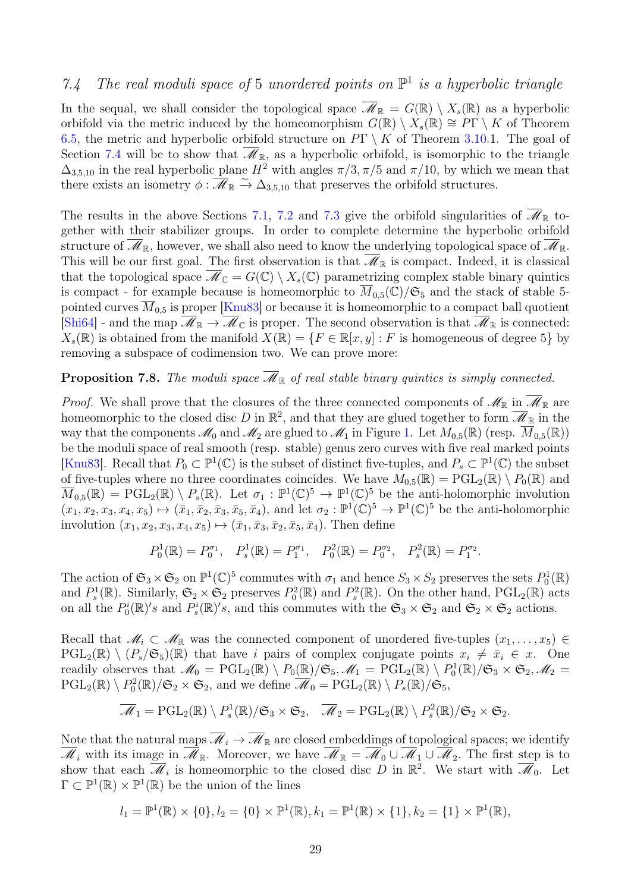# <span id="page-28-0"></span>7.4 The real moduli space of 5 unordered points on  $\mathbb{P}^1$  is a hyperbolic triangle

In the sequal, we shall consider the topological space  $\overline{\mathscr{M}}_{\mathbb{R}} = G(\mathbb{R}) \setminus X_s(\mathbb{R})$  as a hyperbolic orbifold via the metric induced by the homeomorphism  $G(\mathbb{R}) \setminus X_s(\mathbb{R}) \cong P\Gamma \setminus K$  of Theorem [6.5,](#page-24-0) the metric and hyperbolic orbifold structure on  $P\Gamma \setminus K$  of Theorem [3.10.](#page-0-2)1. The goal of Section [7.4](#page-28-0) will be to show that  $\overline{\mathscr{M}}_{\mathbb{R}}$ , as a hyperbolic orbifold, is isomorphic to the triangle  $\Delta_{3,5,10}$  in the real hyperbolic plane  $H^2$  with angles  $\pi/3, \pi/5$  and  $\pi/10$ , by which we mean that there exists an isometry  $\phi : \mathcal{M}_{\mathbb{R}} \xrightarrow{\sim} \Delta_{3,5,10}$  that preserves the orbifold structures.

The results in the above Sections [7.1,](#page-25-4) [7.2](#page-27-1) and [7.3](#page-27-2) give the orbifold singularities of  $\overline{\mathscr{M}}_{\mathbb{R}}$  together with their stabilizer groups. In order to complete determine the hyperbolic orbifold structure of  $\mathscr{M}_{\mathbb{R}}$ , however, we shall also need to know the underlying topological space of  $\mathscr{M}_{\mathbb{R}}$ . This will be our first goal. The first observation is that  $\overline{\mathscr{M}}_{\mathbb{R}}$  is compact. Indeed, it is classical that the topological space  $\mathscr{M}_{\mathbb{C}} = G(\mathbb{C}) \setminus X_s(\mathbb{C})$  parametrizing complex stable binary quintics is compact - for example because is homeomorphic to  $\overline{M}_{0.5}(\mathbb{C})/\mathfrak{S}_5$  and the stack of stable 5pointed curves  $\overline{M}_{0.5}$  is proper [\[Knu83\]](#page-32-15) or because it is homeomorphic to a compact ball quotient [\[Shi64\]](#page-33-1) - and the map  $\overline{\mathcal{M}}_{\mathbb{R}} \to \overline{\mathcal{M}}_{\mathbb{C}}$  is proper. The second observation is that  $\overline{\mathcal{M}}_{\mathbb{R}}$  is connected:  $X_s(\mathbb{R})$  is obtained from the manifold  $X(\mathbb{R}) = \{F \in \mathbb{R}[x, y] : F$  is homogeneous of degree 5} by removing a subspace of codimension two. We can prove more:

#### <span id="page-28-1"></span>**Proposition 7.8.** The moduli space  $\overline{\mathcal{M}}_{\mathbb{R}}$  of real stable binary quintics is simply connected.

*Proof.* We shall prove that the closures of the three connected components of  $\mathscr{M}_{\mathbb{R}}$  in  $\overline{\mathscr{M}}_{\mathbb{R}}$  are homeomorphic to the closed disc D in  $\mathbb{R}^2$ , and that they are glued together to form  $\overline{\mathscr{M}}_{\mathbb{R}}$  in the way that the components  $\mathcal{M}_0$  and  $\mathcal{M}_2$  are glued to  $\mathcal{M}_1$  in Figure 1. Let  $M_{0,5}(\mathbb{R})$  (resp.  $\overline{M}_{0,5}(\mathbb{R})$ ) be the moduli space of real smooth (resp. stable) genus zero curves with five real marked points [\[Knu83\]](#page-32-15). Recall that  $P_0 \subset \mathbb{P}^1(\mathbb{C})$  is the subset of distinct five-tuples, and  $P_s \subset \mathbb{P}^1(\mathbb{C})$  the subset of five-tuples where no three coordinates coincides. We have  $M_{0.5}(\mathbb{R}) = \text{PGL}_2(\mathbb{R}) \setminus P_0(\mathbb{R})$  and  $\overline{M}_{0,5}(\mathbb{R}) = \text{PGL}_2(\mathbb{R}) \setminus P_s(\mathbb{R})$ . Let  $\sigma_1 : \mathbb{P}^1(\mathbb{C})^5 \to \mathbb{P}^1(\mathbb{C})^5$  be the anti-holomorphic involution  $(x_1, x_2, x_3, x_4, x_5) \mapsto (\bar{x}_1, \bar{x}_2, \bar{x}_3, \bar{x}_5, \bar{x}_4)$ , and let  $\sigma_2 : \mathbb{P}^1(\mathbb{C})^5 \to \mathbb{P}^1(\mathbb{C})^5$  be the anti-holomorphic involution  $(x_1, x_2, x_3, x_4, x_5) \mapsto (\bar{x}_1, \bar{x}_3, \bar{x}_2, \bar{x}_5, \bar{x}_4)$ . Then define

$$
P_0^1(\mathbb{R}) = P_0^{\sigma_1}, \quad P_s^1(\mathbb{R}) = P_1^{\sigma_1}, \quad P_0^2(\mathbb{R}) = P_0^{\sigma_2}, \quad P_s^2(\mathbb{R}) = P_1^{\sigma_2}.
$$

The action of  $\mathfrak{S}_3 \times \mathfrak{S}_2$  on  $\mathbb{P}^1(\mathbb{C})^5$  commutes with  $\sigma_1$  and hence  $S_3 \times S_2$  preserves the sets  $P_0^1(\mathbb{R})$ and  $P_s^1(\mathbb{R})$ . Similarly,  $\mathfrak{S}_2 \times \mathfrak{S}_2$  preserves  $P_0^2(\mathbb{R})$  and  $P_s^2(\mathbb{R})$ . On the other hand,  $PGL_2(\mathbb{R})$  acts on all the  $P_0^i(\mathbb{R})'$ s and  $P_s^i(\mathbb{R})'$ s, and this commutes with the  $\mathfrak{S}_3 \times \mathfrak{S}_2$  and  $\mathfrak{S}_2 \times \mathfrak{S}_2$  actions.

Recall that  $\mathcal{M}_i \subset \mathcal{M}_{\mathbb{R}}$  was the connected component of unordered five-tuples  $(x_1, \ldots, x_5) \in$  $PGL_2(\mathbb{R}) \setminus (P_s/\mathfrak{S}_5)(\mathbb{R})$  that have i pairs of complex conjugate points  $x_i \neq \bar{x}_i \in x$ . One readily observes that  $\mathscr{M}_0 = \text{PGL}_2(\mathbb{R}) \setminus P_0(\mathbb{R})/\mathfrak{S}_5, \mathscr{M}_1 = \text{PGL}_2(\mathbb{R}) \setminus P_0^1(\mathbb{R})/\mathfrak{S}_3 \times \mathfrak{S}_2, \mathscr{M}_2 =$  $\text{PGL}_2(\mathbb{R}) \setminus P_0^2(\mathbb{R})/\mathfrak{S}_2 \times \mathfrak{S}_2$ , and we define  $\overline{\mathscr{M}}_0 = \text{PGL}_2(\mathbb{R}) \setminus P_s(\mathbb{R})/\mathfrak{S}_5$ ,

$$
\overline{\mathscr{M}}_1 = \mathrm{PGL}_2(\mathbb{R}) \setminus P_s^1(\mathbb{R})/\mathfrak{S}_3 \times \mathfrak{S}_2, \quad \overline{\mathscr{M}}_2 = \mathrm{PGL}_2(\mathbb{R}) \setminus P_s^2(\mathbb{R})/\mathfrak{S}_2 \times \mathfrak{S}_2.
$$

Note that the natural maps  $\overline{\mathcal{M}}_i \to \overline{\mathcal{M}}_{\mathbb{R}}$  are closed embeddings of topological spaces; we identify  $\overline{\mathscr{M}}_i$  with its image in  $\overline{\mathscr{M}}_{\mathbb{R}}$ . Moreover, we have  $\overline{\mathscr{M}}_{\mathbb{R}} = \overline{\mathscr{M}}_0 \cup \overline{\mathscr{M}}_1 \cup \overline{\mathscr{M}}_2$ . The first step is to show that each  $\overline{\mathscr{M}}_i$  is homeomorphic to the closed disc D in  $\mathbb{R}^2$ . We start with  $\overline{\mathscr{M}}_0$ . Let  $\Gamma \subset \mathbb{P}^1(\mathbb{R}) \times \mathbb{P}^1(\mathbb{R})$  be the union of the lines

$$
l_1 = \mathbb{P}^1(\mathbb{R}) \times \{0\}, l_2 = \{0\} \times \mathbb{P}^1(\mathbb{R}), k_1 = \mathbb{P}^1(\mathbb{R}) \times \{1\}, k_2 = \{1\} \times \mathbb{P}^1(\mathbb{R}),
$$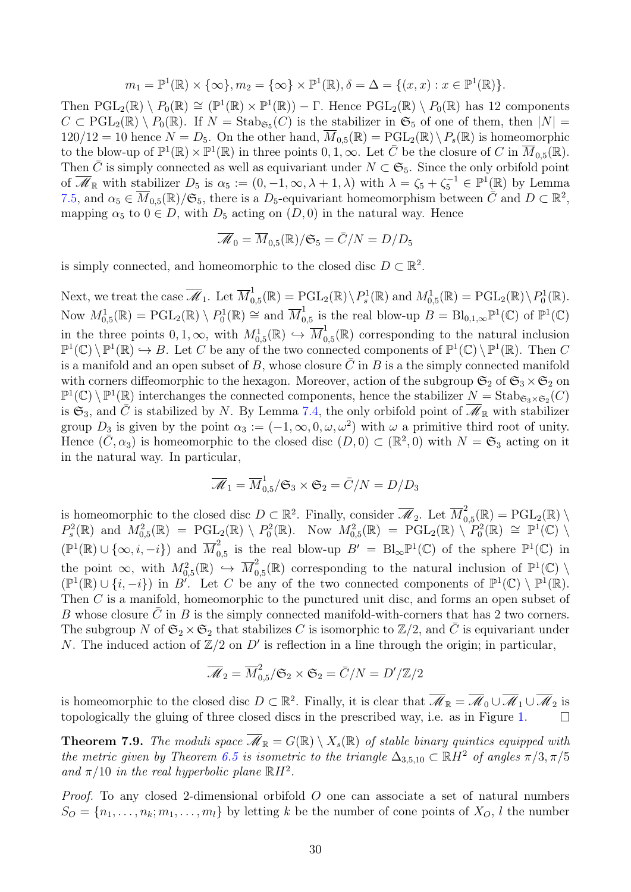$$
m_1 = \mathbb{P}^1(\mathbb{R}) \times \{\infty\}, m_2 = \{\infty\} \times \mathbb{P}^1(\mathbb{R}), \delta = \Delta = \{(x, x) : x \in \mathbb{P}^1(\mathbb{R})\}.
$$

Then  $PGL_2(\mathbb{R}) \setminus P_0(\mathbb{R}) \cong (\mathbb{P}^1(\mathbb{R}) \times \mathbb{P}^1(\mathbb{R})) - \Gamma$ . Hence  $PGL_2(\mathbb{R}) \setminus P_0(\mathbb{R})$  has 12 components  $C \subset \text{PGL}_2(\mathbb{R}) \setminus P_0(\mathbb{R})$ . If  $N = \text{Stab}_{\mathfrak{S}_5}(C)$  is the stabilizer in  $\mathfrak{S}_5$  of one of them, then  $|N| =$  $120/12 = 10$  hence  $N = D_5$ . On the other hand,  $\overline{M}_{0.5}(\mathbb{R}) = \text{PGL}_2(\mathbb{R}) \setminus P_s(\mathbb{R})$  is homeomorphic to the blow-up of  $\mathbb{P}^1(\mathbb{R}) \times \mathbb{P}^1(\mathbb{R})$  in three points  $0, 1, \infty$ . Let  $\overline{C}$  be the closure of  $C$  in  $\overline{M}_{0,5}(\mathbb{R})$ . Then  $\bar{C}$  is simply connected as well as equivariant under  $N \subset \mathfrak{S}_5$ . Since the only orbifold point of  $\overline{\mathscr{M}}_{\mathbb{R}}$  with stabilizer  $D_5$  is  $\alpha_5 := (0, -1, \infty, \lambda + 1, \lambda)$  with  $\lambda = \zeta_5 + \zeta_5^{-1} \in \mathbb{P}^1(\mathbb{R})$  by Lemma [7.5,](#page-26-0) and  $\alpha_5 \in \overline{M}_{0,5}(\mathbb{R})/\mathfrak{S}_5$ , there is a D<sub>5</sub>-equivariant homeomorphism between  $\tilde{C}$  and  $D \subset \mathbb{R}^2$ , mapping  $\alpha_5$  to  $0 \in D$ , with  $D_5$  acting on  $(D, 0)$  in the natural way. Hence

$$
\overline{\mathscr{M}}_0 = \overline{M}_{0,5}(\mathbb{R})/\mathfrak{S}_5 = \overline{C}/N = D/D_5
$$

is simply connected, and homeomorphic to the closed disc  $D \subset \mathbb{R}^2$ .

Next, we treat the case  $\overline{\mathscr{M}}_1$ . Let  $\overline{M}_0^1$  $\mathcal{L}_{0,5}^{1}(\mathbb{R}) = \mathrm{PGL}_{2}(\mathbb{R}) \setminus P_s^1(\mathbb{R})$  and  $M_{0,5}^1(\mathbb{R}) = \mathrm{PGL}_{2}(\mathbb{R}) \setminus P_0^1(\mathbb{R})$ . Now  $M^1_{0,5}(\mathbb{R}) = \text{PGL}_2(\mathbb{R}) \setminus P^1_0(\mathbb{R}) \cong \text{and } \overline{M}^1_0$  $\mathcal{O}_{0,5}$  is the real blow-up  $B = \text{Bl}_{0,1,\infty} \mathbb{P}^1(\mathbb{C})$  of  $\mathbb{P}^1(\mathbb{C})$ in the three points  $0, 1, \infty$ , with  $M_{0,5}^1(\mathbb{R}) \hookrightarrow \overline{M}_0^1$  $\mathcal{O}_{0,5}(\mathbb{R})$  corresponding to the natural inclusion  $\mathbb{P}^1(\mathbb{C}) \setminus \mathbb{P}^1(\mathbb{R}) \hookrightarrow B$ . Let C be any of the two connected components of  $\mathbb{P}^1(\mathbb{C}) \setminus \mathbb{P}^1(\mathbb{R})$ . Then C is a manifold and an open subset of B, whose closure  $\bar{C}$  in B is a the simply connected manifold with corners diffeomorphic to the hexagon. Moreover, action of the subgroup  $\mathfrak{S}_2$  of  $\mathfrak{S}_3 \times \mathfrak{S}_2$  on  $\mathbb{P}^1(\mathbb{C})\setminus \mathbb{P}^1(\mathbb{R})$  interchanges the connected components, hence the stabilizer  $N = \text{Stab}_{\mathfrak{S}_3\times\mathfrak{S}_2}(C)$ is  $\mathfrak{S}_3$ , and  $\bar{C}$  is stabilized by N. By Lemma [7.4,](#page-26-1) the only orbifold point of  $\overline{\mathscr{M}}_{\mathbb{R}}$  with stabilizer group  $D_3$  is given by the point  $\alpha_3 := (-1, \infty, 0, \omega, \omega^2)$  with  $\omega$  a primitive third root of unity. Hence  $(\bar{C}, \alpha_3)$  is homeomorphic to the closed disc  $(D, 0) \subset (\mathbb{R}^2, 0)$  with  $N = \mathfrak{S}_3$  acting on it in the natural way. In particular,

$$
\overline{\mathcal{M}}_1 = \overline{M}^1_{0,5}/\mathfrak{S}_3 \times \mathfrak{S}_2 = \overline{C}/N = D/D_3
$$

is homeomorphic to the closed disc  $D \subset \mathbb{R}^2$ . Finally, consider  $\overline{\mathscr{M}}_2$ . Let  $\overline{M}_0^2$  $\Gamma^2_{0,5}(\mathbb R)=\mathrm{PGL}_2(\mathbb R)\setminus$  $P_s^2(\mathbb{R})$  and  $M_{0,5}^2(\mathbb{R}) = \mathrm{PGL}_2(\mathbb{R}) \setminus P_0^2(\mathbb{R})$ . Now  $M_{0,5}^2(\mathbb{R}) = \mathrm{PGL}_2(\mathbb{R}) \setminus P_0^2(\mathbb{R}) \cong \mathbb{P}^1(\mathbb{C})$  $(\mathbb{P}^1(\mathbb{R}) \cup {\infty, i, -i})$  and  $\overline{M}^2_0$  $_{0,5}^2$  is the real blow-up  $B' = \text{Bl}_{\infty} \mathbb{P}^1(\mathbb{C})$  of the sphere  $\mathbb{P}^1(\mathbb{C})$  in the point  $\infty$ , with  $M_{0,5}^2(\mathbb{R}) \hookrightarrow \overline{M}_0^2$  $\mathcal{O}_{0,5}(\mathbb{R})$  corresponding to the natural inclusion of  $\mathbb{P}^1(\mathbb{C})$  $(\mathbb{P}^1(\mathbb{R}) \cup \{i, -i\})$  in B'. Let C be any of the two connected components of  $\mathbb{P}^1(\mathbb{C}) \setminus \mathbb{P}^1(\mathbb{R})$ . Then C is a manifold, homeomorphic to the punctured unit disc, and forms an open subset of B whose closure  $\overline{C}$  in B is the simply connected manifold-with-corners that has 2 two corners. The subgroup N of  $\mathfrak{S}_2 \times \mathfrak{S}_2$  that stabilizes C is isomorphic to  $\mathbb{Z}/2$ , and  $\overline{C}$  is equivariant under N. The induced action of  $\mathbb{Z}/2$  on D' is reflection in a line through the origin; in particular,

$$
\overline{\mathcal{M}}_2 = \overline{M}_{0,5}^2 / \mathfrak{S}_2 \times \mathfrak{S}_2 = \overline{C}/N = D'/\mathbb{Z}/2
$$

is homeomorphic to the closed disc  $D \subset \mathbb{R}^2$ . Finally, it is clear that  $\overline{\mathscr{M}}_{\mathbb{R}} = \overline{\mathscr{M}}_0 \cup \overline{\mathscr{M}}_1 \cup \overline{\mathscr{M}}_2$  is topologically the gluing of three closed discs in the prescribed way, i.e. as in Figure 1.  $\Box$ 

<span id="page-29-0"></span>**Theorem 7.9.** The moduli space  $\overline{\mathcal{M}}_{\mathbb{R}} = G(\mathbb{R}) \setminus X_s(\mathbb{R})$  of stable binary quintics equipped with the metric given by Theorem [6.5](#page-24-0) is isometric to the triangle  $\Delta_{3,5,10} \subset \mathbb{R}H^2$  of angles  $\pi/3, \pi/5$ and  $\pi/10$  in the real hyperbolic plane  $\mathbb{R}H^2$ .

*Proof.* To any closed 2-dimensional orbifold  $O$  one can associate a set of natural numbers  $S_O = \{n_1, \ldots, n_k; m_1, \ldots, m_l\}$  by letting k be the number of cone points of  $X_O$ , l the number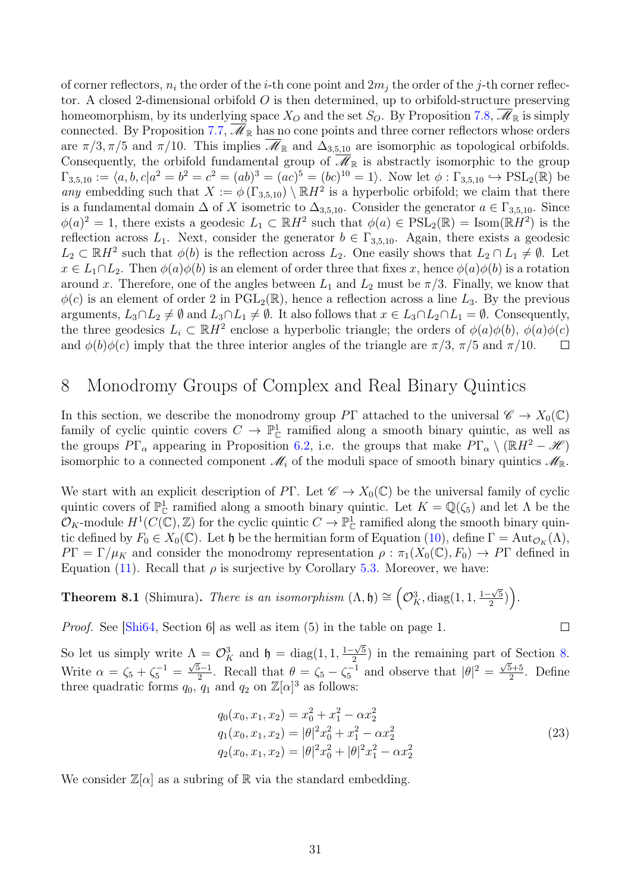of corner reflectors,  $n_i$  the order of the *i*-th cone point and  $2m_i$  the order of the *j*-th corner reflector. A closed 2-dimensional orbifold  $O$  is then determined, up to orbifold-structure preserving homeomorphism, by its underlying space  $X_O$  and the set  $S_O$ . By Proposition [7.8,](#page-28-1)  $\mathscr{M}_{\mathbb{R}}$  is simply connected. By Proposition [7.7,](#page-27-3)  $\mathscr{M}_{\mathbb{R}}$  has no cone points and three corner reflectors whose orders are  $\pi/3, \pi/5$  and  $\pi/10$ . This implies  $\overline{\mathscr{M}}_{\mathbb{R}}$  and  $\Delta_{3,5,10}$  are isomorphic as topological orbifolds. Consequently, the orbifold fundamental group of  $\overline{\mathscr{M}}_{\mathbb{R}}$  is abstractly isomorphic to the group  $\Gamma_{3,5,10} := \langle a, b, c | a^2 = b^2 = c^2 = (ab)^3 = (ac)^5 = (bc)^{10} = 1 \rangle$ . Now let  $\phi : \Gamma_{3,5,10} \hookrightarrow \text{PSL}_2(\mathbb{R})$  be any embedding such that  $X := \phi(\Gamma_{3,5,10}) \setminus \mathbb{R}H^2$  is a hyperbolic orbifold; we claim that there is a fundamental domain  $\Delta$  of X isometric to  $\Delta_{3,5,10}$ . Consider the generator  $a \in \Gamma_{3,5,10}$ . Since  $\phi(a)^2 = 1$ , there exists a geodesic  $L_1 \subset \mathbb{R}H^2$  such that  $\phi(a) \in \text{PSL}_2(\mathbb{R}) = \text{Isom}(\mathbb{R}H^2)$  is the reflection across  $L_1$ . Next, consider the generator  $b \in \Gamma_{3,5,10}$ . Again, there exists a geodesic  $L_2 \subset \mathbb{R}H^2$  such that  $\phi(b)$  is the reflection across  $L_2$ . One easily shows that  $L_2 \cap L_1 \neq \emptyset$ . Let  $x \in L_1 \cap L_2$ . Then  $\phi(a)\phi(b)$  is an element of order three that fixes x, hence  $\phi(a)\phi(b)$  is a rotation around x. Therefore, one of the angles between  $L_1$  and  $L_2$  must be  $\pi/3$ . Finally, we know that  $\phi(c)$  is an element of order 2 in PGL<sub>2</sub>( $\mathbb{R}$ ), hence a reflection across a line L<sub>3</sub>. By the previous arguments,  $L_3 \cap L_2 \neq \emptyset$  and  $L_3 \cap L_1 \neq \emptyset$ . It also follows that  $x \in L_3 \cap L_2 \cap L_1 = \emptyset$ . Consequently, the three geodesics  $L_i \subset \mathbb{R}H^2$  enclose a hyperbolic triangle; the orders of  $\phi(a)\phi(b), \phi(a)\phi(c)$ and  $\phi(b)\phi(c)$  imply that the three interior angles of the triangle are  $\pi/3$ ,  $\pi/5$  and  $\pi/10$ .  $\Box$ 

# <span id="page-30-2"></span>8 Monodromy Groups of Complex and Real Binary Quintics

In this section, we describe the monodromy group PΓ attached to the universal  $\mathscr{C} \to X_0(\mathbb{C})$ family of cyclic quintic covers  $C \to \mathbb{P}^1_{\mathbb{C}}$  ramified along a smooth binary quintic, as well as the groups  $P\Gamma_{\alpha}$  appearing in Proposition [6.2,](#page-23-2) i.e. the groups that make  $P\Gamma_{\alpha} \setminus (\mathbb{R}H^2 - \mathcal{H})$ isomorphic to a connected component  $\mathcal{M}_i$  of the moduli space of smooth binary quintics  $\mathcal{M}_{\mathbb{R}}$ .

We start with an explicit description of PΓ. Let  $\mathscr{C} \to X_0(\mathbb{C})$  be the universal family of cyclic quintic covers of  $\mathbb{P}^1_{\mathbb{C}}$  ramified along a smooth binary quintic. Let  $K = \mathbb{Q}(\zeta_5)$  and let  $\Lambda$  be the  $\mathcal{O}_K$ -module  $H^1(C(\mathbb{C}), \mathbb{Z})$  for the cyclic quintic  $C \to \mathbb{P}^1_{\mathbb{C}}$  ramified along the smooth binary quintic defined by  $F_0 \in X_0(\mathbb{C})$ . Let  $\mathfrak h$  be the hermitian form of Equation [\(10\)](#page-19-2), define  $\Gamma = \text{Aut}_{\mathcal{O}_K}(\Lambda)$ ,  $PT = \Gamma/\mu_K$  and consider the monodromy representation  $\rho : \pi_1(X_0(\mathbb{C}), F_0) \to PT$  defined in Equation [\(11\)](#page-20-0). Recall that  $\rho$  is surjective by Corollary [5.3.](#page-21-0) Moreover, we have:

<span id="page-30-1"></span>**Theorem 8.1** (Shimura). There is an isomorphism  $(\Lambda, \mathfrak{h}) \cong O_K^3$ , diag $(1, 1, \frac{1-\sqrt{5}}{2})$  $\frac{-\sqrt{5}}{2}\big)\bigg).$ 

Proof. See [\[Shi64,](#page-33-1) Section 6] as well as item (5) in the table on page 1.

So let us simply write  $\Lambda = \mathcal{O}_K^3$  and  $\mathfrak{h} = \text{diag}(1, 1, \frac{1-\sqrt{5}}{2})$  $\frac{1-\sqrt{5}}{2}$  in the remaining part of Section [8.](#page-30-2) Write  $\alpha = \zeta_5 + \zeta_5^{-1} =$ √ 5−1  $\frac{5-1}{2}$ . Recall that  $\theta = \zeta_5 - \zeta_5^{-1}$  and observe that  $|\theta|^2 = \frac{\sqrt{5}+5}{2}$  $\frac{5+5}{2}$ . Define three quadratic forms  $q_0, q_1$  and  $q_2$  on  $\mathbb{Z}[\alpha]^3$  as follows:

$$
q_0(x_0, x_1, x_2) = x_0^2 + x_1^2 - \alpha x_2^2
$$
  
\n
$$
q_1(x_0, x_1, x_2) = |\theta|^2 x_0^2 + x_1^2 - \alpha x_2^2
$$
  
\n
$$
q_2(x_0, x_1, x_2) = |\theta|^2 x_0^2 + |\theta|^2 x_1^2 - \alpha x_2^2
$$
\n(23)

<span id="page-30-0"></span>We consider  $\mathbb{Z}[\alpha]$  as a subring of  $\mathbb R$  via the standard embedding.

 $\Box$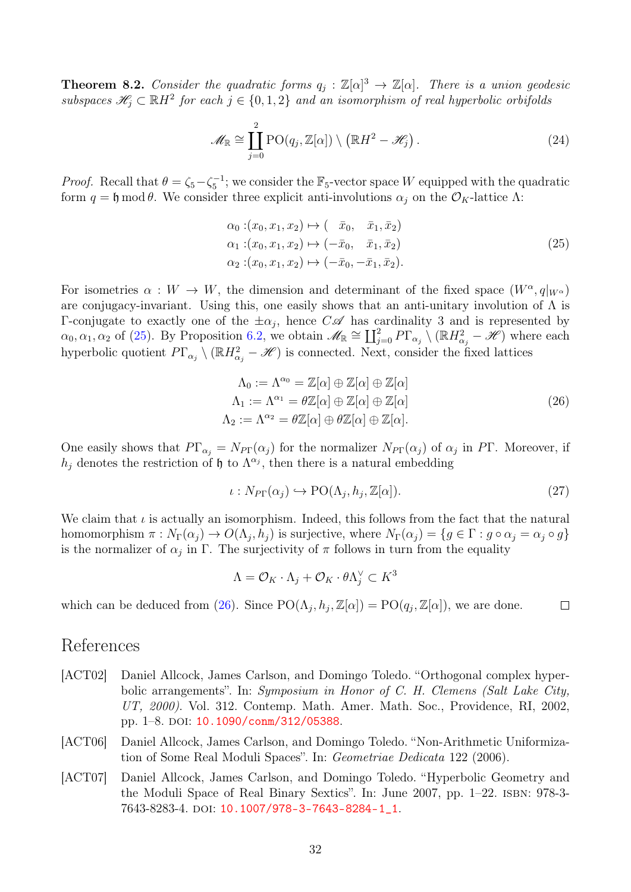**Theorem 8.2.** Consider the quadratic forms  $q_j : \mathbb{Z}[\alpha]^3 \to \mathbb{Z}[\alpha]$ . There is a union geodesic subspaces  $\mathscr{H}_j \subset \mathbb{R}H^2$  for each  $j \in \{0,1,2\}$  and an isomorphism of real hyperbolic orbifolds

$$
\mathscr{M}_{\mathbb{R}} \cong \coprod_{j=0}^{2} \text{PO}(q_j, \mathbb{Z}[\alpha]) \setminus (\mathbb{R}H^2 - \mathscr{H}_j).
$$
\n(24)

*Proof.* Recall that  $\theta = \zeta_5 - \zeta_5^{-1}$ ; we consider the  $\mathbb{F}_5$ -vector space W equipped with the quadratic form  $q = \mathfrak{h} \mod \theta$ . We consider three explicit anti-involutions  $\alpha_i$  on the  $\mathcal{O}_K$ -lattice  $\Lambda$ :

$$
\alpha_0: (x_0, x_1, x_2) \mapsto (\bar{x}_0, \bar{x}_1, \bar{x}_2) \n\alpha_1: (x_0, x_1, x_2) \mapsto (-\bar{x}_0, \bar{x}_1, \bar{x}_2) \n\alpha_2: (x_0, x_1, x_2) \mapsto (-\bar{x}_0, -\bar{x}_1, \bar{x}_2).
$$
\n(25)

<span id="page-31-3"></span>For isometries  $\alpha: W \to W$ , the dimension and determinant of the fixed space  $(W^{\alpha}, q|_{W^{\alpha}})$ are conjugacy-invariant. Using this, one easily shows that an anti-unitary involution of  $\Lambda$  is Γ-conjugate to exactly one of the  $\pm \alpha_j$ , hence  $C\mathscr{A}$  has cardinality 3 and is represented by  $\alpha_0, \alpha_1, \alpha_2$  of [\(25\)](#page-31-3). By Proposition [6.2,](#page-23-2) we obtain  $\mathscr{M}_{\mathbb{R}} \cong \coprod_{j=0}^2 P\Gamma_{\alpha_j} \setminus (\mathbb{R}H_{\alpha_j}^2 - \mathscr{H})$  where each hyperbolic quotient  $P\Gamma_{\alpha_j} \setminus (\mathbb{R}H_{\alpha_j}^2 - \mathcal{H})$  is connected. Next, consider the fixed lattices

$$
\Lambda_0 := \Lambda^{\alpha_0} = \mathbb{Z}[\alpha] \oplus \mathbb{Z}[\alpha] \oplus \mathbb{Z}[\alpha]
$$
  
\n
$$
\Lambda_1 := \Lambda^{\alpha_1} = \theta \mathbb{Z}[\alpha] \oplus \mathbb{Z}[\alpha] \oplus \mathbb{Z}[\alpha]
$$
  
\n
$$
\Lambda_2 := \Lambda^{\alpha_2} = \theta \mathbb{Z}[\alpha] \oplus \theta \mathbb{Z}[\alpha] \oplus \mathbb{Z}[\alpha].
$$
\n(26)

<span id="page-31-4"></span>One easily shows that  $P\Gamma_{\alpha_j} = N_{P\Gamma}(\alpha_j)$  for the normalizer  $N_{P\Gamma}(\alpha_j)$  of  $\alpha_j$  in PT. Moreover, if  $h_j$  denotes the restriction of h to  $\Lambda^{\alpha_j}$ , then there is a natural embedding

$$
\iota: N_{\text{PT}}(\alpha_j) \hookrightarrow \text{PO}(\Lambda_j, h_j, \mathbb{Z}[\alpha]). \tag{27}
$$

We claim that  $\iota$  is actually an isomorphism. Indeed, this follows from the fact that the natural homomorphism  $\pi: N_{\Gamma}(\alpha_j) \to O(\Lambda_j, h_j)$  is surjective, where  $N_{\Gamma}(\alpha_j) = \{g \in \Gamma : g \circ \alpha_j = \alpha_j \circ g\}$ is the normalizer of  $\alpha_j$  in  $\Gamma$ . The surjectivity of  $\pi$  follows in turn from the equality

$$
\Lambda = \mathcal{O}_K \cdot \Lambda_j + \mathcal{O}_K \cdot \theta \Lambda_j^\vee \subset K^3
$$

which can be deduced from [\(26\)](#page-31-4). Since  $PO(\Lambda_j, h_j, \mathbb{Z}[\alpha]) = PO(q_j, \mathbb{Z}[\alpha])$ , we are done.  $\Box$ 

### References

- <span id="page-31-2"></span>[ACT02] Daniel Allcock, James Carlson, and Domingo Toledo. "Orthogonal complex hyperbolic arrangements". In: Symposium in Honor of C. H. Clemens (Salt Lake City, UT, 2000). Vol. 312. Contemp. Math. Amer. Math. Soc., Providence, RI, 2002, pp. 1–8. doi: [10.1090/conm/312/05388](https://doi.org/10.1090/conm/312/05388).
- <span id="page-31-0"></span>[ACT06] Daniel Allcock, James Carlson, and Domingo Toledo. "Non-Arithmetic Uniformization of Some Real Moduli Spaces". In: Geometriae Dedicata 122 (2006).
- <span id="page-31-1"></span>[ACT07] Daniel Allcock, James Carlson, and Domingo Toledo. "Hyperbolic Geometry and the Moduli Space of Real Binary Sextics". In: June 2007, pp. 1–22. isbn: 978-3- 7643-8283-4. doi: [10.1007/978-3-7643-8284-1\\_1](https://doi.org/10.1007/978-3-7643-8284-1_1).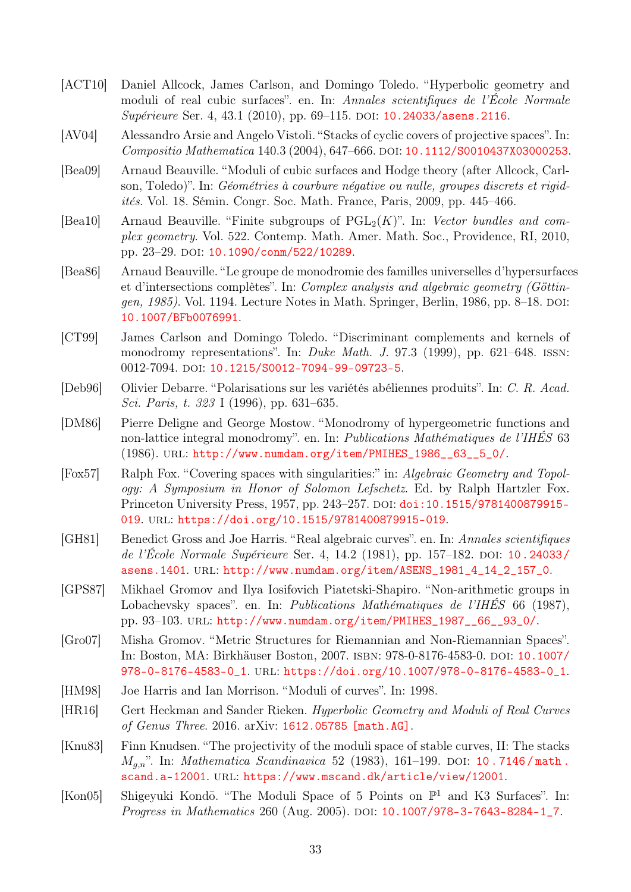- <span id="page-32-3"></span>[ACT10] Daniel Allcock, James Carlson, and Domingo Toledo. "Hyperbolic geometry and moduli of real cubic surfaces". en. In: Annales scientifiques de l'École Normale Supérieure Ser. 4, 43.1 (2010), pp. 69–115. DOI: [10.24033/asens.2116](https://doi.org/10.24033/asens.2116).
- <span id="page-32-7"></span>[AV04] Alessandro Arsie and Angelo Vistoli. "Stacks of cyclic covers of projective spaces". In: Compositio Mathematica 140.3 (2004), 647-666. DOI: [10.1112/S0010437X03000253](https://doi.org/10.1112/S0010437X03000253).
- <span id="page-32-5"></span>[Bea09] Arnaud Beauville. "Moduli of cubic surfaces and Hodge theory (after Allcock, Carlson, Toledo)". In: Géométries à courbure négative ou nulle, groupes discrets et rigidités. Vol. 18. Sémin. Congr. Soc. Math. France, Paris, 2009, pp. 445–466.
- <span id="page-32-14"></span>[Bea10] Arnaud Beauville. "Finite subgroups of  $PGL_2(K)$ ". In: Vector bundles and complex geometry. Vol. 522. Contemp. Math. Amer. Math. Soc., Providence, RI, 2010, pp. 23-29. doi: [10.1090/conm/522/10289](https://doi.org/10.1090/conm/522/10289).
- <span id="page-32-10"></span>[Bea86] Arnaud Beauville. "Le groupe de monodromie des familles universelles d'hypersurfaces et d'intersections complètes". In: Complex analysis and algebraic geometry (Göttingen, 1985). Vol. 1194. Lecture Notes in Math. Springer, Berlin, 1986, pp. 8–18. doi: [10.1007/BFb0076991](https://doi.org/10.1007/BFb0076991).
- <span id="page-32-9"></span>[CT99] James Carlson and Domingo Toledo. "Discriminant complements and kernels of monodromy representations". In: Duke Math. J. 97.3 (1999), pp. 621–648. ISSN: 0012-7094. poi: [10.1215/S0012-7094-99-09723-5](https://doi.org/10.1215/S0012-7094-99-09723-5).
- <span id="page-32-8"></span>[Deb96] Olivier Debarre. "Polarisations sur les variétés abéliennes produits". In: C. R. Acad. Sci. Paris, t. 323 I (1996), pp. 631–635.
- <span id="page-32-0"></span>[DM86] Pierre Deligne and George Mostow. "Monodromy of hypergeometric functions and non-lattice integral monodromy". en. In: Publications Mathématiques de l'IHÉS 63 (1986). url: [http://www.numdam.org/item/PMIHES\\_1986\\_\\_63\\_\\_5\\_0/](http://www.numdam.org/item/PMIHES_1986__63__5_0/).
- <span id="page-32-11"></span>[Fox57] Ralph Fox. "Covering spaces with singularities:" in: Algebraic Geometry and Topology: A Symposium in Honor of Solomon Lefschetz. Ed. by Ralph Hartzler Fox. Princeton University Press, 1957, pp. 243–257. doi: [doi:10.1515/9781400879915-](https://doi.org/doi:10.1515/9781400879915-019) [019](https://doi.org/doi:10.1515/9781400879915-019). url: <https://doi.org/10.1515/9781400879915-019>.
- <span id="page-32-1"></span>[GH81] Benedict Gross and Joe Harris. "Real algebraic curves". en. In: Annales scientifiques de l'École Normale Supérieure Ser. 4, 14.2 (1981), pp. 157–182. DOI: [10.24033/](https://doi.org/10.24033/asens.1401) [asens.1401](https://doi.org/10.24033/asens.1401). url: [http://www.numdam.org/item/ASENS\\_1981\\_4\\_14\\_2\\_157\\_0](http://www.numdam.org/item/ASENS_1981_4_14_2_157_0).
- <span id="page-32-4"></span>[GPS87] Mikhael Gromov and Ilya Iosifovich Piatetski-Shapiro. "Non-arithmetic groups in Lobachevsky spaces". en. In: *Publications Mathématiques de l'IHES* 66 (1987), pp. 93–103. url: [http://www.numdam.org/item/PMIHES\\_1987\\_\\_66\\_\\_93\\_0/](http://www.numdam.org/item/PMIHES_1987__66__93_0/).
- <span id="page-32-6"></span>[Gro07] Misha Gromov. "Metric Structures for Riemannian and Non-Riemannian Spaces". In: Boston, MA: Birkhäuser Boston, 2007. isbn: 978-0-8176-4583-0. doi: [10.1007/](https://doi.org/10.1007/978-0-8176-4583-0_1) [978-0-8176-4583-0\\_1](https://doi.org/10.1007/978-0-8176-4583-0_1). url: [https://doi.org/10.1007/978-0-8176-4583-0\\_1](https://doi.org/10.1007/978-0-8176-4583-0_1).
- <span id="page-32-13"></span>[HM98] Joe Harris and Ian Morrison. "Moduli of curves". In: 1998.
- <span id="page-32-2"></span>[HR16] Gert Heckman and Sander Rieken. Hyperbolic Geometry and Moduli of Real Curves of Genus Three. 2016. arXiv: [1612.05785 \[math.AG\]](https://arxiv.org/abs/1612.05785).
- <span id="page-32-15"></span>[Knu83] Finn Knudsen. "The projectivity of the moduli space of stable curves, II: The stacks  $M_{a,n}$ ". In: *Mathematica Scandinavica* 52 (1983), 161-199. DOI: 10.7146/math. [scand.a-12001](https://doi.org/10.7146/math.scand.a-12001). url: <https://www.mscand.dk/article/view/12001>.
- <span id="page-32-12"></span>[Kon05] Shigeyuki Kondō. "The Moduli Space of 5 Points on  $\mathbb{P}^1$  and K3 Surfaces". In: Progress in Mathematics 260 (Aug. 2005). DOI: [10.1007/978-3-7643-8284-1\\_7](https://doi.org/10.1007/978-3-7643-8284-1_7).